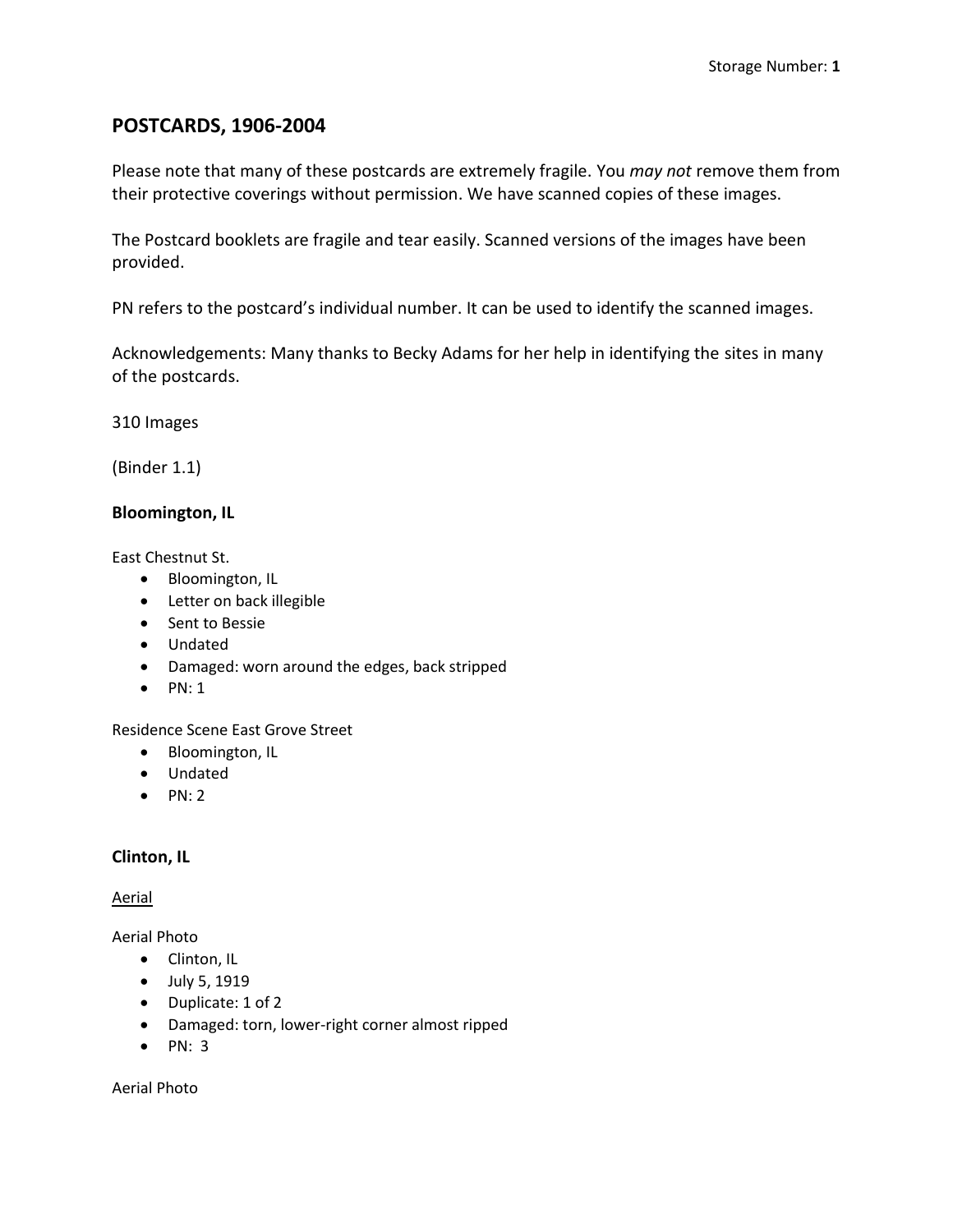# **POSTCARDS, 1906-2004**

Please note that many of these postcards are extremely fragile. You *may not* remove them from their protective coverings without permission. We have scanned copies of these images.

The Postcard booklets are fragile and tear easily. Scanned versions of the images have been provided.

PN refers to the postcard's individual number. It can be used to identify the scanned images.

Acknowledgements: Many thanks to Becky Adams for her help in identifying the sites in many of the postcards.

310 Images

(Binder 1.1)

**Bloomington, IL**

East Chestnut St.

- Bloomington, IL
- Letter on back illegible
- Sent to Bessie
- Undated
- Damaged: worn around the edges, back stripped
- $\bullet$  PN: 1

Residence Scene East Grove Street

- Bloomington, IL
- Undated
- $\bullet$  PN: 2

## **Clinton, IL**

#### Aerial

Aerial Photo

- Clinton, IL
- July 5, 1919
- Duplicate: 1 of 2
- Damaged: torn, lower-right corner almost ripped
- $\bullet$  PN: 3

Aerial Photo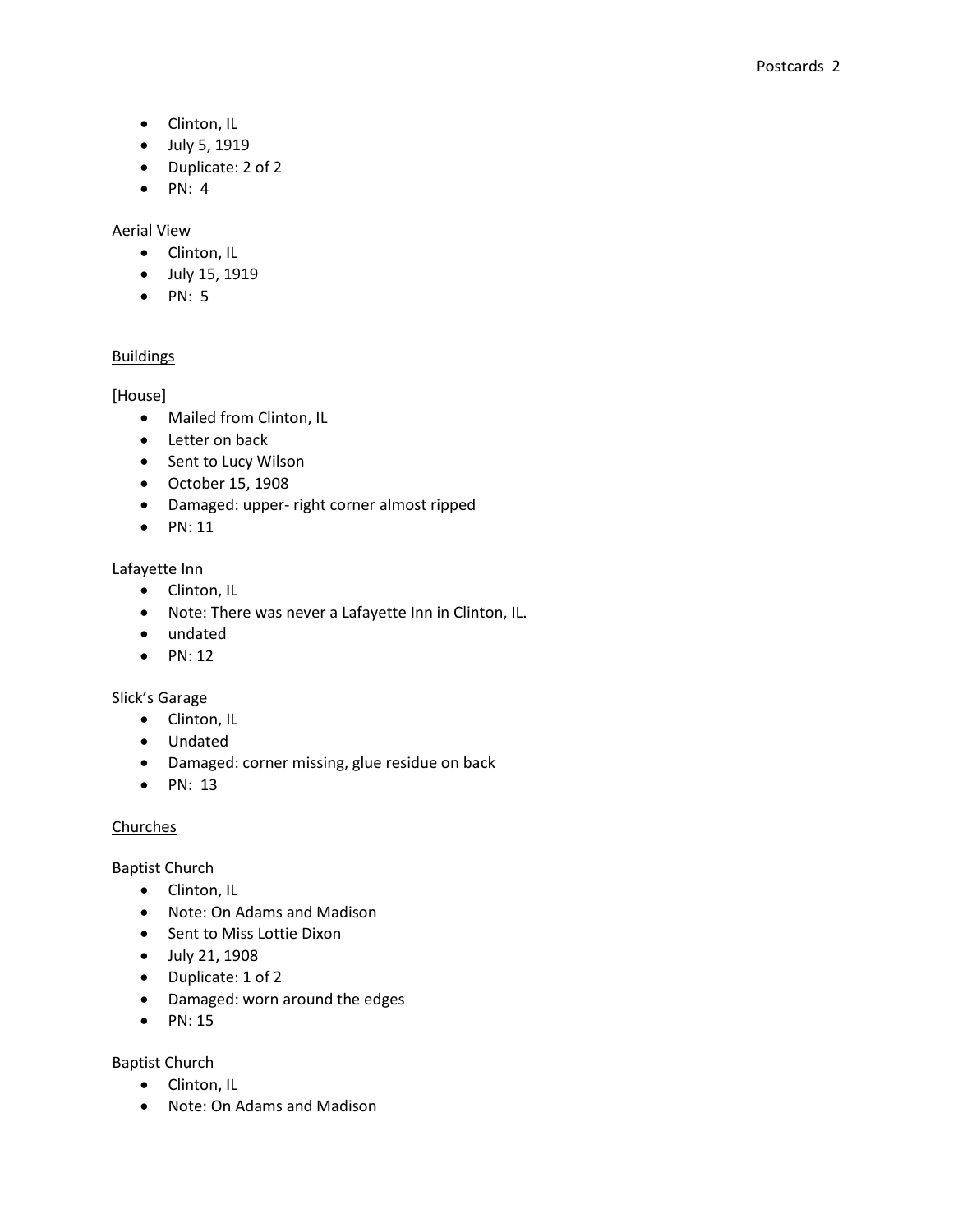- Clinton, IL
- July 5, 1919
- Duplicate: 2 of 2
- $\bullet$  PN: 4

## Aerial View

- Clinton, IL
- July 15, 1919
- $\bullet$  PN: 5

# Buildings

[House]

- Mailed from Clinton, IL
- Letter on back
- Sent to Lucy Wilson
- October 15, 1908
- Damaged: upper- right corner almost ripped
- $\bullet$  PN: 11

## Lafayette Inn

- Clinton, IL
- Note: There was never a Lafayette Inn in Clinton, IL.
- undated
- $\bullet$  PN: 12

## Slick's Garage

- Clinton, IL
- Undated
- Damaged: corner missing, glue residue on back
- $\bullet$  PN: 13

## Churches

Baptist Church

- Clinton, IL
- Note: On Adams and Madison
- Sent to Miss Lottie Dixon
- July 21, 1908
- Duplicate: 1 of 2
- Damaged: worn around the edges
- $\bullet$  PN: 15

## Baptist Church

- Clinton, IL
- Note: On Adams and Madison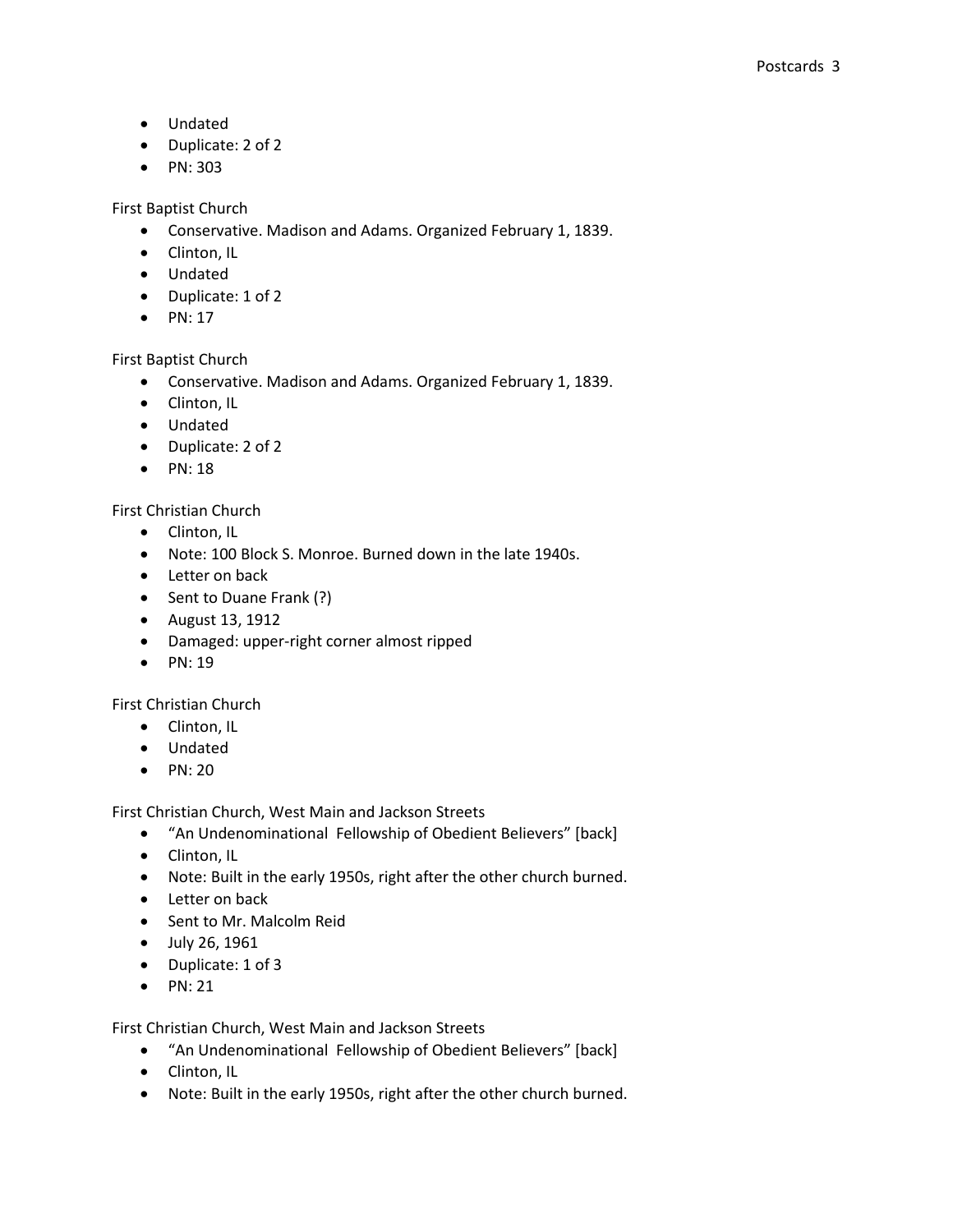- Undated
- Duplicate: 2 of 2
- PN: 303

First Baptist Church

- Conservative. Madison and Adams. Organized February 1, 1839.
- Clinton, IL
- Undated
- Duplicate: 1 of 2
- $\bullet$  PN: 17

First Baptist Church

- Conservative. Madison and Adams. Organized February 1, 1839.
- Clinton, IL
- Undated
- Duplicate: 2 of 2
- $\bullet$  PN: 18

## First Christian Church

- Clinton, IL
- Note: 100 Block S. Monroe. Burned down in the late 1940s.
- Letter on back
- Sent to Duane Frank (?)
- August 13, 1912
- Damaged: upper-right corner almost ripped
- $\bullet$  PN: 19

First Christian Church

- Clinton, IL
- Undated
- $\bullet$  PN: 20

First Christian Church, West Main and Jackson Streets

- "An Undenominational Fellowship of Obedient Believers" [back]
- Clinton, IL
- Note: Built in the early 1950s, right after the other church burned.
- Letter on back
- Sent to Mr. Malcolm Reid
- July 26, 1961
- Duplicate: 1 of 3
- $\bullet$  PN: 21

First Christian Church, West Main and Jackson Streets

- "An Undenominational Fellowship of Obedient Believers" [back]
- Clinton, IL
- Note: Built in the early 1950s, right after the other church burned.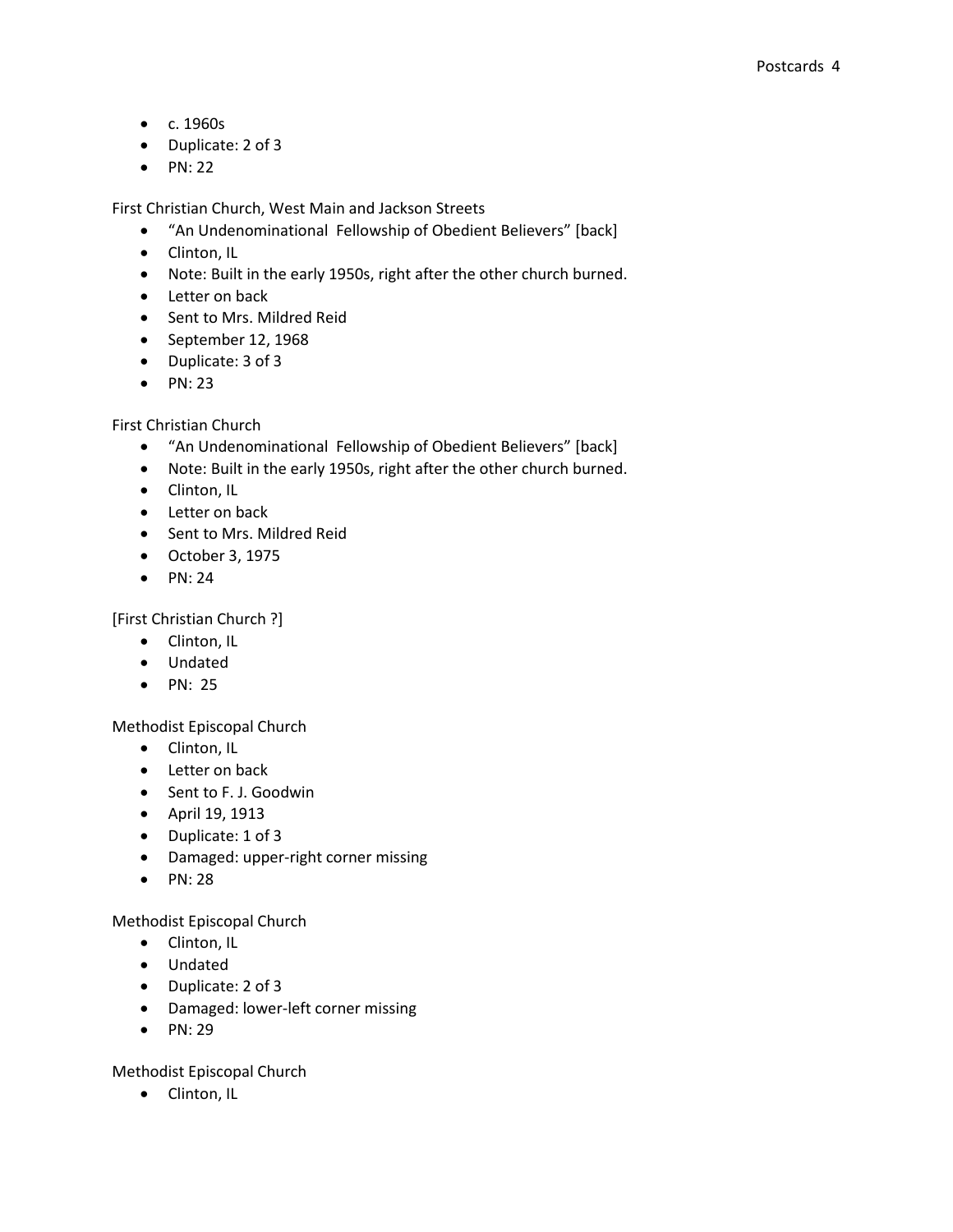- c. 1960s
- Duplicate: 2 of 3
- $\bullet$  PN: 22

First Christian Church, West Main and Jackson Streets

- "An Undenominational Fellowship of Obedient Believers" [back]
- Clinton, IL
- Note: Built in the early 1950s, right after the other church burned.
- Letter on back
- Sent to Mrs. Mildred Reid
- September 12, 1968
- Duplicate: 3 of 3
- $\bullet$  PN: 23

First Christian Church

- "An Undenominational Fellowship of Obedient Believers" [back]
- Note: Built in the early 1950s, right after the other church burned.
- Clinton, IL
- Letter on back
- Sent to Mrs. Mildred Reid
- October 3, 1975
- $\bullet$  PN: 24

[First Christian Church ?]

- Clinton, IL
- Undated
- $\bullet$  PN: 25

Methodist Episcopal Church

- Clinton, IL
- Letter on back
- Sent to F. J. Goodwin
- April 19, 1913
- Duplicate: 1 of 3
- Damaged: upper-right corner missing
- $\bullet$  PN: 28

Methodist Episcopal Church

- Clinton, IL
- Undated
- Duplicate: 2 of 3
- Damaged: lower-left corner missing
- $\bullet$  PN: 29

Methodist Episcopal Church

• Clinton, IL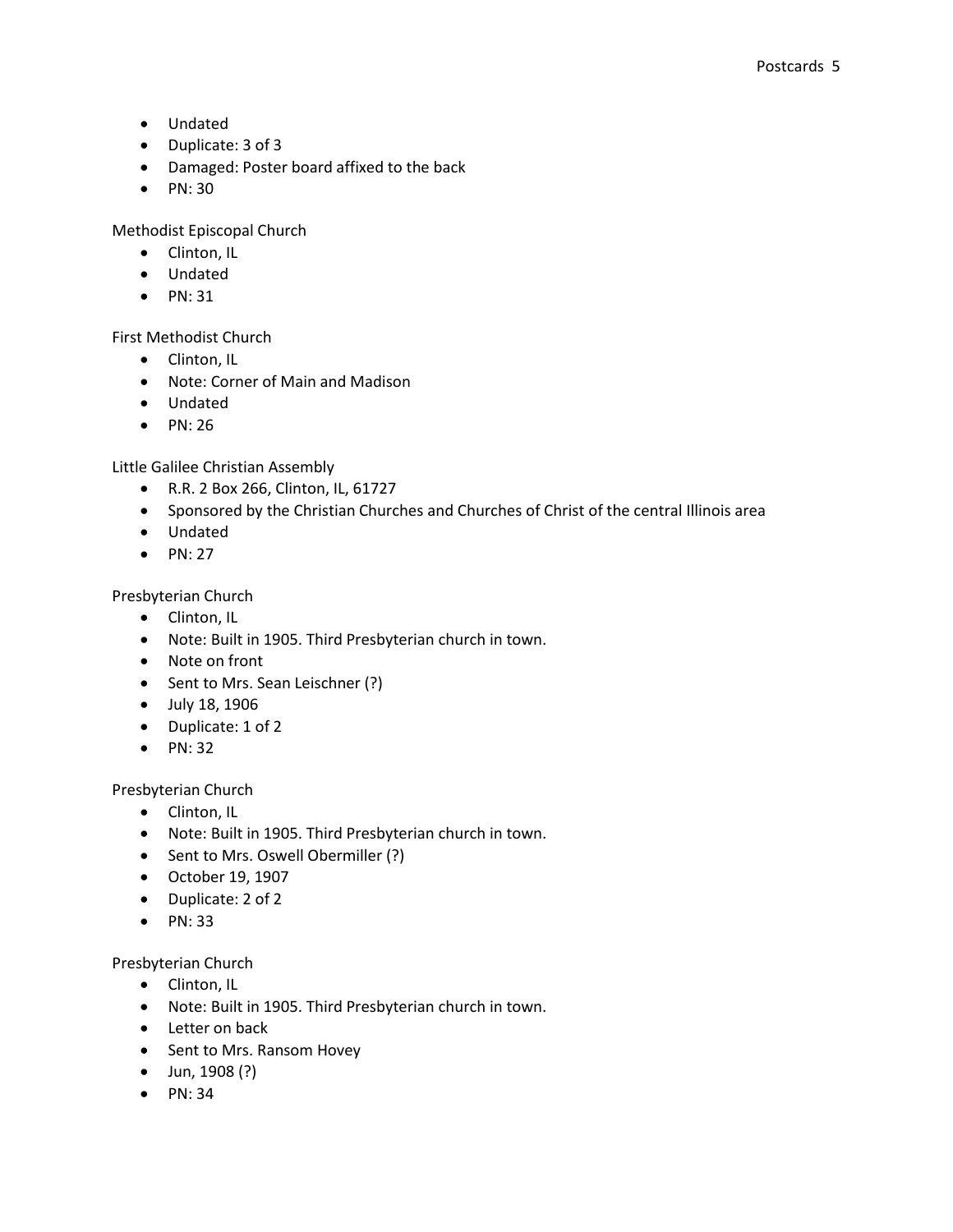- Undated
- Duplicate: 3 of 3
- Damaged: Poster board affixed to the back
- PN: 30

Methodist Episcopal Church

- Clinton, IL
- Undated
- $\bullet$  PN: 31

First Methodist Church

- Clinton, IL
- Note: Corner of Main and Madison
- Undated
- PN: 26

Little Galilee Christian Assembly

- R.R. 2 Box 266, Clinton, IL, 61727
- Sponsored by the Christian Churches and Churches of Christ of the central Illinois area
- Undated
- $\bullet$  PN: 27

Presbyterian Church

- Clinton, IL
- Note: Built in 1905. Third Presbyterian church in town.
- Note on front
- Sent to Mrs. Sean Leischner (?)
- July 18, 1906
- Duplicate: 1 of 2
- $\bullet$  PN: 32

Presbyterian Church

- Clinton, IL
- Note: Built in 1905. Third Presbyterian church in town.
- Sent to Mrs. Oswell Obermiller (?)
- October 19, 1907
- Duplicate: 2 of 2
- $\bullet$  PN: 33

Presbyterian Church

- Clinton, IL
- Note: Built in 1905. Third Presbyterian church in town.
- Letter on back
- Sent to Mrs. Ransom Hovey
- Jun, 1908 (?)
- $\bullet$  PN: 34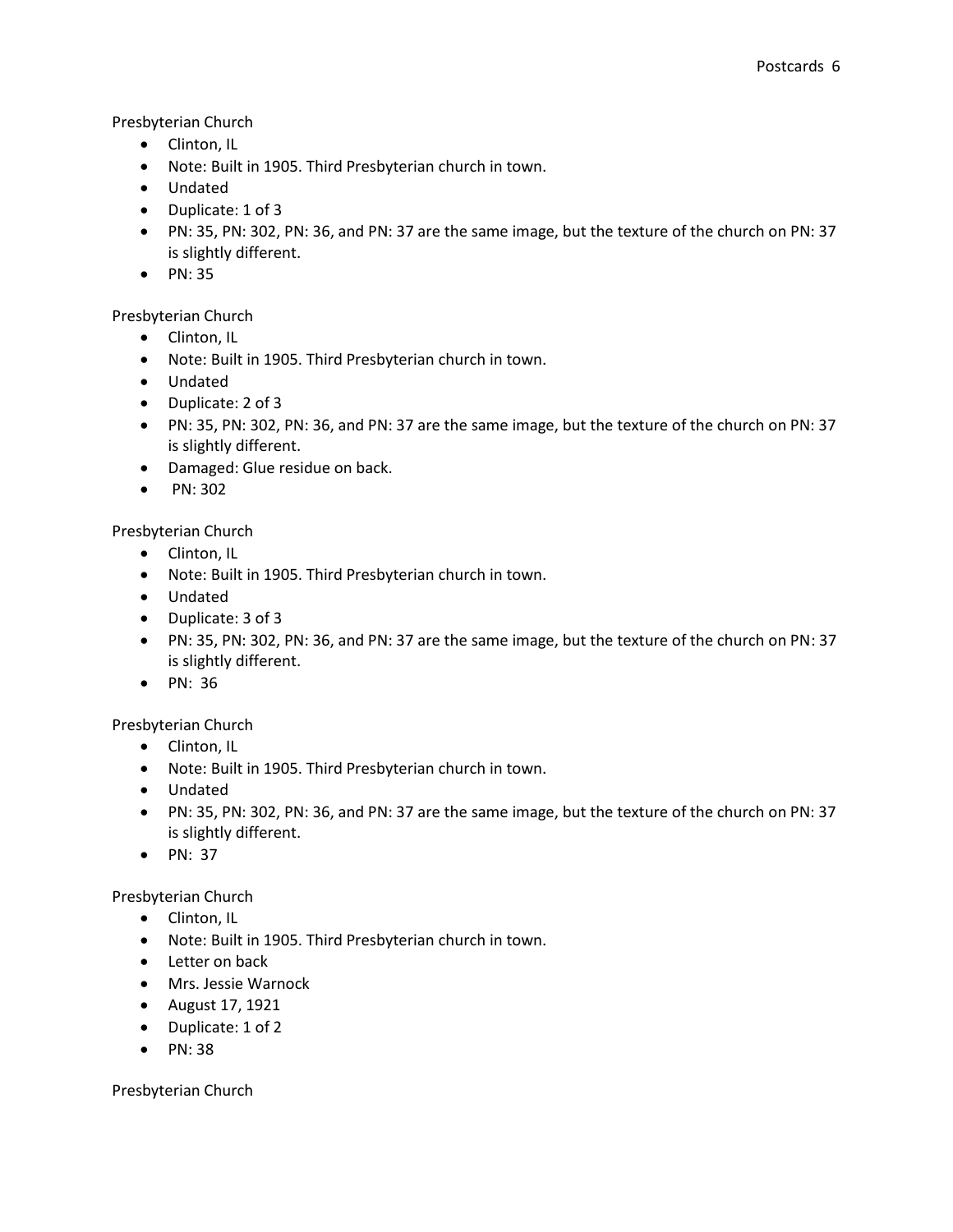## Presbyterian Church

- Clinton, IL
- Note: Built in 1905. Third Presbyterian church in town.
- Undated
- Duplicate: 1 of 3
- PN: 35, PN: 302, PN: 36, and PN: 37 are the same image, but the texture of the church on PN: 37 is slightly different.
- PN: 35

## Presbyterian Church

- Clinton, IL
- Note: Built in 1905. Third Presbyterian church in town.
- Undated
- Duplicate: 2 of 3
- PN: 35, PN: 302, PN: 36, and PN: 37 are the same image, but the texture of the church on PN: 37 is slightly different.
- Damaged: Glue residue on back.
- $\bullet$  PN: 302

## Presbyterian Church

- Clinton, IL
- Note: Built in 1905. Third Presbyterian church in town.
- Undated
- Duplicate: 3 of 3
- PN: 35, PN: 302, PN: 36, and PN: 37 are the same image, but the texture of the church on PN: 37 is slightly different.
- PN: 36

## Presbyterian Church

- Clinton, IL
- Note: Built in 1905. Third Presbyterian church in town.
- Undated
- PN: 35, PN: 302, PN: 36, and PN: 37 are the same image, but the texture of the church on PN: 37 is slightly different.
- $\bullet$  PN: 37

## Presbyterian Church

- Clinton, IL
- Note: Built in 1905. Third Presbyterian church in town.
- Letter on back
- Mrs. Jessie Warnock
- August 17, 1921
- Duplicate: 1 of 2
- $\bullet$  PN: 38

Presbyterian Church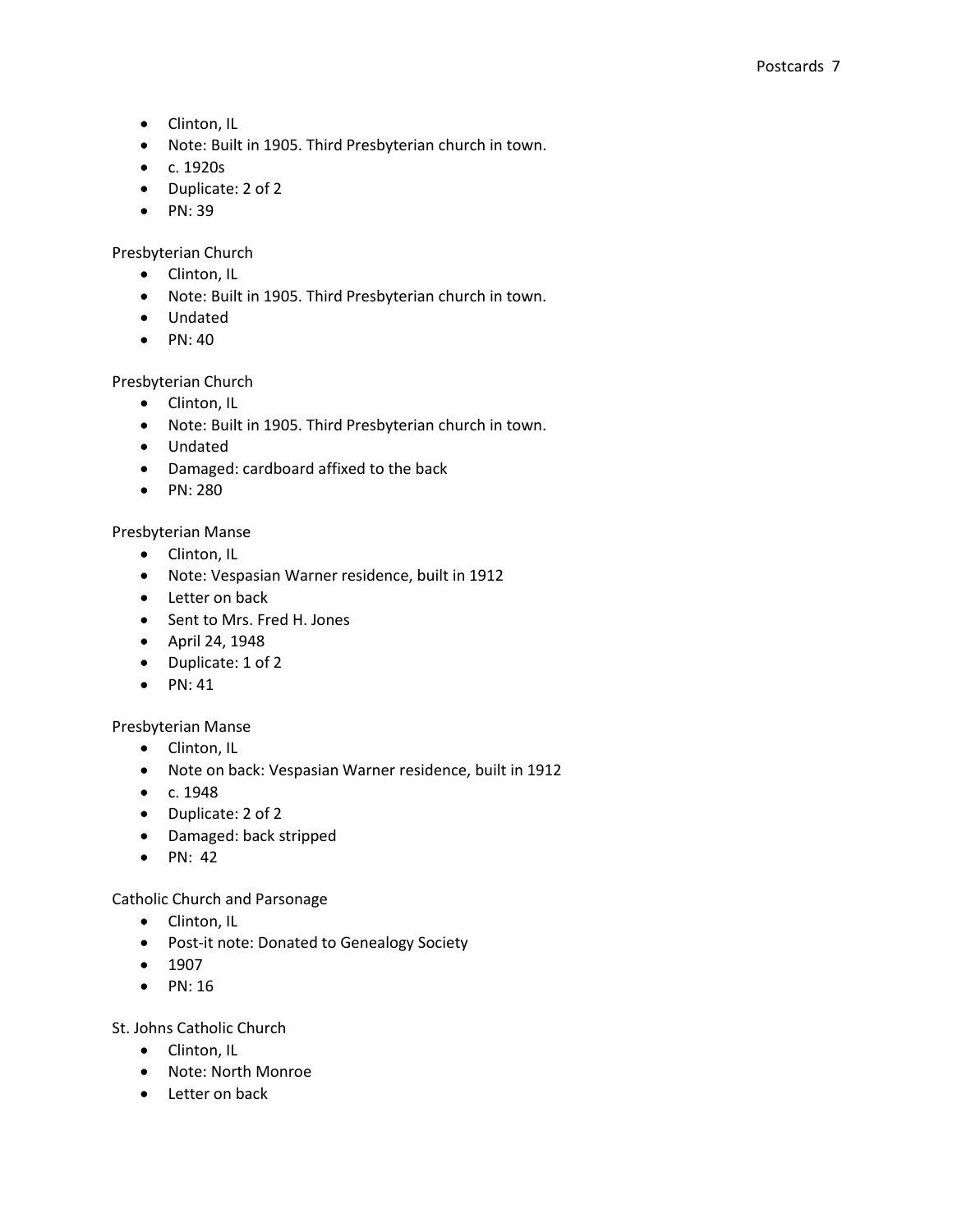- Clinton, IL
- Note: Built in 1905. Third Presbyterian church in town.
- c. 1920s
- Duplicate: 2 of 2
- $\bullet$  PN: 39

Presbyterian Church

- Clinton, IL
- Note: Built in 1905. Third Presbyterian church in town.
- Undated
- $\bullet$  PN: 40

## Presbyterian Church

- Clinton, IL
- Note: Built in 1905. Third Presbyterian church in town.
- Undated
- Damaged: cardboard affixed to the back
- $\bullet$  PN: 280

## Presbyterian Manse

- Clinton, IL
- Note: Vespasian Warner residence, built in 1912
- Letter on back
- Sent to Mrs. Fred H. Jones
- April 24, 1948
- Duplicate: 1 of 2
- $\bullet$  PN: 41

## Presbyterian Manse

- Clinton, IL
- Note on back: Vespasian Warner residence, built in 1912
- $\bullet$  c. 1948
- Duplicate: 2 of 2
- Damaged: back stripped
- $\bullet$  PN: 42

## Catholic Church and Parsonage

- Clinton, IL
- Post-it note: Donated to Genealogy Society
- $1907$
- $\bullet$  PN: 16

St. Johns Catholic Church

- Clinton, IL
- Note: North Monroe
- Letter on back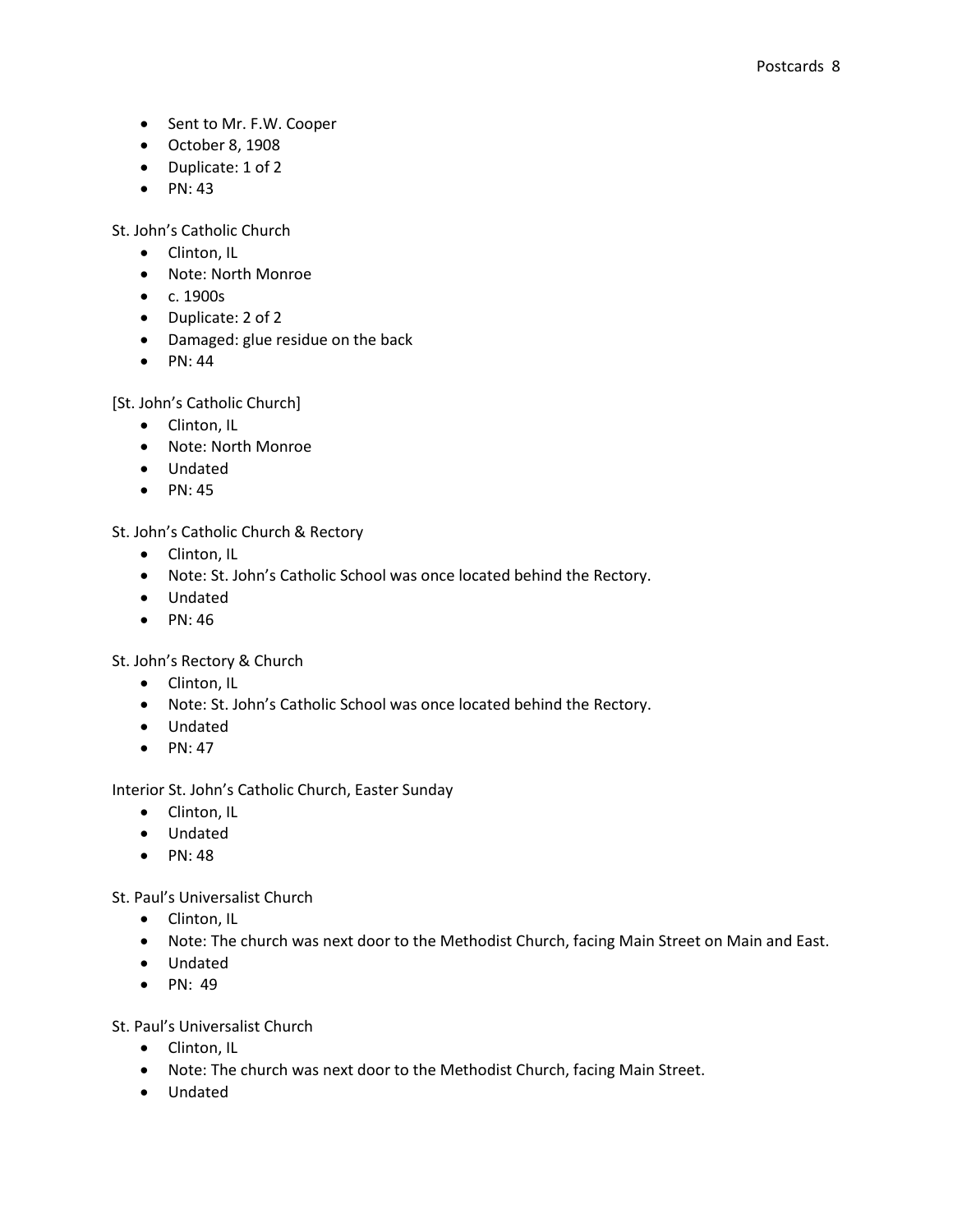- Sent to Mr. F.W. Cooper
- October 8, 1908
- Duplicate: 1 of 2
- $\bullet$  PN: 43

St. John's Catholic Church

- Clinton, IL
- Note: North Monroe
- $\bullet$  c. 1900s
- Duplicate: 2 of 2
- Damaged: glue residue on the back
- $\bullet$  PN: 44

[St. John's Catholic Church]

- Clinton, IL
- Note: North Monroe
- Undated
- $\bullet$  PN: 45

St. John's Catholic Church & Rectory

- Clinton, IL
- Note: St. John's Catholic School was once located behind the Rectory.
- Undated
- $\bullet$  PN: 46

St. John's Rectory & Church

- Clinton, IL
- Note: St. John's Catholic School was once located behind the Rectory.
- Undated
- $\bullet$  PN: 47

Interior St. John's Catholic Church, Easter Sunday

- Clinton, IL
- Undated
- $\bullet$  PN: 48

St. Paul's Universalist Church

- Clinton, IL
- Note: The church was next door to the Methodist Church, facing Main Street on Main and East.
- Undated
- $\bullet$  PN: 49

St. Paul's Universalist Church

- Clinton, IL
- Note: The church was next door to the Methodist Church, facing Main Street.
- Undated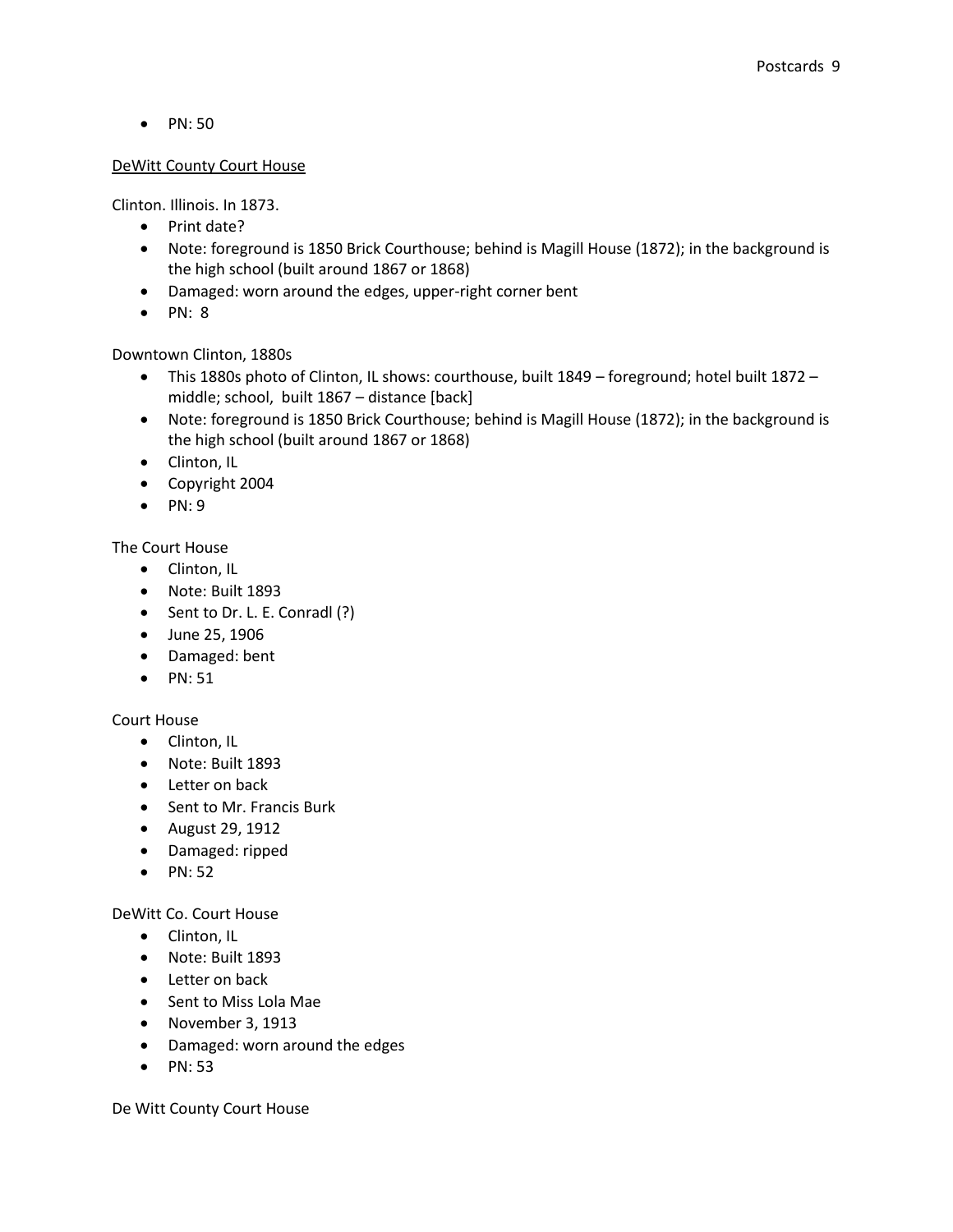• PN: 50

## DeWitt County Court House

Clinton. Illinois. In 1873.

- Print date?
- Note: foreground is 1850 Brick Courthouse; behind is Magill House (1872); in the background is the high school (built around 1867 or 1868)
- Damaged: worn around the edges, upper-right corner bent
- $\bullet$  PN: 8

Downtown Clinton, 1880s

- This 1880s photo of Clinton, IL shows: courthouse, built 1849 foreground; hotel built 1872 middle; school, built 1867 – distance [back]
- Note: foreground is 1850 Brick Courthouse; behind is Magill House (1872); in the background is the high school (built around 1867 or 1868)
- Clinton, IL
- Copyright 2004
- $\bullet$  PN: 9

The Court House

- Clinton, IL
- Note: Built 1893
- Sent to Dr. L. E. Conradl (?)
- June 25, 1906
- Damaged: bent
- $\bullet$  PN: 51

## Court House

- Clinton, IL
- Note: Built 1893
- Letter on back
- Sent to Mr. Francis Burk
- August 29, 1912
- Damaged: ripped
- $\bullet$  PN: 52

## DeWitt Co. Court House

- Clinton, IL
- Note: Built 1893
- Letter on back
- Sent to Miss Lola Mae
- November 3, 1913
- Damaged: worn around the edges
- $\bullet$  PN: 53

De Witt County Court House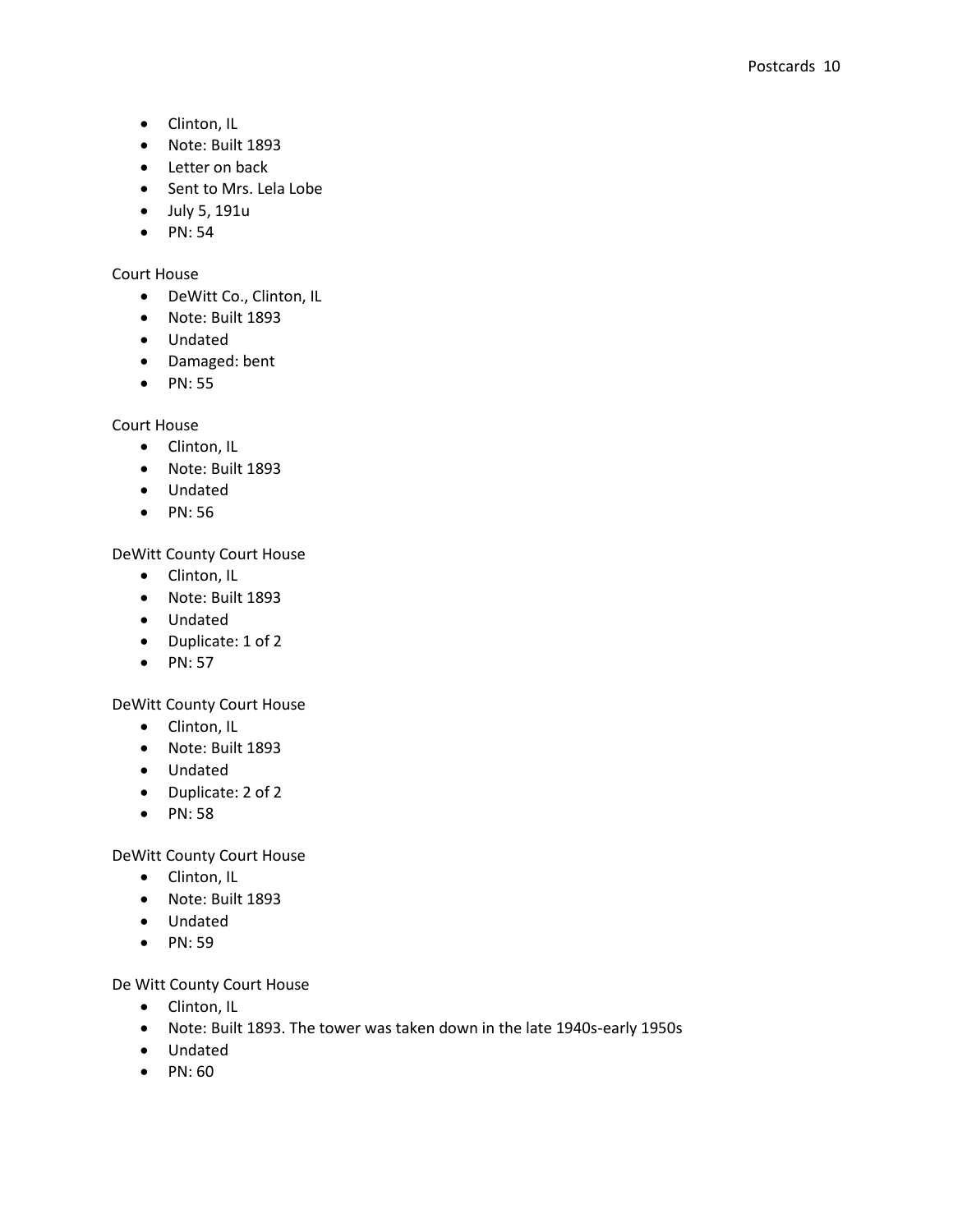- Clinton, IL
- Note: Built 1893
- Letter on back
- Sent to Mrs. Lela Lobe
- July 5, 191u
- $\bullet$  PN: 54

## Court House

- DeWitt Co., Clinton, IL
- Note: Built 1893
- Undated
- Damaged: bent
- $\bullet$  PN: 55

Court House

- Clinton, IL
- Note: Built 1893
- Undated
- PN: 56

## DeWitt County Court House

- Clinton, IL
- Note: Built 1893
- Undated
- Duplicate: 1 of 2
- $\bullet$  PN: 57

## DeWitt County Court House

- Clinton, IL
- Note: Built 1893
- Undated
- Duplicate: 2 of 2
- PN: 58

DeWitt County Court House

- Clinton, IL
- Note: Built 1893
- Undated
- PN: 59

De Witt County Court House

- Clinton, IL
- Note: Built 1893. The tower was taken down in the late 1940s-early 1950s
- Undated
- $\bullet$  PN: 60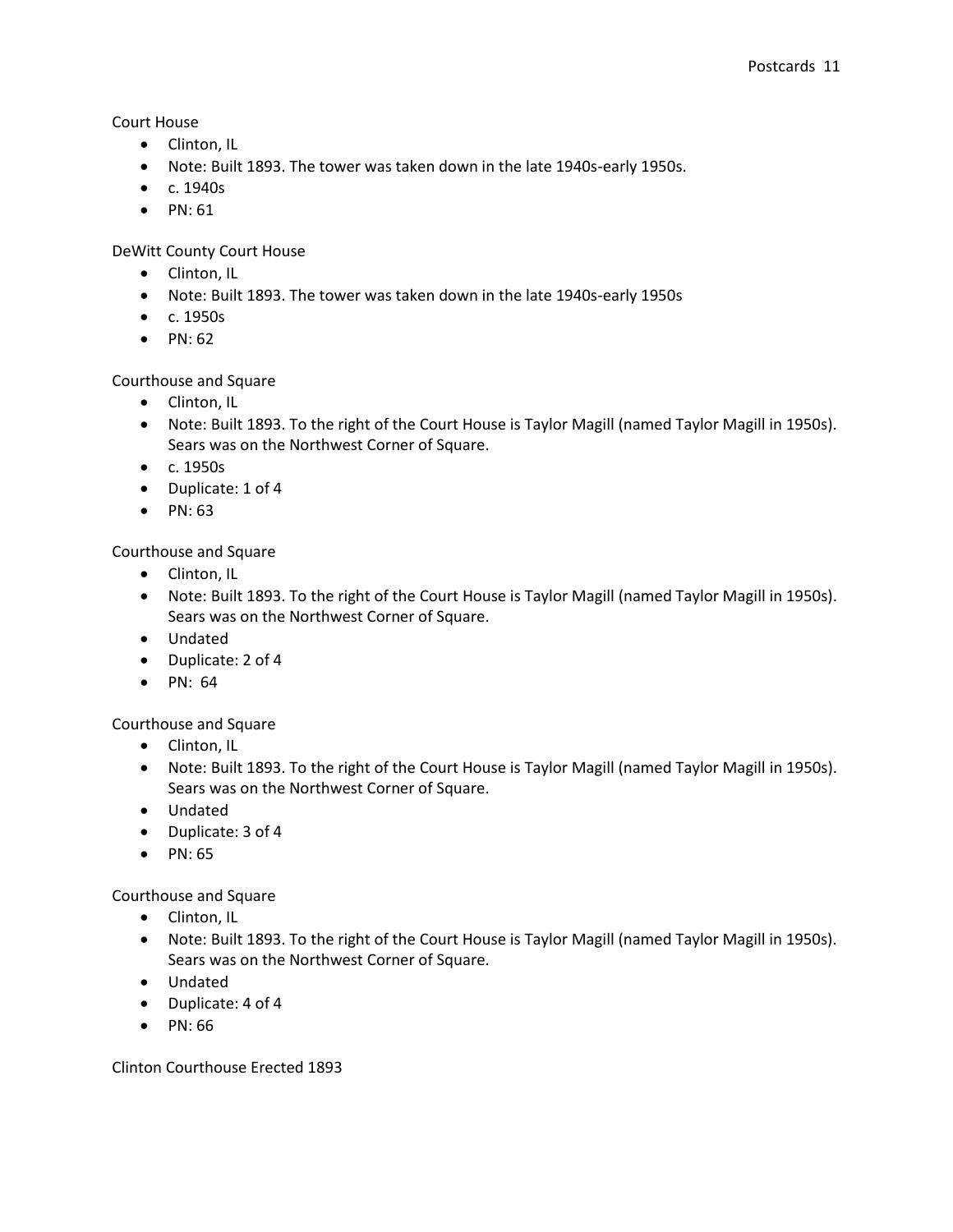Court House

- Clinton, IL
- Note: Built 1893. The tower was taken down in the late 1940s-early 1950s.
- c. 1940s
- $\bullet$  PN: 61

DeWitt County Court House

- Clinton, IL
- Note: Built 1893. The tower was taken down in the late 1940s-early 1950s
- c. 1950s
- $\bullet$  PN: 62

Courthouse and Square

- Clinton, IL
- Note: Built 1893. To the right of the Court House is Taylor Magill (named Taylor Magill in 1950s). Sears was on the Northwest Corner of Square.
- c. 1950s
- Duplicate: 1 of 4
- $\bullet$  PN: 63

Courthouse and Square

- Clinton, IL
- Note: Built 1893. To the right of the Court House is Taylor Magill (named Taylor Magill in 1950s). Sears was on the Northwest Corner of Square.
- Undated
- Duplicate: 2 of 4
- $\bullet$  PN: 64

Courthouse and Square

- Clinton, IL
- Note: Built 1893. To the right of the Court House is Taylor Magill (named Taylor Magill in 1950s). Sears was on the Northwest Corner of Square.
- Undated
- Duplicate: 3 of 4
- $\bullet$  PN: 65

Courthouse and Square

- Clinton, IL
- Note: Built 1893. To the right of the Court House is Taylor Magill (named Taylor Magill in 1950s). Sears was on the Northwest Corner of Square.
- Undated
- Duplicate: 4 of 4
- PN: 66

Clinton Courthouse Erected 1893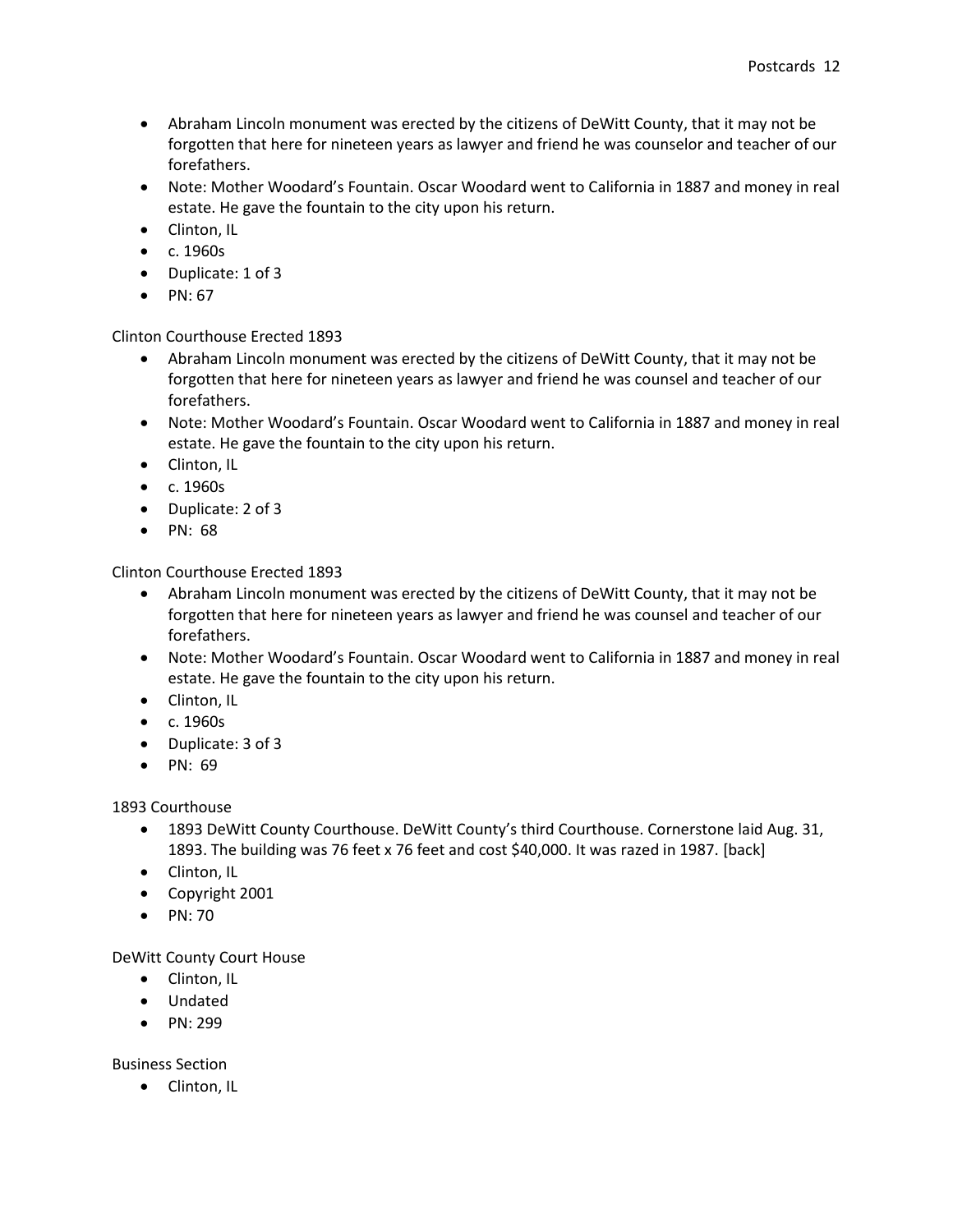- Abraham Lincoln monument was erected by the citizens of DeWitt County, that it may not be forgotten that here for nineteen years as lawyer and friend he was counselor and teacher of our forefathers.
- Note: Mother Woodard's Fountain. Oscar Woodard went to California in 1887 and money in real estate. He gave the fountain to the city upon his return.
- Clinton, IL
- $\bullet$  c. 1960s
- Duplicate: 1 of 3
- $\bullet$  PN: 67

Clinton Courthouse Erected 1893

- Abraham Lincoln monument was erected by the citizens of DeWitt County, that it may not be forgotten that here for nineteen years as lawyer and friend he was counsel and teacher of our forefathers.
- Note: Mother Woodard's Fountain. Oscar Woodard went to California in 1887 and money in real estate. He gave the fountain to the city upon his return.
- Clinton, IL
- c. 1960s
- Duplicate: 2 of 3
- $\bullet$  PN: 68

Clinton Courthouse Erected 1893

- Abraham Lincoln monument was erected by the citizens of DeWitt County, that it may not be forgotten that here for nineteen years as lawyer and friend he was counsel and teacher of our forefathers.
- Note: Mother Woodard's Fountain. Oscar Woodard went to California in 1887 and money in real estate. He gave the fountain to the city upon his return.
- Clinton, IL
- c. 1960s
- Duplicate: 3 of 3
- $\bullet$  PN: 69

1893 Courthouse

- 1893 DeWitt County Courthouse. DeWitt County's third Courthouse. Cornerstone laid Aug. 31, 1893. The building was 76 feet x 76 feet and cost \$40,000. It was razed in 1987. [back]
- Clinton, IL
- Copyright 2001
- $\bullet$  PN: 70

DeWitt County Court House

- Clinton, IL
- Undated
- $\bullet$  PN: 299

Business Section

• Clinton, IL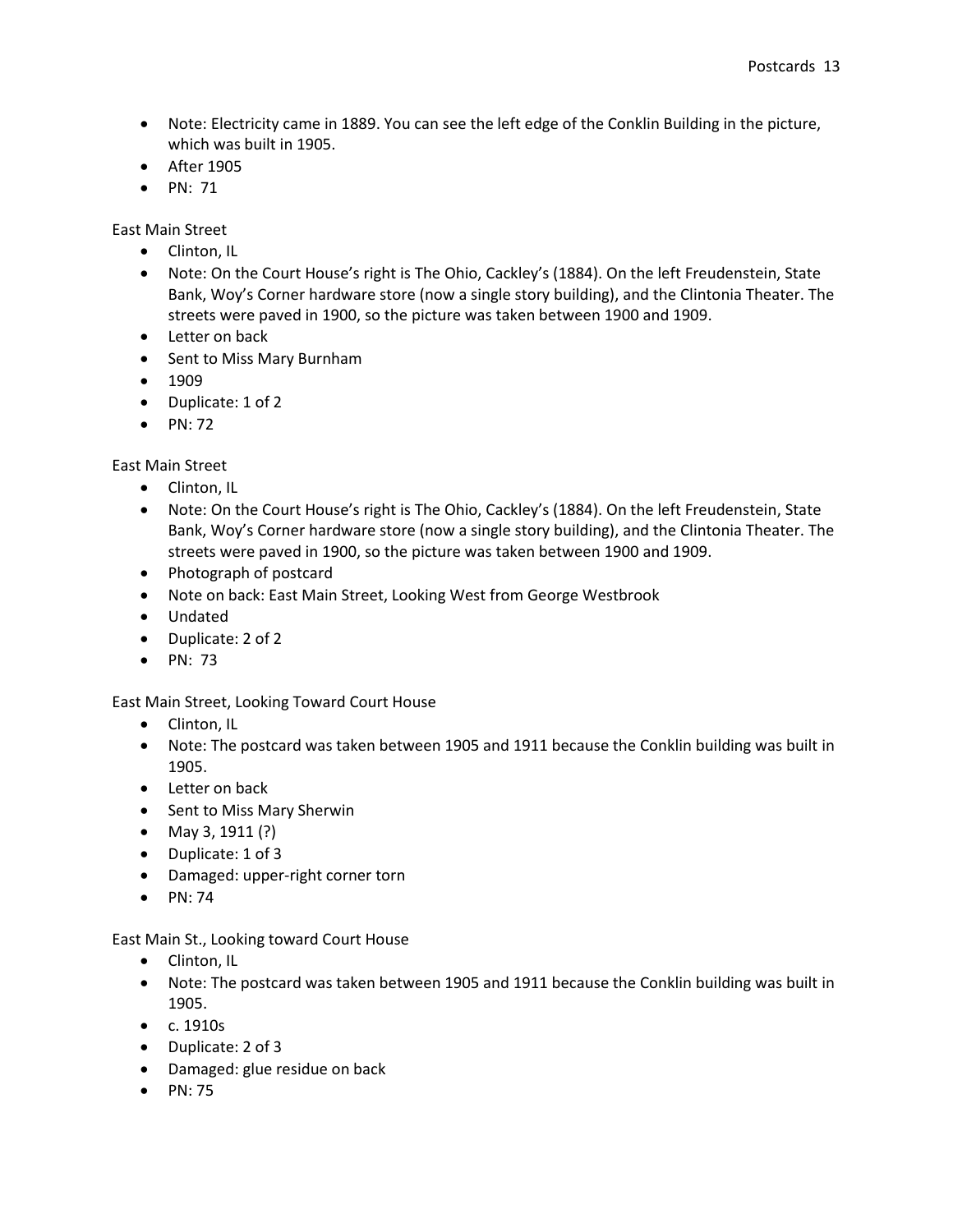- Note: Electricity came in 1889. You can see the left edge of the Conklin Building in the picture, which was built in 1905.
- After 1905
- $\bullet$  PN: 71

East Main Street

- Clinton, IL
- Note: On the Court House's right is The Ohio, Cackley's (1884). On the left Freudenstein, State Bank, Woy's Corner hardware store (now a single story building), and the Clintonia Theater. The streets were paved in 1900, so the picture was taken between 1900 and 1909.
- Letter on back
- Sent to Miss Mary Burnham
- $1909$
- Duplicate: 1 of 2
- $\bullet$  PN: 72

East Main Street

- Clinton, IL
- Note: On the Court House's right is The Ohio, Cackley's (1884). On the left Freudenstein, State Bank, Woy's Corner hardware store (now a single story building), and the Clintonia Theater. The streets were paved in 1900, so the picture was taken between 1900 and 1909.
- Photograph of postcard
- Note on back: East Main Street, Looking West from George Westbrook
- Undated
- Duplicate: 2 of 2
- $\bullet$  PN: 73

East Main Street, Looking Toward Court House

- Clinton, IL
- Note: The postcard was taken between 1905 and 1911 because the Conklin building was built in 1905.
- Letter on back
- Sent to Miss Mary Sherwin
- May 3, 1911  $(?)$
- Duplicate: 1 of 3
- Damaged: upper-right corner torn
- $\bullet$  PN: 74

#### East Main St., Looking toward Court House

- Clinton, IL
- Note: The postcard was taken between 1905 and 1911 because the Conklin building was built in 1905.
- c. 1910s
- Duplicate: 2 of 3
- Damaged: glue residue on back
- $\bullet$  PN: 75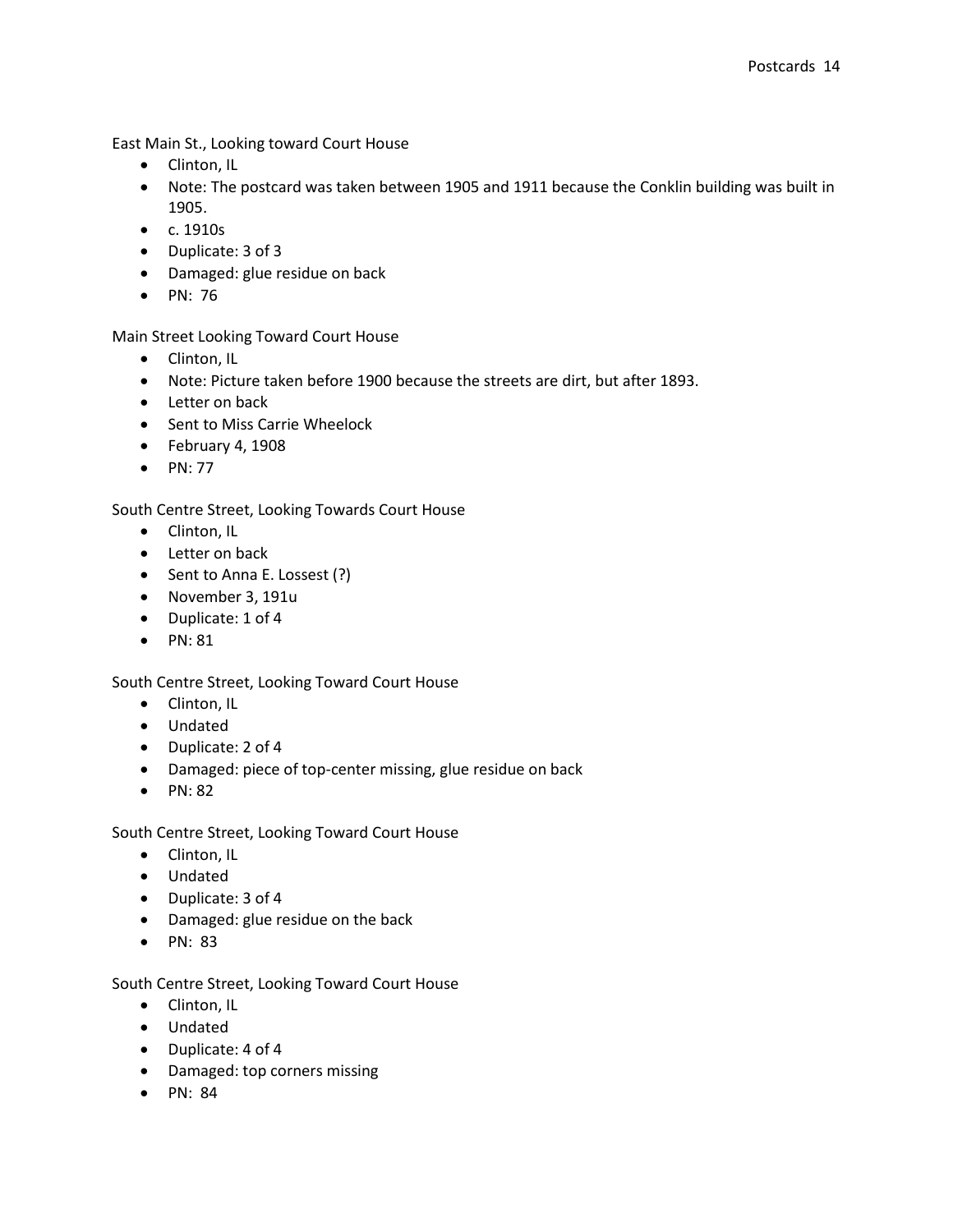East Main St., Looking toward Court House

- Clinton, IL
- Note: The postcard was taken between 1905 and 1911 because the Conklin building was built in 1905.
- c. 1910s
- Duplicate: 3 of 3
- Damaged: glue residue on back
- PN: 76

Main Street Looking Toward Court House

- Clinton, IL
- Note: Picture taken before 1900 because the streets are dirt, but after 1893.
- Letter on back
- Sent to Miss Carrie Wheelock
- $\bullet$  February 4, 1908
- $\bullet$  PN: 77

South Centre Street, Looking Towards Court House

- Clinton, IL
- Letter on back
- Sent to Anna E. Lossest (?)
- November 3, 191u
- Duplicate: 1 of 4
- $\bullet$  PN: 81

South Centre Street, Looking Toward Court House

- Clinton, IL
- Undated
- Duplicate: 2 of 4
- Damaged: piece of top-center missing, glue residue on back
- $\bullet$  PN: 82

South Centre Street, Looking Toward Court House

- Clinton, IL
- Undated
- Duplicate: 3 of 4
- Damaged: glue residue on the back
- $\bullet$  PN: 83

South Centre Street, Looking Toward Court House

- Clinton, IL
- Undated
- Duplicate: 4 of 4
- Damaged: top corners missing
- PN: 84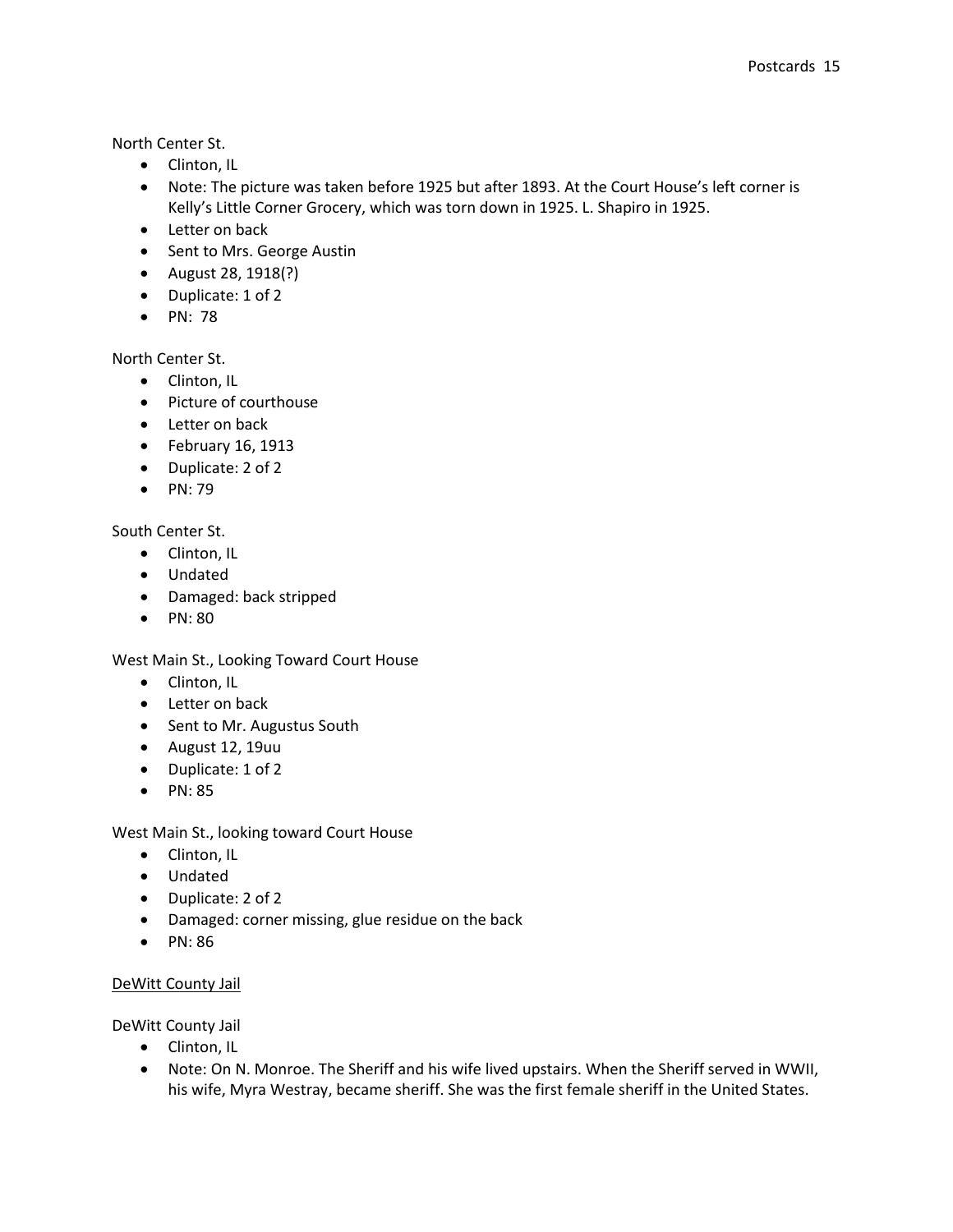North Center St.

- Clinton, IL
- Note: The picture was taken before 1925 but after 1893. At the Court House's left corner is Kelly's Little Corner Grocery, which was torn down in 1925. L. Shapiro in 1925.
- Letter on back
- Sent to Mrs. George Austin
- August 28, 1918(?)
- Duplicate: 1 of 2
- $\bullet$  PN: 78

North Center St.

- Clinton, IL
- Picture of courthouse
- Letter on back
- $\bullet$  February 16, 1913
- Duplicate: 2 of 2
- $\bullet$  PN: 79

## South Center St.

- Clinton, IL
- Undated
- Damaged: back stripped
- $\bullet$  PN: 80

West Main St., Looking Toward Court House

- Clinton, IL
- Letter on back
- Sent to Mr. Augustus South
- August 12, 19uu
- Duplicate: 1 of 2
- $\bullet$  PN: 85

West Main St., looking toward Court House

- Clinton, IL
- Undated
- Duplicate: 2 of 2
- Damaged: corner missing, glue residue on the back
- PN: 86

## DeWitt County Jail

DeWitt County Jail

- Clinton, IL
- Note: On N. Monroe. The Sheriff and his wife lived upstairs. When the Sheriff served in WWII, his wife, Myra Westray, became sheriff. She was the first female sheriff in the United States.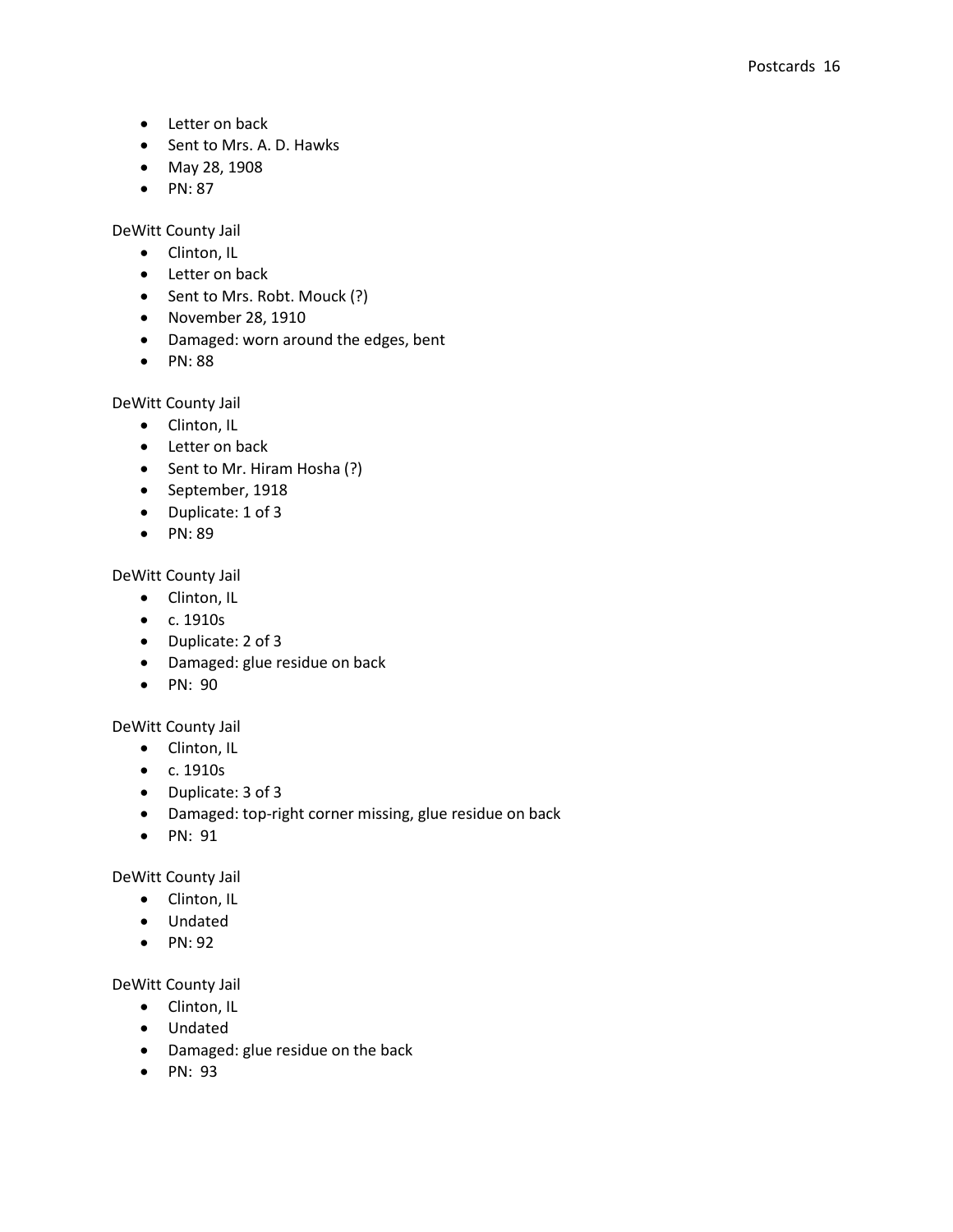- Letter on back
- Sent to Mrs. A. D. Hawks
- May 28, 1908
- $\bullet$  PN: 87

DeWitt County Jail

- Clinton, IL
- Letter on back
- Sent to Mrs. Robt. Mouck (?)
- November 28, 1910
- Damaged: worn around the edges, bent
- PN: 88

DeWitt County Jail

- Clinton, IL
- Letter on back
- Sent to Mr. Hiram Hosha (?)
- September, 1918
- Duplicate: 1 of 3
- $\bullet$  PN: 89

DeWitt County Jail

- Clinton, IL
- c. 1910s
- Duplicate: 2 of 3
- Damaged: glue residue on back
- PN: 90

## DeWitt County Jail

- Clinton, IL
- c. 1910s
- Duplicate: 3 of 3
- Damaged: top-right corner missing, glue residue on back
- PN: 91

## DeWitt County Jail

- Clinton, IL
- Undated
- $\bullet$  PN: 92

DeWitt County Jail

- Clinton, IL
- Undated
- Damaged: glue residue on the back
- $\bullet$  PN: 93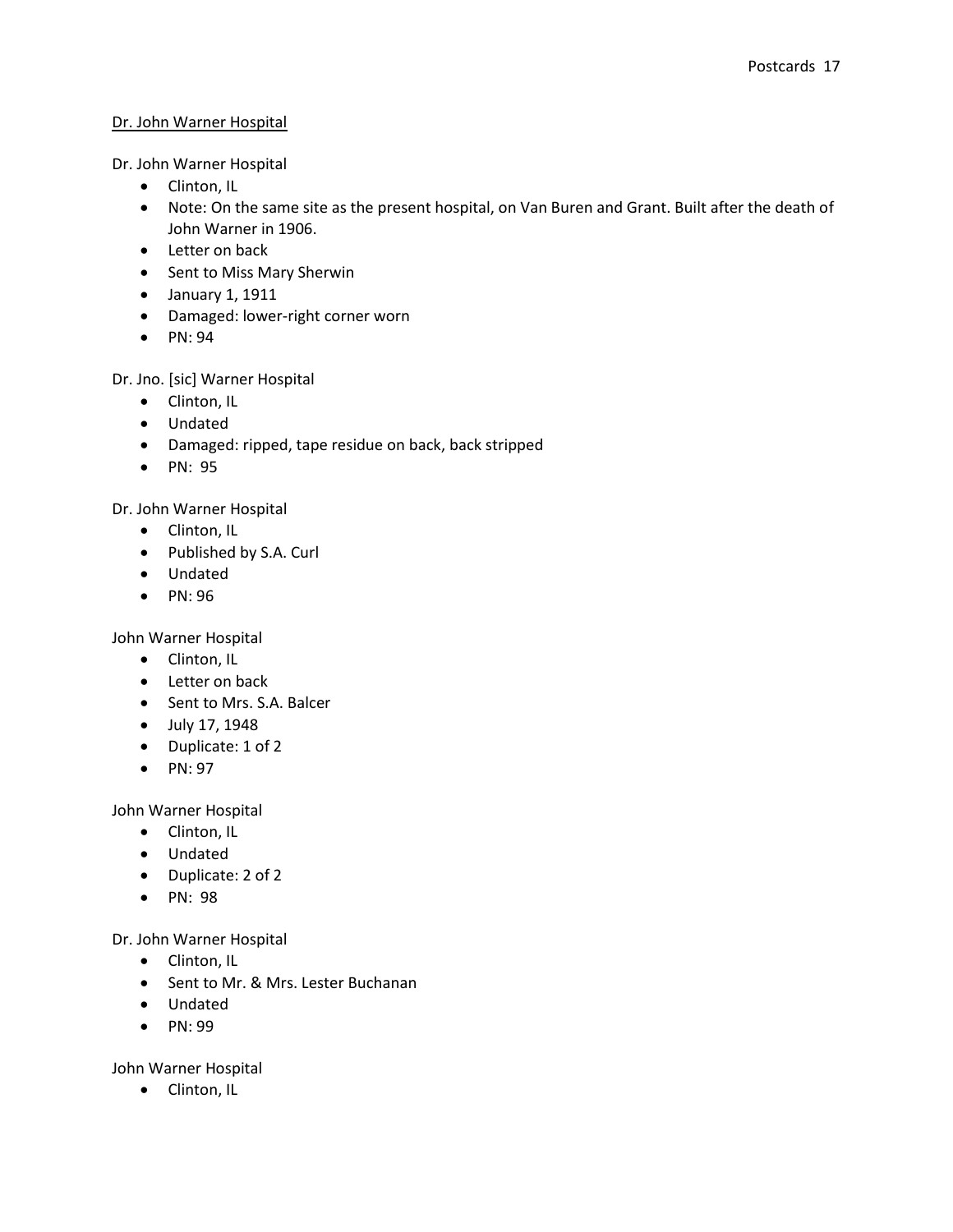## Dr. John Warner Hospital

Dr. John Warner Hospital

- Clinton, IL
- Note: On the same site as the present hospital, on Van Buren and Grant. Built after the death of John Warner in 1906.
- Letter on back
- Sent to Miss Mary Sherwin
- January 1, 1911
- Damaged: lower-right corner worn
- $\bullet$  PN: 94

Dr. Jno. [sic] Warner Hospital

- Clinton, IL
- Undated
- Damaged: ripped, tape residue on back, back stripped
- PN: 95

Dr. John Warner Hospital

- Clinton, IL
- Published by S.A. Curl
- Undated
- $\bullet$  PN: 96

John Warner Hospital

- Clinton, IL
- Letter on back
- Sent to Mrs. S.A. Balcer
- July 17, 1948
- Duplicate: 1 of 2
- $\bullet$  PN: 97

John Warner Hospital

- Clinton, IL
- Undated
- Duplicate: 2 of 2
- PN: 98

Dr. John Warner Hospital

- Clinton, IL
- Sent to Mr. & Mrs. Lester Buchanan
- Undated
- PN: 99

John Warner Hospital

• Clinton, IL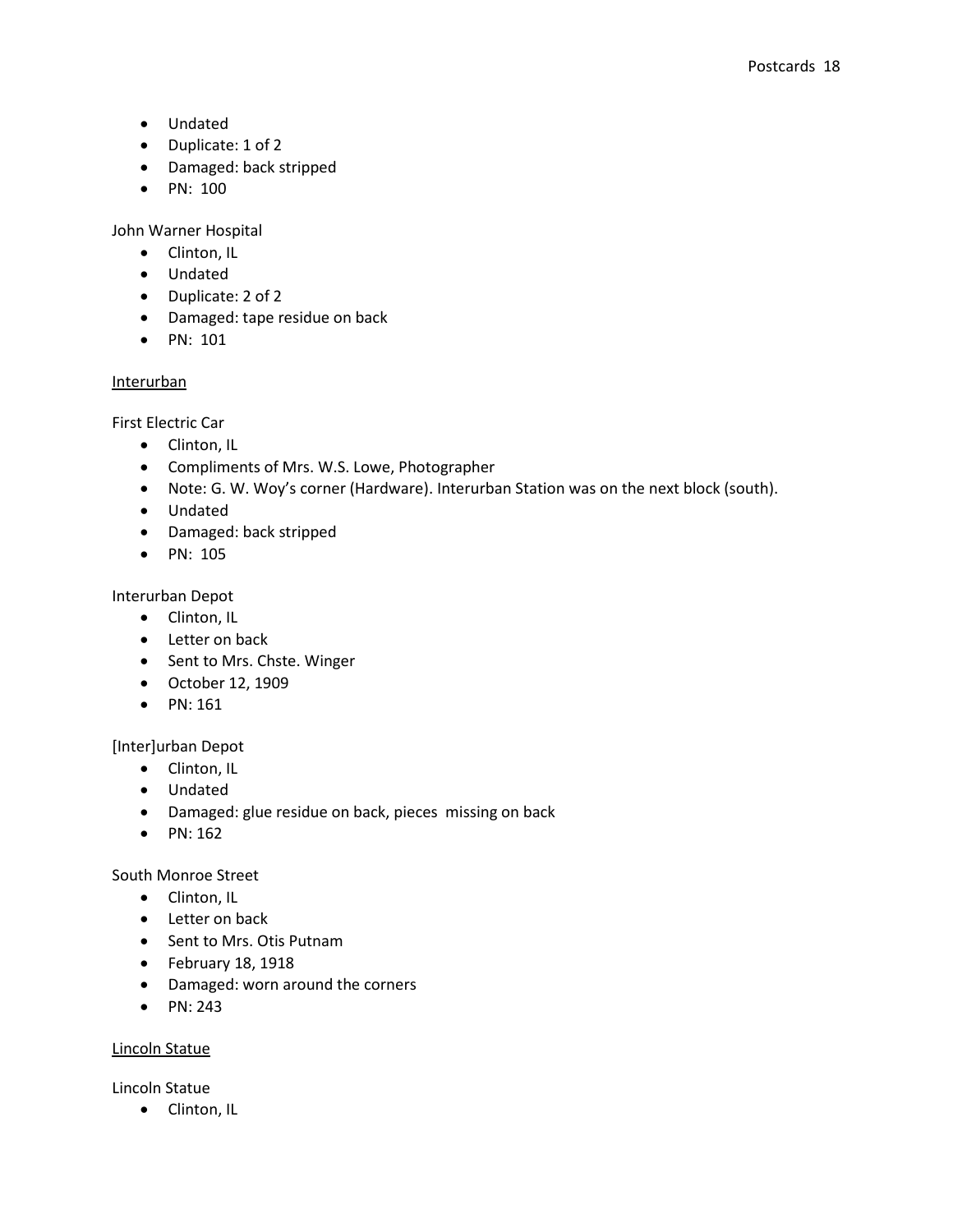- Undated
- Duplicate: 1 of 2
- Damaged: back stripped
- PN: 100

John Warner Hospital

- Clinton, IL
- Undated
- Duplicate: 2 of 2
- Damaged: tape residue on back
- PN: 101

## Interurban

First Electric Car

- Clinton, IL
- Compliments of Mrs. W.S. Lowe, Photographer
- Note: G. W. Woy's corner (Hardware). Interurban Station was on the next block (south).
- Undated
- Damaged: back stripped
- PN: 105

Interurban Depot

- Clinton, IL
- Letter on back
- Sent to Mrs. Chste. Winger
- October 12, 1909
- $\bullet$  PN: 161

[Inter]urban Depot

- Clinton, IL
- Undated
- Damaged: glue residue on back, pieces missing on back
- $\bullet$  PN: 162

South Monroe Street

- Clinton, IL
- Letter on back
- Sent to Mrs. Otis Putnam
- $\bullet$  February 18, 1918
- Damaged: worn around the corners
- $\bullet$  PN: 243

## Lincoln Statue

Lincoln Statue

• Clinton, IL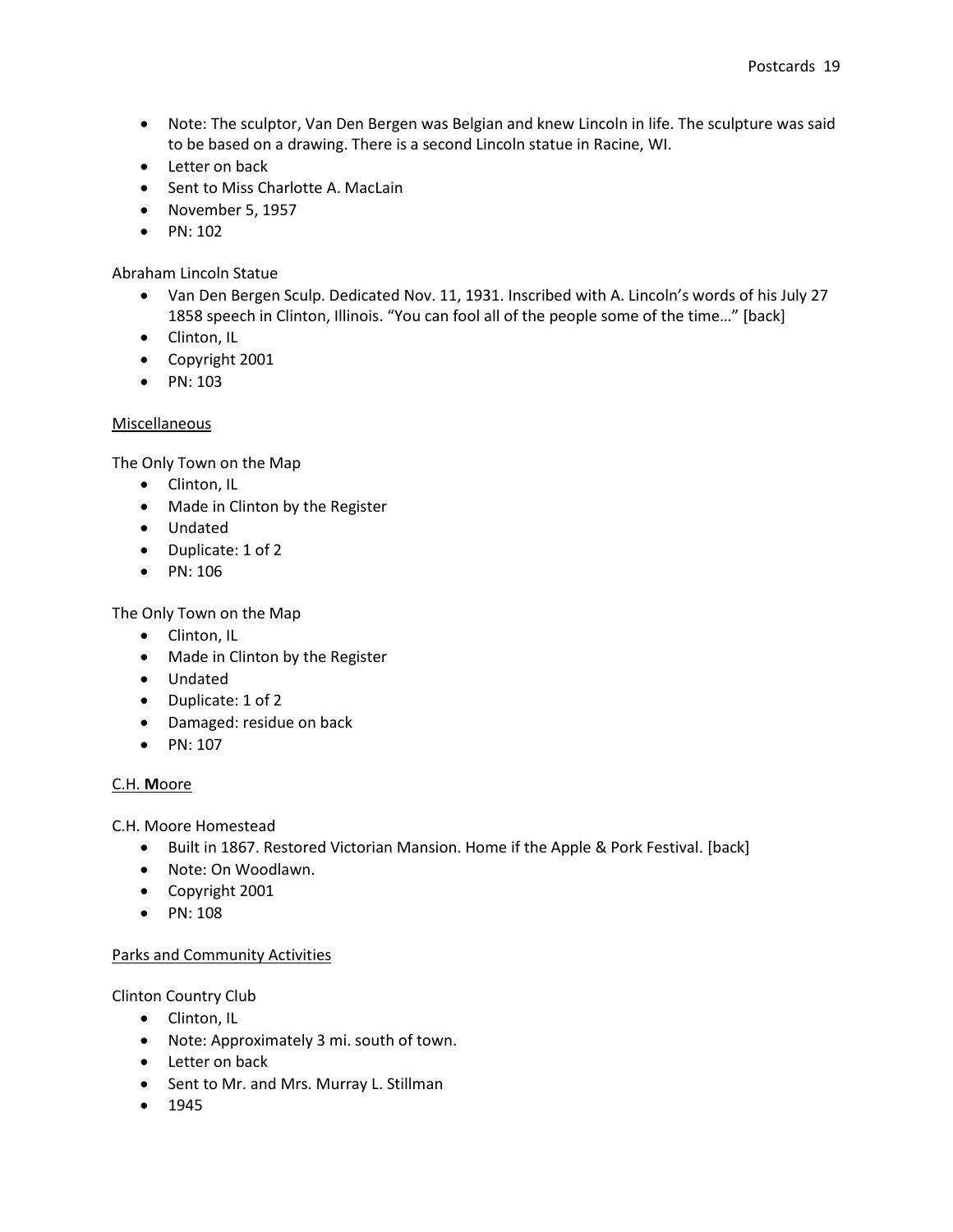- Note: The sculptor, Van Den Bergen was Belgian and knew Lincoln in life. The sculpture was said to be based on a drawing. There is a second Lincoln statue in Racine, WI.
- Letter on back
- Sent to Miss Charlotte A. MacLain
- November 5, 1957
- $\bullet$  PN: 102

## Abraham Lincoln Statue

- Van Den Bergen Sculp. Dedicated Nov. 11, 1931. Inscribed with A. Lincoln's words of his July 27 1858 speech in Clinton, Illinois. "You can fool all of the people some of the time…" [back]
- Clinton, IL
- Copyright 2001
- $\bullet$  PN: 103

## Miscellaneous

The Only Town on the Map

- Clinton, IL
- Made in Clinton by the Register
- Undated
- Duplicate: 1 of 2
- PN: 106

The Only Town on the Map

- Clinton, IL
- Made in Clinton by the Register
- Undated
- Duplicate: 1 of 2
- Damaged: residue on back
- $\bullet$  PN: 107

## C.H. **M**oore

C.H. Moore Homestead

- Built in 1867. Restored Victorian Mansion. Home if the Apple & Pork Festival. [back]
- Note: On Woodlawn.
- Copyright 2001
- $\bullet$  PN: 108

## Parks and Community Activities

Clinton Country Club

- Clinton, IL
- Note: Approximately 3 mi. south of town.
- Letter on back
- Sent to Mr. and Mrs. Murray L. Stillman
- $1945$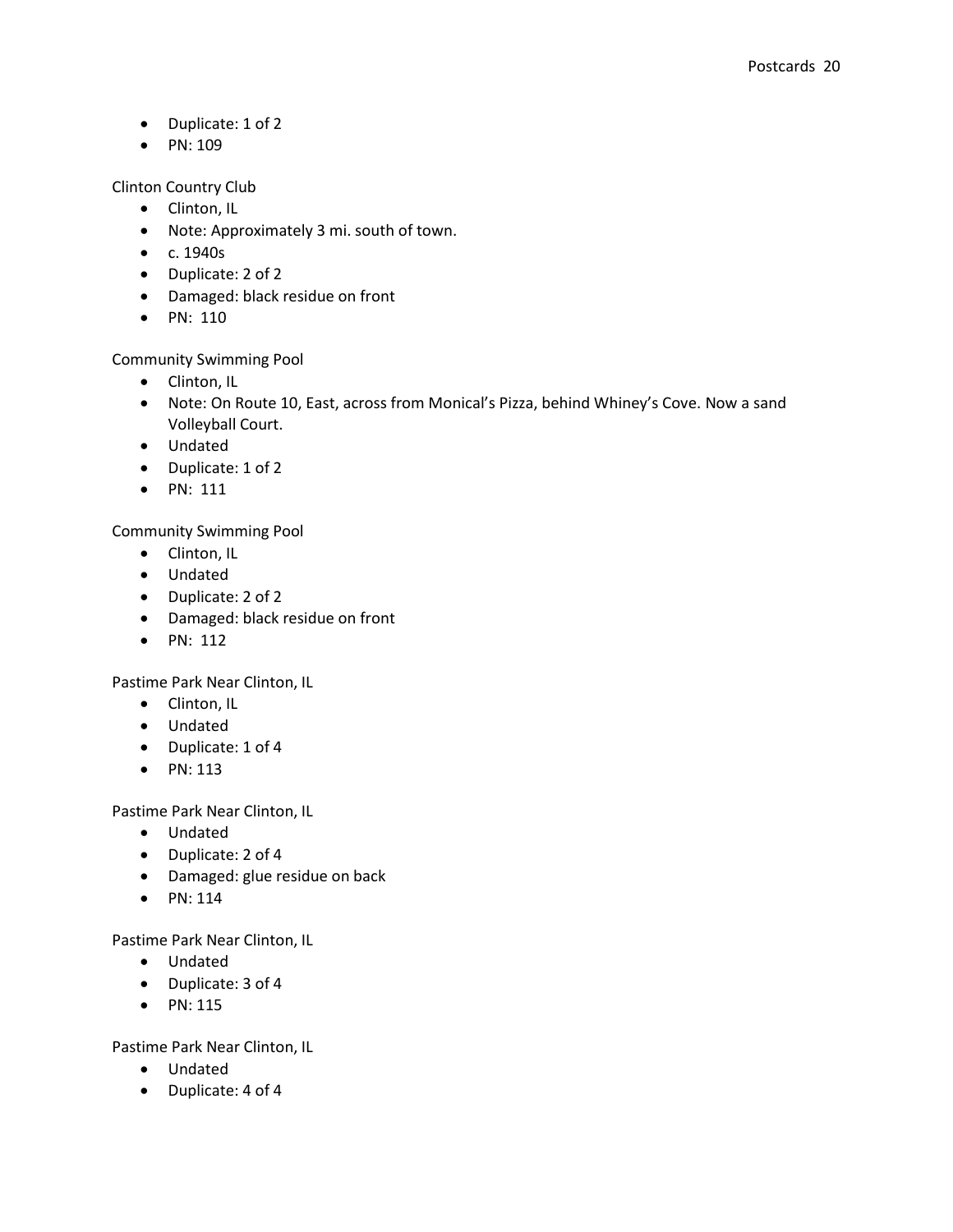- Duplicate: 1 of 2
- $\bullet$  PN: 109

Clinton Country Club

- Clinton, IL
- Note: Approximately 3 mi. south of town.
- c. 1940s
- Duplicate: 2 of 2
- Damaged: black residue on front
- $\bullet$  PN: 110

Community Swimming Pool

- Clinton, IL
- Note: On Route 10, East, across from Monical's Pizza, behind Whiney's Cove. Now a sand Volleyball Court.
- Undated
- Duplicate: 1 of 2
- $\bullet$  PN: 111

Community Swimming Pool

- Clinton, IL
- Undated
- Duplicate: 2 of 2
- Damaged: black residue on front
- $\bullet$  PN: 112

Pastime Park Near Clinton, IL

- Clinton, IL
- Undated
- Duplicate: 1 of 4
- $\bullet$  PN: 113

Pastime Park Near Clinton, IL

- Undated
- Duplicate: 2 of 4
- Damaged: glue residue on back
- $\bullet$  PN: 114

Pastime Park Near Clinton, IL

- Undated
- Duplicate: 3 of 4
- $\bullet$  PN: 115

Pastime Park Near Clinton, IL

- Undated
- Duplicate: 4 of 4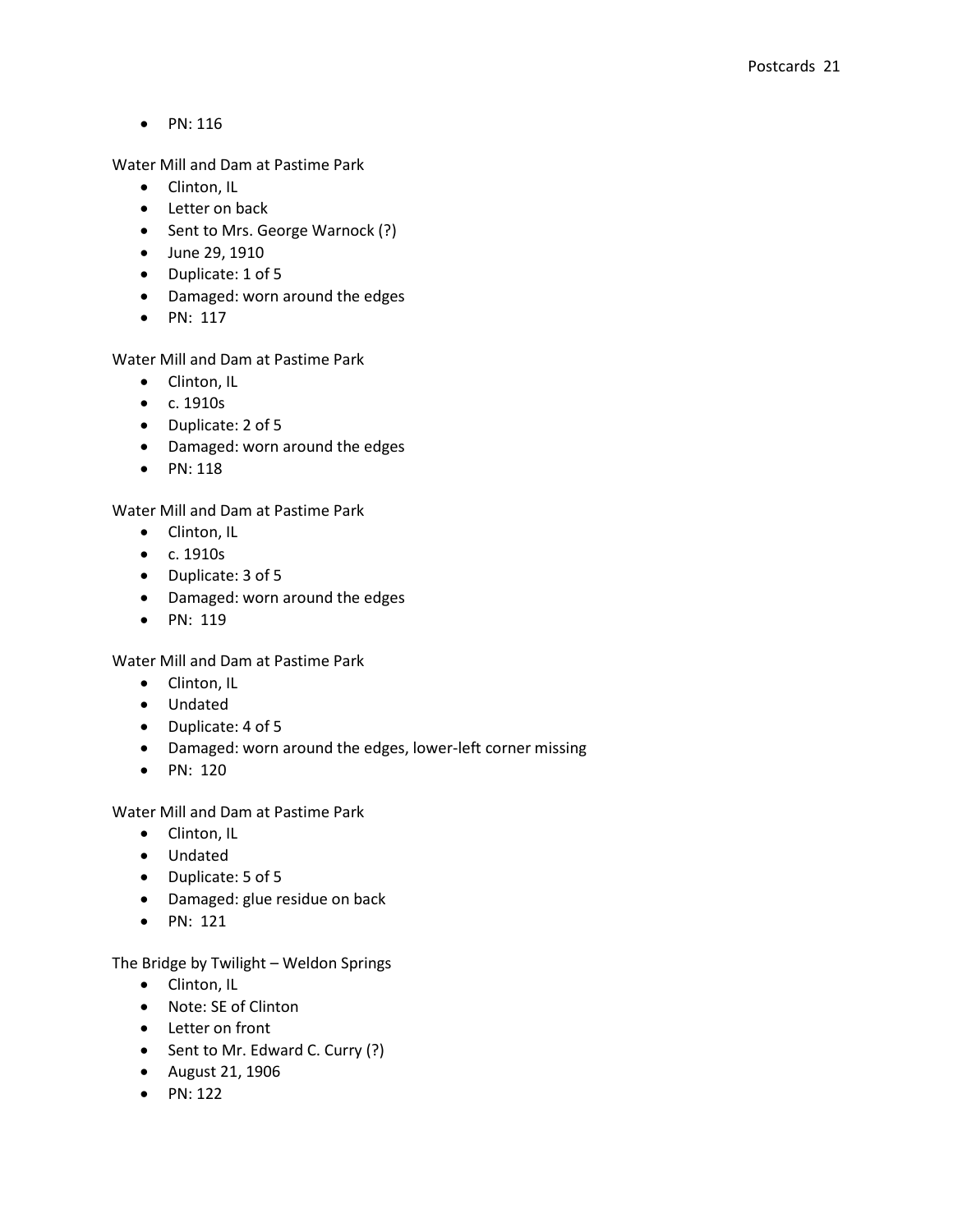$\bullet$  PN: 116

Water Mill and Dam at Pastime Park

- Clinton, IL
- Letter on back
- Sent to Mrs. George Warnock (?)
- June 29, 1910
- Duplicate: 1 of 5
- Damaged: worn around the edges
- $\bullet$  PN: 117

Water Mill and Dam at Pastime Park

- Clinton, IL
- c. 1910s
- Duplicate: 2 of 5
- Damaged: worn around the edges
- $\bullet$  PN: 118

Water Mill and Dam at Pastime Park

- Clinton, IL
- c. 1910s
- Duplicate: 3 of 5
- Damaged: worn around the edges
- PN: 119

Water Mill and Dam at Pastime Park

- Clinton, IL
- Undated
- Duplicate: 4 of 5
- Damaged: worn around the edges, lower-left corner missing
- PN: 120

Water Mill and Dam at Pastime Park

- Clinton, IL
- Undated
- Duplicate: 5 of 5
- Damaged: glue residue on back
- PN: 121

The Bridge by Twilight – Weldon Springs

- Clinton, IL
- Note: SE of Clinton
- Letter on front
- Sent to Mr. Edward C. Curry (?)
- August 21, 1906
- $\bullet$  PN: 122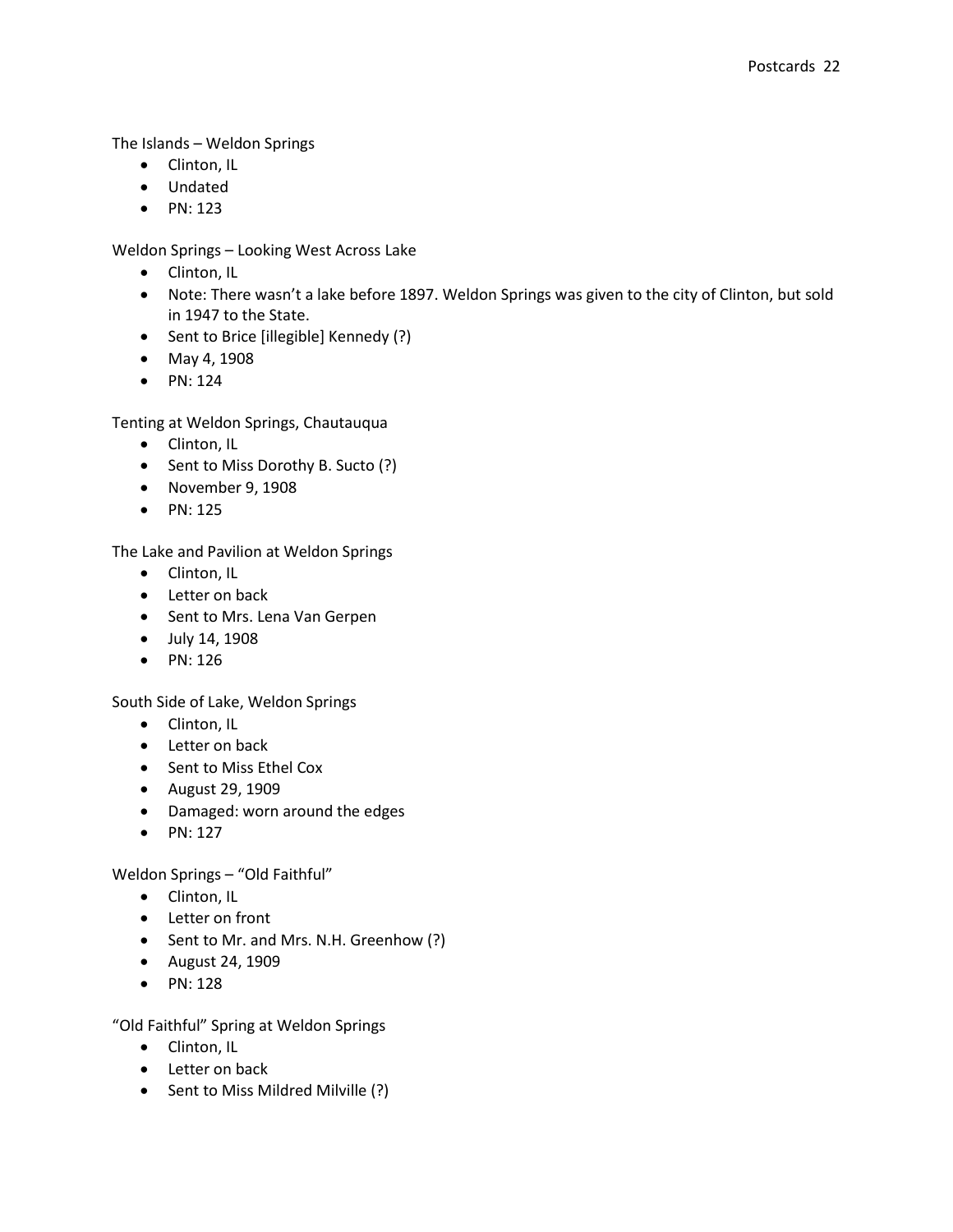The Islands – Weldon Springs

- Clinton, IL
- Undated
- $\bullet$  PN: 123

Weldon Springs – Looking West Across Lake

- Clinton, IL
- Note: There wasn't a lake before 1897. Weldon Springs was given to the city of Clinton, but sold in 1947 to the State.
- Sent to Brice [illegible] Kennedy (?)
- May 4, 1908
- $\bullet$  PN: 124

Tenting at Weldon Springs, Chautauqua

- Clinton, IL
- Sent to Miss Dorothy B. Sucto (?)
- November 9, 1908
- $\bullet$  PN: 125

The Lake and Pavilion at Weldon Springs

- Clinton, IL
- Letter on back
- Sent to Mrs. Lena Van Gerpen
- July 14, 1908
- PN: 126

South Side of Lake, Weldon Springs

- Clinton, IL
- Letter on back
- Sent to Miss Ethel Cox
- August 29, 1909
- Damaged: worn around the edges
- $\bullet$  PN: 127

Weldon Springs – "Old Faithful"

- Clinton, IL
- Letter on front
- Sent to Mr. and Mrs. N.H. Greenhow (?)
- August 24, 1909
- PN: 128

"Old Faithful" Spring at Weldon Springs

- Clinton, IL
- Letter on back
- Sent to Miss Mildred Milville (?)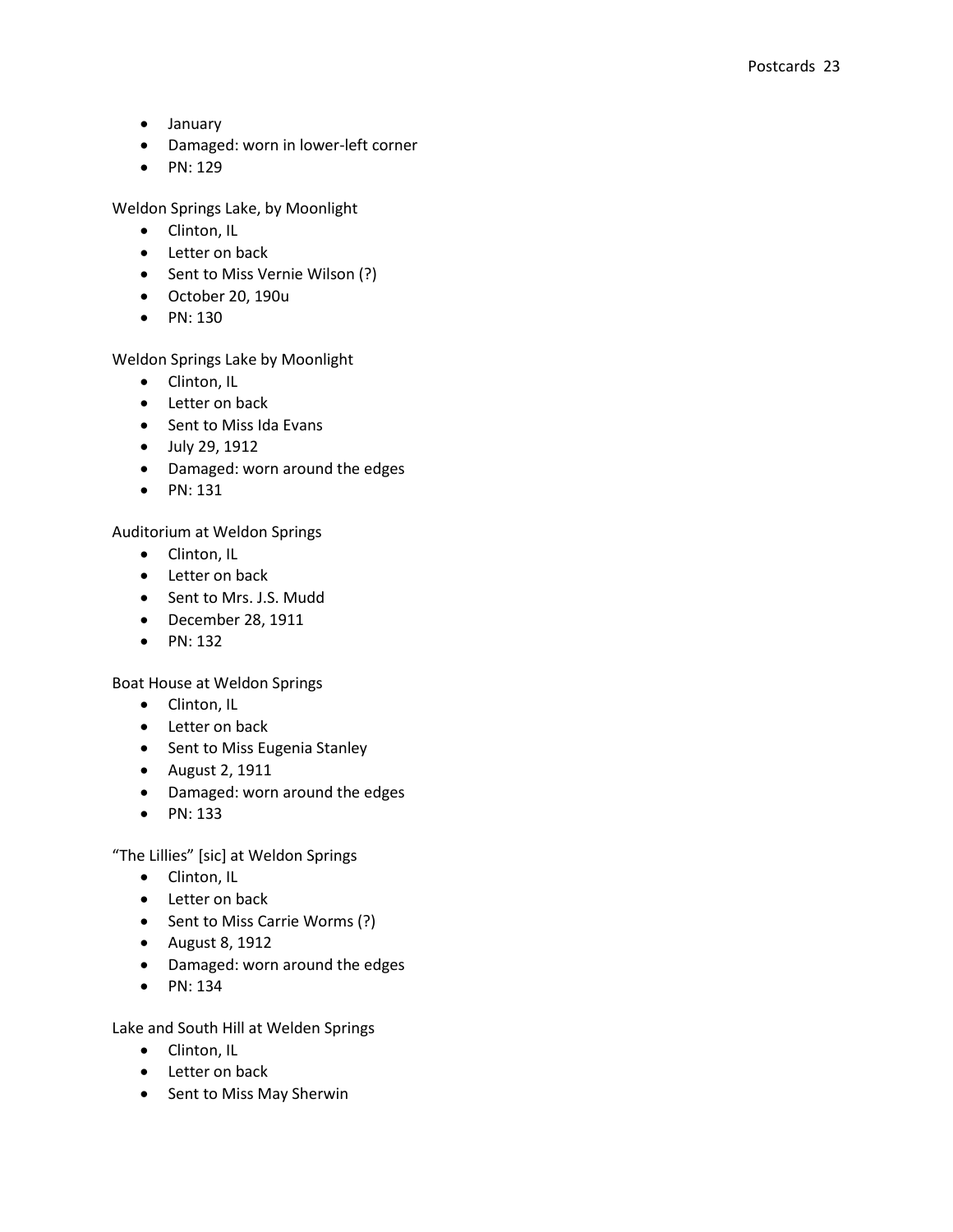- January
- Damaged: worn in lower-left corner
- $\bullet$  PN: 129

Weldon Springs Lake, by Moonlight

- Clinton, IL
- Letter on back
- Sent to Miss Vernie Wilson (?)
- October 20, 190u
- PN: 130

## Weldon Springs Lake by Moonlight

- Clinton, IL
- Letter on back
- Sent to Miss Ida Evans
- July 29, 1912
- Damaged: worn around the edges
- $\bullet$  PN: 131

Auditorium at Weldon Springs

- Clinton, IL
- Letter on back
- Sent to Mrs. J.S. Mudd
- December 28, 1911
- $\bullet$  PN: 132

Boat House at Weldon Springs

- Clinton, IL
- Letter on back
- Sent to Miss Eugenia Stanley
- August 2, 1911
- Damaged: worn around the edges
- $\bullet$  PN: 133

"The Lillies" [sic] at Weldon Springs

- Clinton, IL
- Letter on back
- Sent to Miss Carrie Worms (?)
- August 8, 1912
- Damaged: worn around the edges
- $\bullet$  PN: 134

Lake and South Hill at Welden Springs

- Clinton, IL
- Letter on back
- Sent to Miss May Sherwin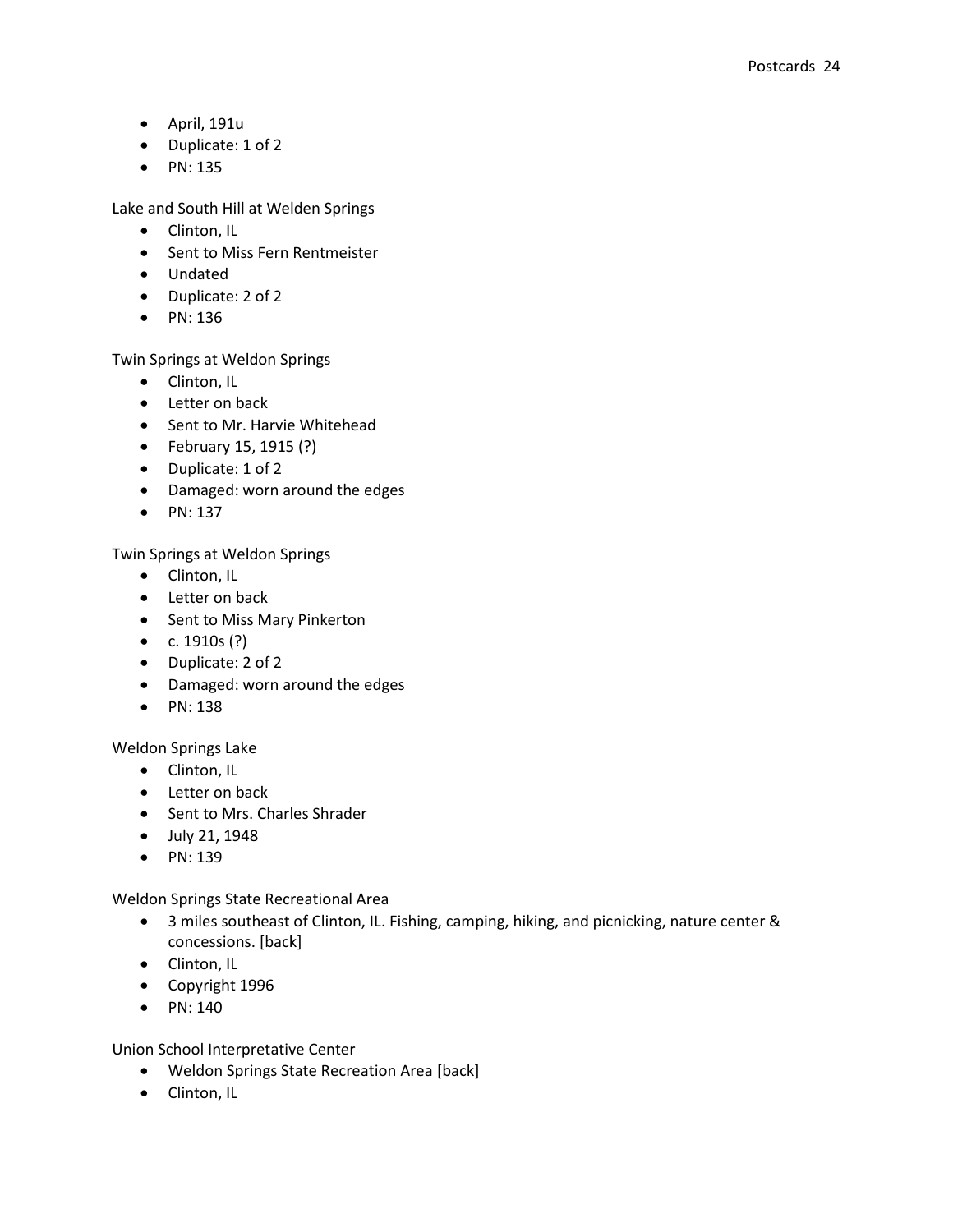- April, 191u
- Duplicate: 1 of 2
- $\bullet$  PN: 135

Lake and South Hill at Welden Springs

- Clinton, IL
- Sent to Miss Fern Rentmeister
- Undated
- Duplicate: 2 of 2
- PN: 136

Twin Springs at Weldon Springs

- Clinton, IL
- Letter on back
- Sent to Mr. Harvie Whitehead
- February 15, 1915 (?)
- Duplicate: 1 of 2
- Damaged: worn around the edges
- $\bullet$  PN: 137

Twin Springs at Weldon Springs

- Clinton, IL
- Letter on back
- Sent to Miss Mary Pinkerton
- $c. 1910s$  (?)
- Duplicate: 2 of 2
- Damaged: worn around the edges
- $\bullet$  PN: 138

Weldon Springs Lake

- Clinton, IL
- Letter on back
- Sent to Mrs. Charles Shrader
- July 21, 1948
- PN: 139

Weldon Springs State Recreational Area

- 3 miles southeast of Clinton, IL. Fishing, camping, hiking, and picnicking, nature center & concessions. [back]
- Clinton, IL
- Copyright 1996
- $\bullet$  PN: 140

Union School Interpretative Center

- Weldon Springs State Recreation Area [back]
- Clinton, IL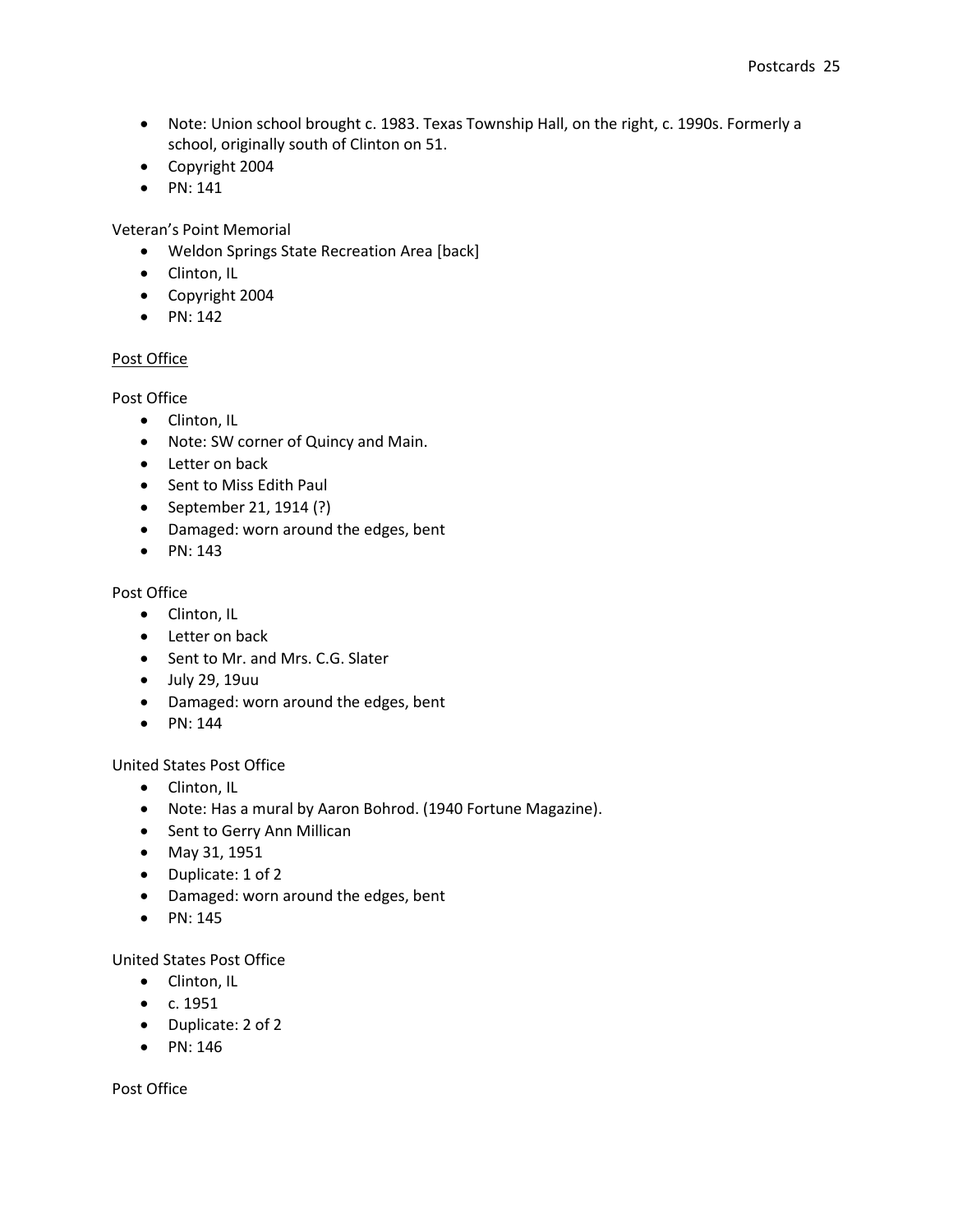- Note: Union school brought c. 1983. Texas Township Hall, on the right, c. 1990s. Formerly a school, originally south of Clinton on 51.
- Copyright 2004
- $\bullet$  PN: 141

Veteran's Point Memorial

- Weldon Springs State Recreation Area [back]
- Clinton, IL
- Copyright 2004
- $\bullet$  PN: 142

## Post Office

Post Office

- Clinton, IL
- Note: SW corner of Quincy and Main.
- Letter on back
- Sent to Miss Edith Paul
- September 21, 1914 (?)
- Damaged: worn around the edges, bent
- $\bullet$  PN: 143

### Post Office

- Clinton, IL
- Letter on back
- Sent to Mr. and Mrs. C.G. Slater
- July 29, 19uu
- Damaged: worn around the edges, bent
- $\bullet$  PN: 144

## United States Post Office

- Clinton, IL
- Note: Has a mural by Aaron Bohrod. (1940 Fortune Magazine).
- Sent to Gerry Ann Millican
- May 31, 1951
- Duplicate: 1 of 2
- Damaged: worn around the edges, bent
- $\bullet$  PN: 145

United States Post Office

- Clinton, IL
- $\bullet$  c. 1951
- Duplicate: 2 of 2
- $\bullet$  PN: 146

Post Office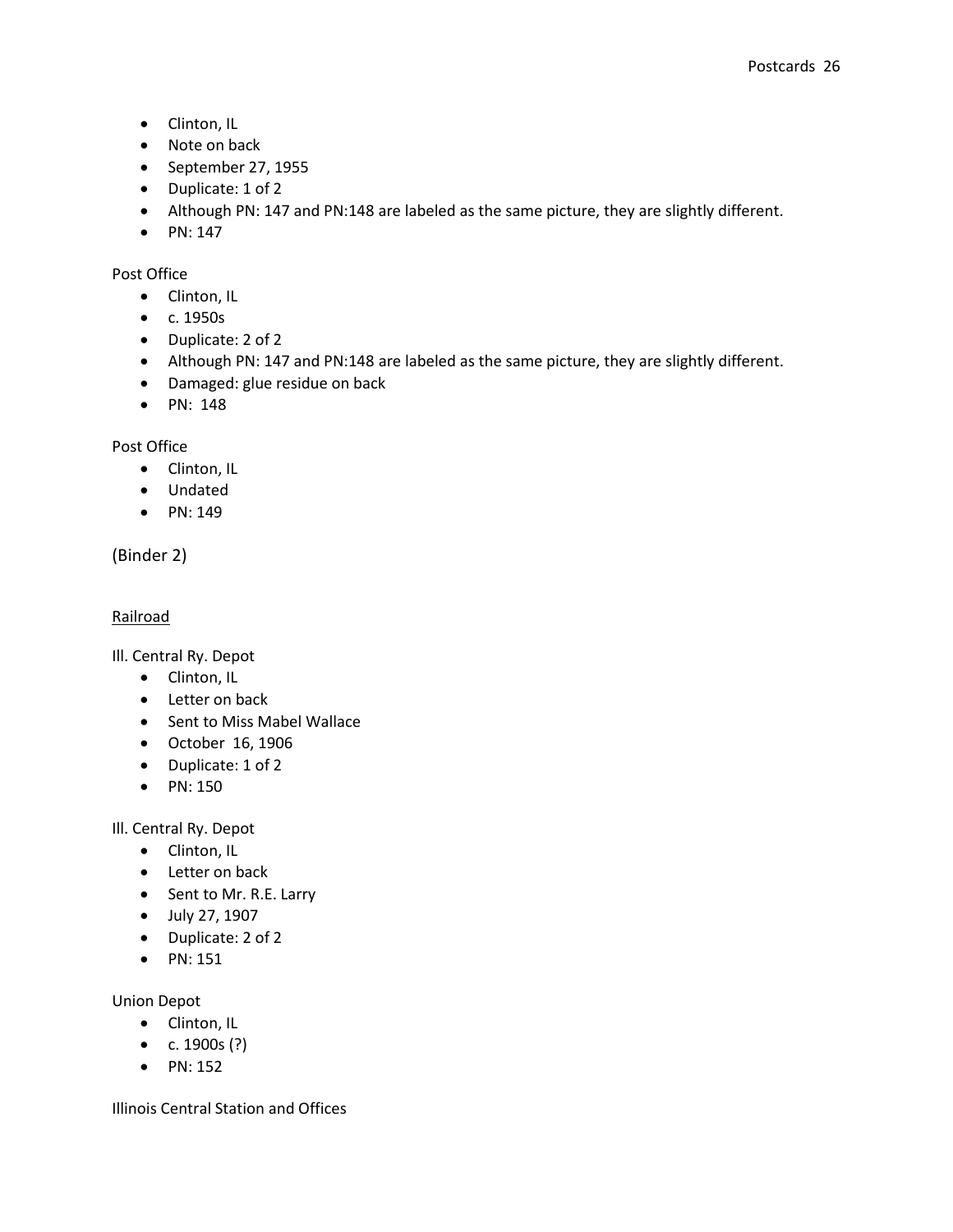- Clinton, IL
- Note on back
- September 27, 1955
- Duplicate: 1 of 2
- Although PN: 147 and PN:148 are labeled as the same picture, they are slightly different.
- $\bullet$  PN: 147

## Post Office

- Clinton, IL
- c. 1950s
- Duplicate: 2 of 2
- Although PN: 147 and PN:148 are labeled as the same picture, they are slightly different.
- Damaged: glue residue on back
- $\bullet$  PN: 148

Post Office

- Clinton, IL
- Undated
- $\bullet$  PN: 149

(Binder 2)

## Railroad

Ill. Central Ry. Depot

- Clinton, IL
- Letter on back
- Sent to Miss Mabel Wallace
- October 16, 1906
- Duplicate: 1 of 2
- PN: 150

Ill. Central Ry. Depot

- Clinton, IL
- Letter on back
- Sent to Mr. R.E. Larry
- July 27, 1907
- Duplicate: 2 of 2
- $\bullet$  PN: 151

Union Depot

- Clinton, IL
- $c. 1900s$  (?)
- $\bullet$  PN: 152

Illinois Central Station and Offices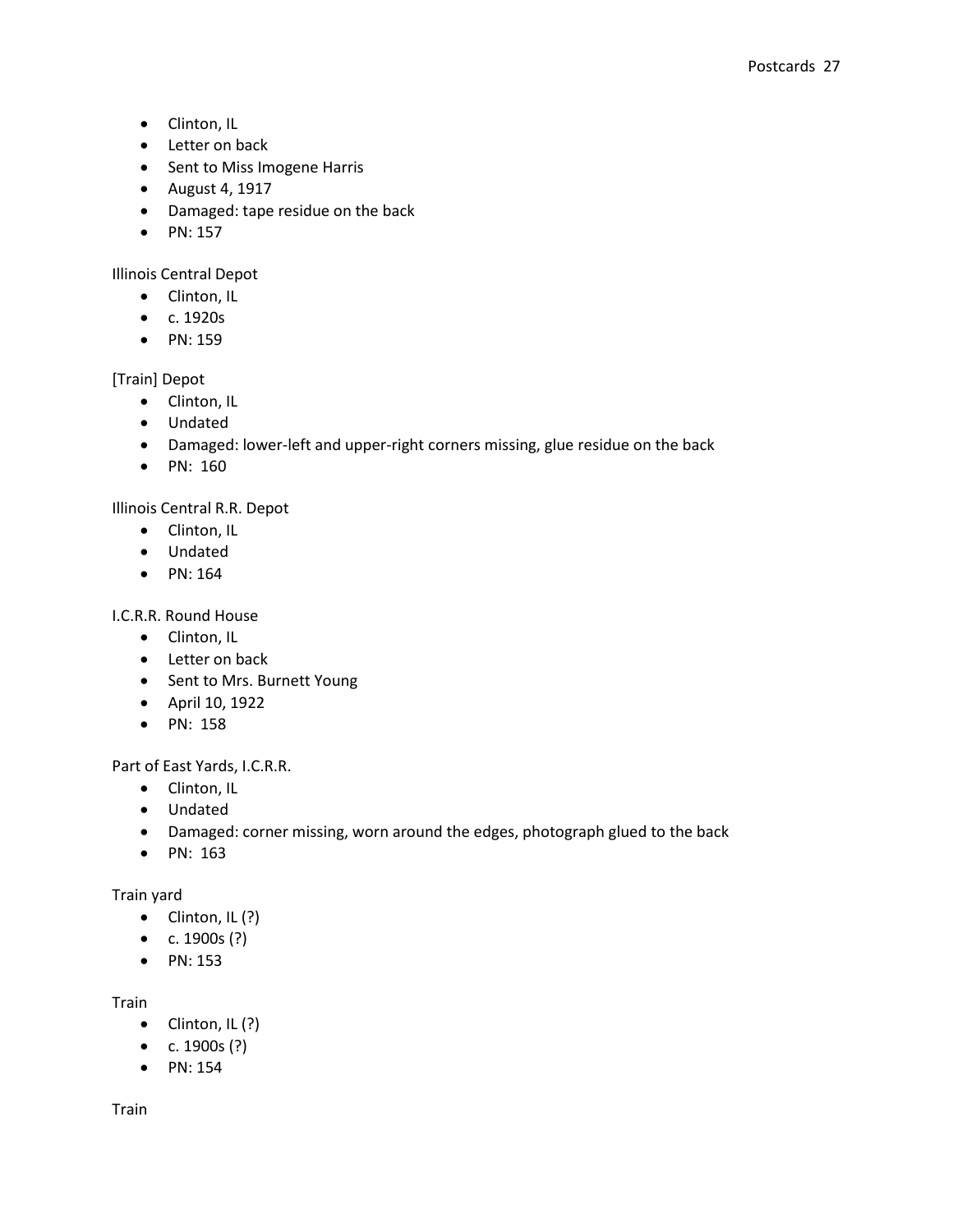- Clinton, IL
- Letter on back
- Sent to Miss Imogene Harris
- August 4, 1917
- Damaged: tape residue on the back
- $\bullet$  PN: 157

Illinois Central Depot

- Clinton, IL
- c. 1920s
- PN: 159

[Train] Depot

- Clinton, IL
- Undated
- Damaged: lower-left and upper-right corners missing, glue residue on the back
- PN: 160

Illinois Central R.R. Depot

- Clinton, IL
- Undated
- $\bullet$  PN: 164

I.C.R.R. Round House

- Clinton, IL
- Letter on back
- Sent to Mrs. Burnett Young
- April 10, 1922
- PN: 158

Part of East Yards, I.C.R.R.

- Clinton, IL
- Undated
- Damaged: corner missing, worn around the edges, photograph glued to the back
- PN: 163

Train yard

- $\bullet$  Clinton, IL (?)
- $c. 1900s$  (?)
- $\bullet$  PN: 153

## Train

- $\bullet$  Clinton, IL (?)
- $c. 1900s$  (?)
- PN: 154

Train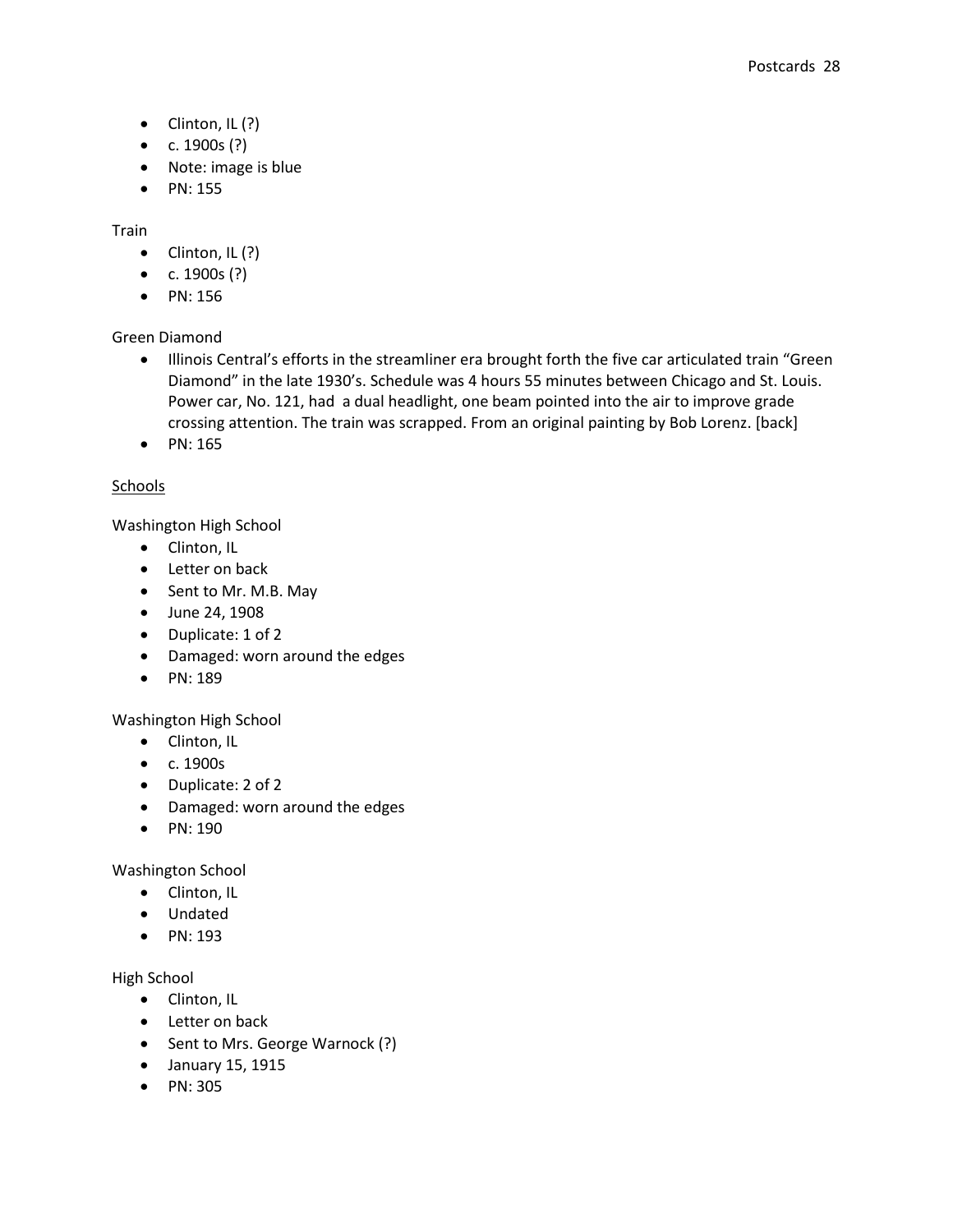- $\bullet$  Clinton, IL (?)
- $c. 1900s$  (?)
- Note: image is blue
- PN: 155

Train

- $\bullet$  Clinton, IL (?)
- $c. 1900s$  (?)
- PN: 156

Green Diamond

- Illinois Central's efforts in the streamliner era brought forth the five car articulated train "Green Diamond" in the late 1930's. Schedule was 4 hours 55 minutes between Chicago and St. Louis. Power car, No. 121, had a dual headlight, one beam pointed into the air to improve grade crossing attention. The train was scrapped. From an original painting by Bob Lorenz. [back]
- $\bullet$  PN: 165

## Schools

Washington High School

- Clinton, IL
- Letter on back
- Sent to Mr. M.B. May
- June 24, 1908
- Duplicate: 1 of 2
- Damaged: worn around the edges
- $\bullet$  PN: 189

Washington High School

- Clinton, IL
- c. 1900s
- Duplicate: 2 of 2
- Damaged: worn around the edges
- PN: 190

Washington School

- Clinton, IL
- Undated
- $\bullet$  PN: 193

High School

- Clinton, IL
- Letter on back
- Sent to Mrs. George Warnock (?)
- January 15, 1915
- PN: 305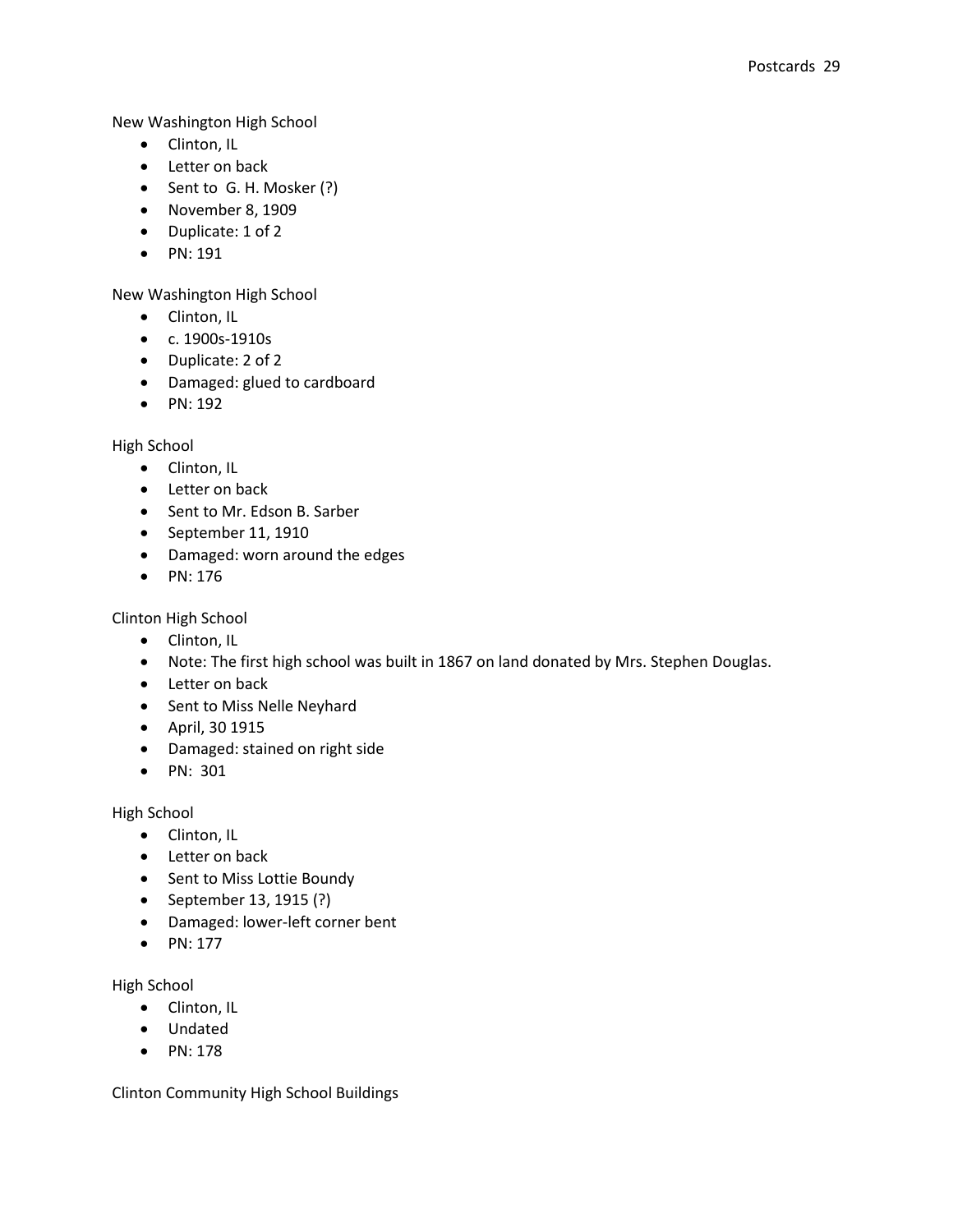New Washington High School

- Clinton, IL
- Letter on back
- Sent to G. H. Mosker (?)
- November 8, 1909
- Duplicate: 1 of 2
- PN: 191

New Washington High School

- Clinton, IL
- c. 1900s-1910s
- Duplicate: 2 of 2
- Damaged: glued to cardboard
- $\bullet$  PN: 192

High School

- Clinton, IL
- Letter on back
- Sent to Mr. Edson B. Sarber
- September 11, 1910
- Damaged: worn around the edges
- $\bullet$  PN: 176

Clinton High School

- Clinton, IL
- Note: The first high school was built in 1867 on land donated by Mrs. Stephen Douglas.
- Letter on back
- Sent to Miss Nelle Neyhard
- April, 30 1915
- Damaged: stained on right side
- PN: 301

High School

- Clinton, IL
- Letter on back
- Sent to Miss Lottie Boundy
- September 13, 1915 (?)
- Damaged: lower-left corner bent
- $\bullet$  PN: 177

High School

- Clinton, IL
- Undated
- PN: 178

Clinton Community High School Buildings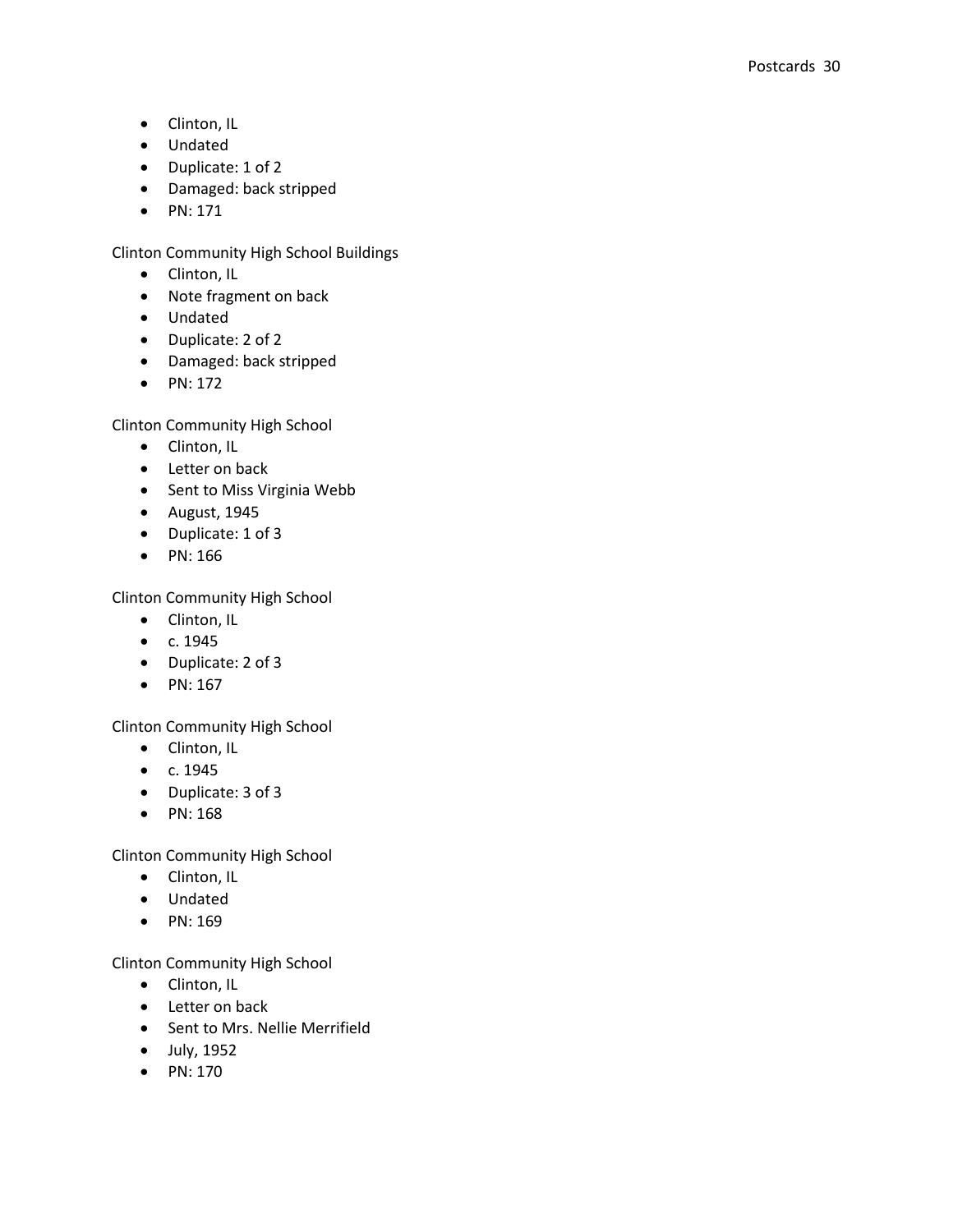- Clinton, IL
- Undated
- Duplicate: 1 of 2
- Damaged: back stripped
- $\bullet$  PN: 171

Clinton Community High School Buildings

- Clinton, IL
- Note fragment on back
- Undated
- Duplicate: 2 of 2
- Damaged: back stripped
- $\bullet$  PN: 172

Clinton Community High School

- Clinton, IL
- Letter on back
- Sent to Miss Virginia Webb
- August, 1945
- Duplicate: 1 of 3
- $\bullet$  PN: 166

Clinton Community High School

- Clinton, IL
- $\bullet$  c. 1945
- Duplicate: 2 of 3
- $\bullet$  PN: 167

Clinton Community High School

- Clinton, IL
- $\bullet$  c. 1945
- Duplicate: 3 of 3
- $\bullet$  PN: 168

Clinton Community High School

- Clinton, IL
- Undated
- $\bullet$  PN: 169

Clinton Community High School

- Clinton, IL
- Letter on back
- Sent to Mrs. Nellie Merrifield
- July, 1952
- $\bullet$  PN: 170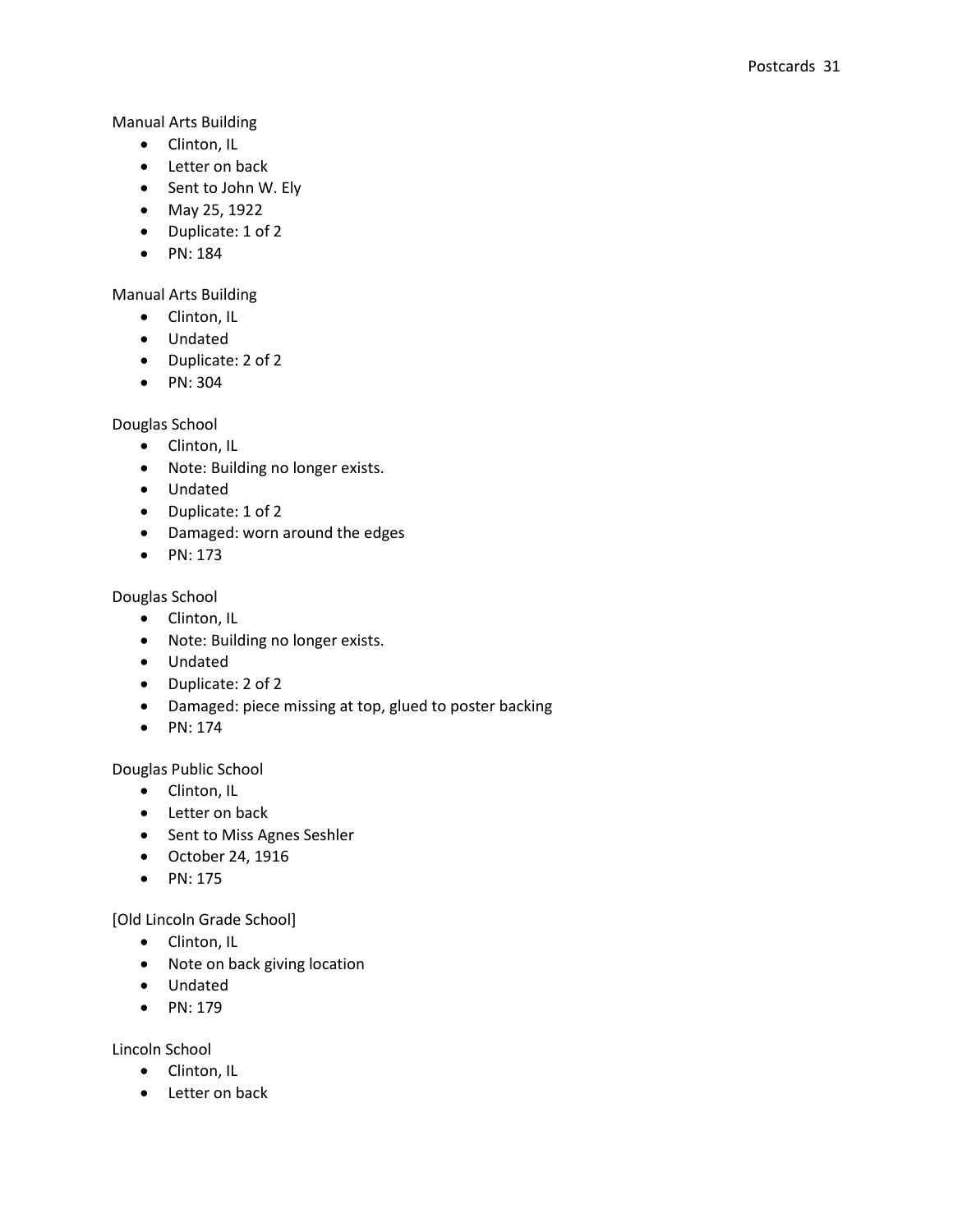Manual Arts Building

- Clinton, IL
- Letter on back
- Sent to John W. Ely
- May 25, 1922
- Duplicate: 1 of 2
- PN: 184

Manual Arts Building

- Clinton, IL
- Undated
- Duplicate: 2 of 2
- PN: 304

Douglas School

- Clinton, IL
- Note: Building no longer exists.
- Undated
- Duplicate: 1 of 2
- Damaged: worn around the edges
- $\bullet$  PN: 173

Douglas School

- Clinton, IL
- Note: Building no longer exists.
- Undated
- Duplicate: 2 of 2
- Damaged: piece missing at top, glued to poster backing
- $\bullet$  PN: 174

Douglas Public School

- Clinton, IL
- Letter on back
- Sent to Miss Agnes Seshler
- October 24, 1916
- PN: 175

[Old Lincoln Grade School]

- Clinton, IL
- Note on back giving location
- Undated
- $\bullet$  PN: 179

Lincoln School

- Clinton, IL
- Letter on back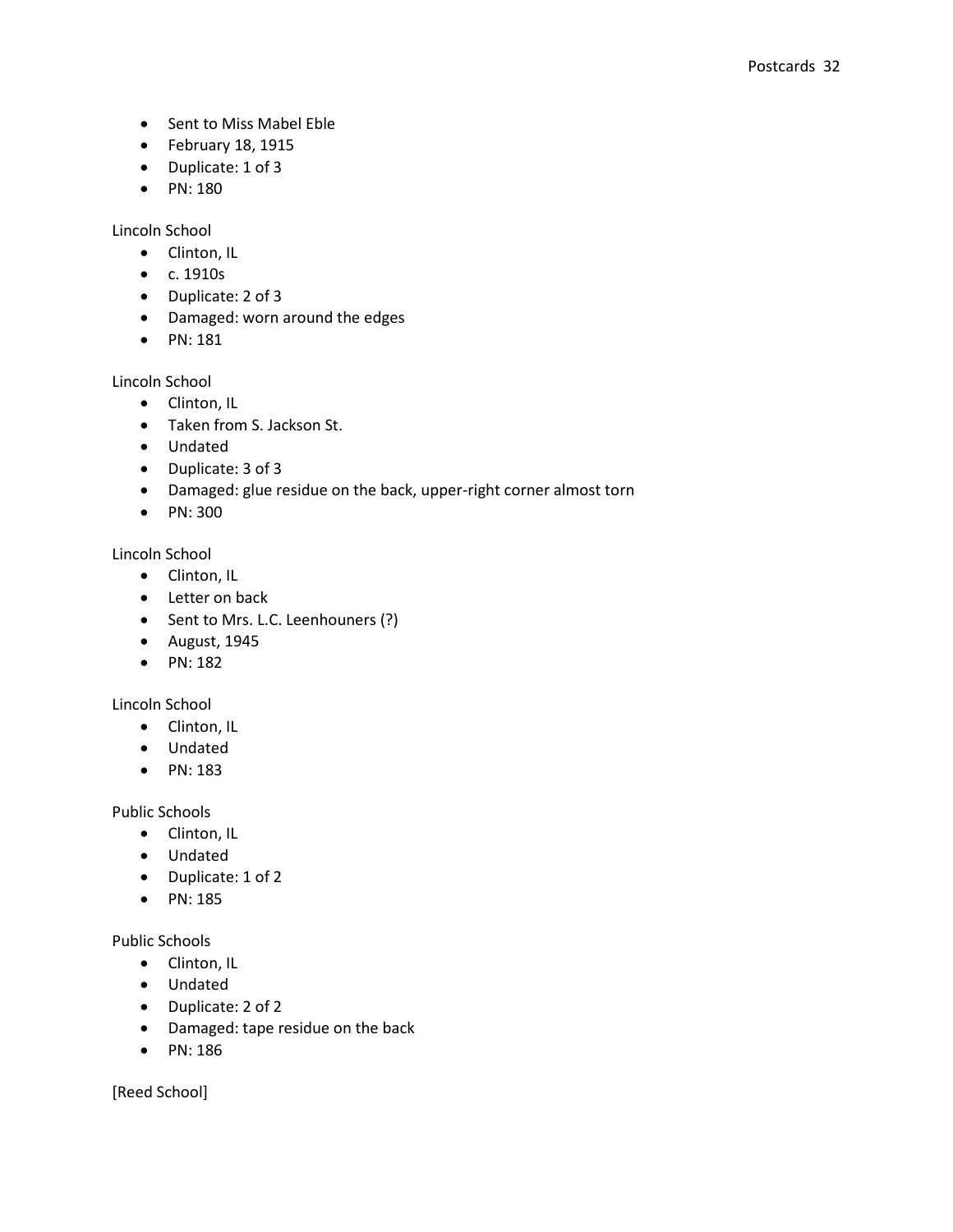- Sent to Miss Mabel Eble
- February 18, 1915
- Duplicate: 1 of 3
- PN: 180

Lincoln School

- Clinton, IL
- c. 1910s
- Duplicate: 2 of 3
- Damaged: worn around the edges
- PN: 181

Lincoln School

- Clinton, IL
- Taken from S. Jackson St.
- Undated
- Duplicate: 3 of 3
- Damaged: glue residue on the back, upper-right corner almost torn
- PN: 300

Lincoln School

- Clinton, IL
- Letter on back
- Sent to Mrs. L.C. Leenhouners (?)
- August, 1945
- $\bullet$  PN: 182

Lincoln School

- Clinton, IL
- Undated
- PN: 183

Public Schools

- Clinton, IL
- Undated
- Duplicate: 1 of 2
- PN: 185

Public Schools

- Clinton, IL
- Undated
- Duplicate: 2 of 2
- Damaged: tape residue on the back
- PN: 186

[Reed School]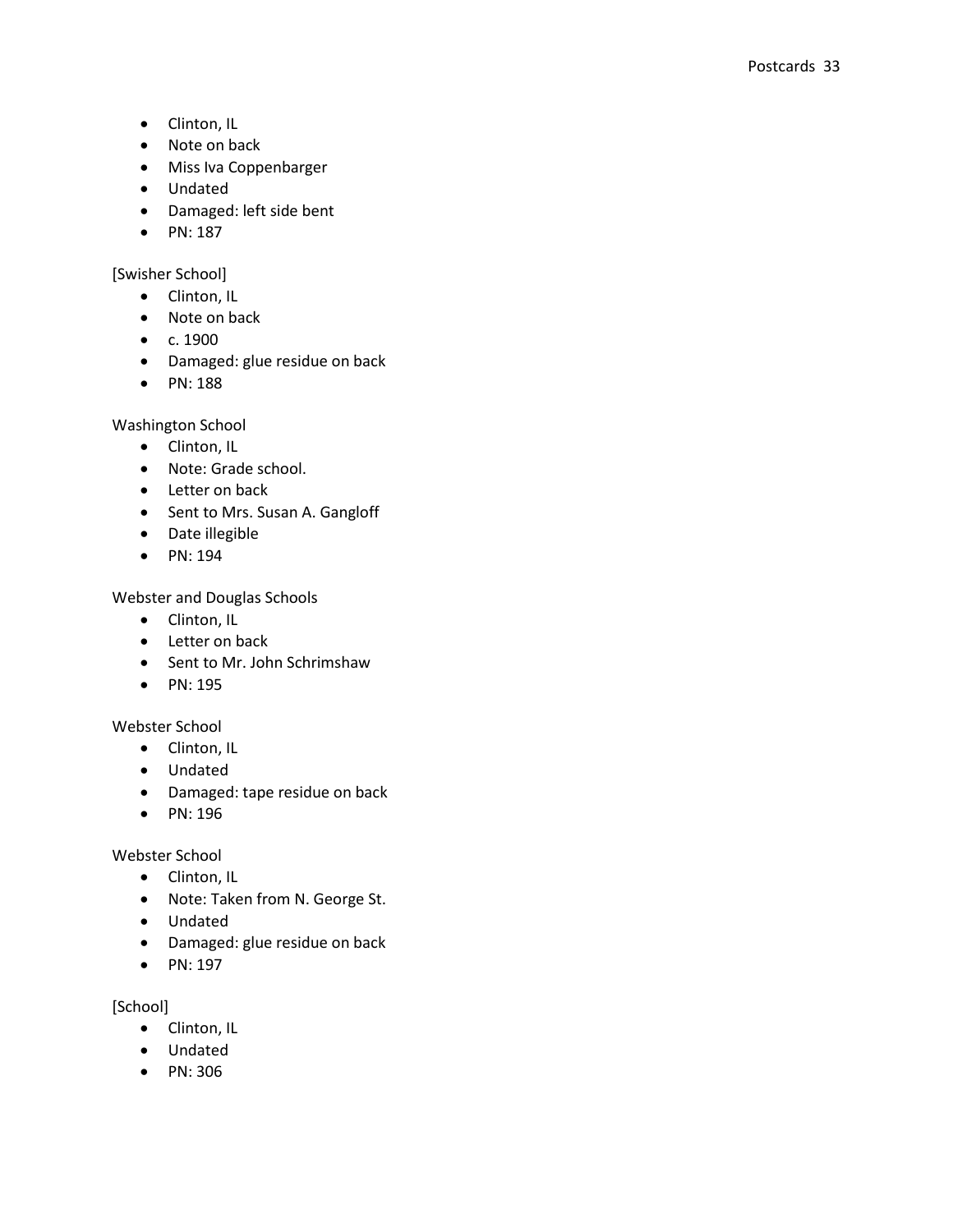- Clinton, IL
- Note on back
- Miss Iva Coppenbarger
- Undated
- Damaged: left side bent
- $\bullet$  PN: 187

## [Swisher School]

- Clinton, IL
- Note on back
- $\bullet$  c. 1900
- Damaged: glue residue on back
- PN: 188

## Washington School

- Clinton, IL
- Note: Grade school.
- Letter on back
- Sent to Mrs. Susan A. Gangloff
- Date illegible
- PN: 194

## Webster and Douglas Schools

- Clinton, IL
- Letter on back
- Sent to Mr. John Schrimshaw
- PN: 195

## Webster School

- Clinton, IL
- Undated
- Damaged: tape residue on back
- PN: 196

## Webster School

- Clinton, IL
- Note: Taken from N. George St.
- Undated
- Damaged: glue residue on back
- PN: 197

## [School]

- Clinton, IL
- Undated
- PN: 306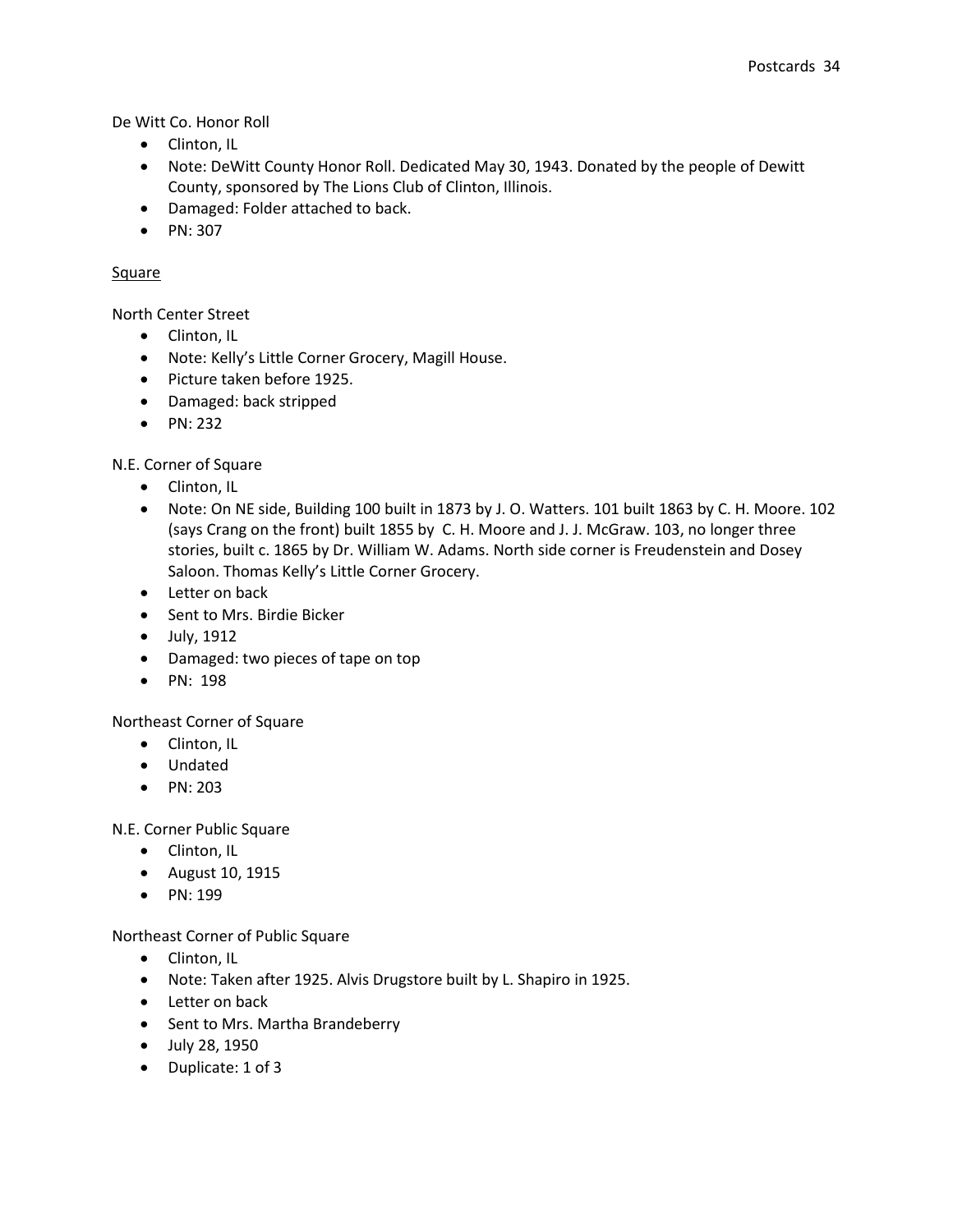De Witt Co. Honor Roll

- Clinton, IL
- Note: DeWitt County Honor Roll. Dedicated May 30, 1943. Donated by the people of Dewitt County, sponsored by The Lions Club of Clinton, Illinois.
- Damaged: Folder attached to back.
- $\bullet$  PN: 307

## **Square**

North Center Street

- Clinton, IL
- Note: Kelly's Little Corner Grocery, Magill House.
- Picture taken before 1925.
- Damaged: back stripped
- $\bullet$  PN: 232

N.E. Corner of Square

- Clinton, IL
- Note: On NE side, Building 100 built in 1873 by J. O. Watters. 101 built 1863 by C. H. Moore. 102 (says Crang on the front) built 1855 by C. H. Moore and J. J. McGraw. 103, no longer three stories, built c. 1865 by Dr. William W. Adams. North side corner is Freudenstein and Dosey Saloon. Thomas Kelly's Little Corner Grocery.
- Letter on back
- Sent to Mrs. Birdie Bicker
- July, 1912
- Damaged: two pieces of tape on top
- PN: 198

Northeast Corner of Square

- Clinton, IL
- Undated
- PN: 203

N.E. Corner Public Square

- Clinton, IL
- August 10, 1915
- $\bullet$  PN: 199

## Northeast Corner of Public Square

- Clinton, IL
- Note: Taken after 1925. Alvis Drugstore built by L. Shapiro in 1925.
- Letter on back
- Sent to Mrs. Martha Brandeberry
- July 28, 1950
- Duplicate: 1 of 3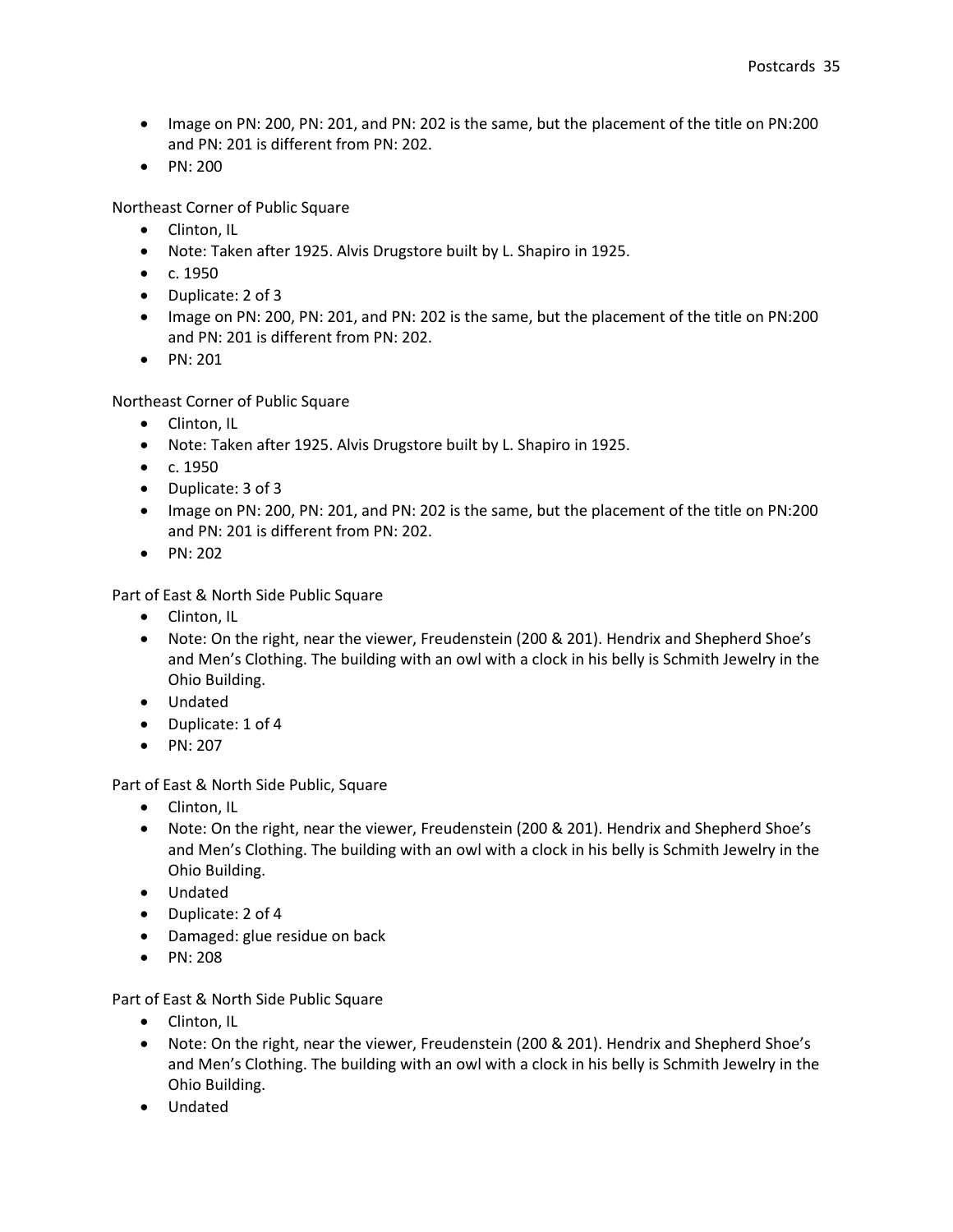- Image on PN: 200, PN: 201, and PN: 202 is the same, but the placement of the title on PN:200 and PN: 201 is different from PN: 202.
- $\bullet$  PN: 200

Northeast Corner of Public Square

- Clinton, IL
- Note: Taken after 1925. Alvis Drugstore built by L. Shapiro in 1925.
- $\bullet$  c. 1950
- Duplicate: 2 of 3
- Image on PN: 200, PN: 201, and PN: 202 is the same, but the placement of the title on PN:200 and PN: 201 is different from PN: 202.
- $\bullet$  PN: 201

Northeast Corner of Public Square

- Clinton, IL
- Note: Taken after 1925. Alvis Drugstore built by L. Shapiro in 1925.
- $\bullet$  c. 1950
- Duplicate: 3 of 3
- Image on PN: 200, PN: 201, and PN: 202 is the same, but the placement of the title on PN: 200 and PN: 201 is different from PN: 202.
- $\bullet$  PN: 202

Part of East & North Side Public Square

- Clinton, IL
- Note: On the right, near the viewer, Freudenstein (200 & 201). Hendrix and Shepherd Shoe's and Men's Clothing. The building with an owl with a clock in his belly is Schmith Jewelry in the Ohio Building.
- Undated
- Duplicate: 1 of 4
- $\bullet$  PN: 207

Part of East & North Side Public, Square

- Clinton, IL
- Note: On the right, near the viewer, Freudenstein (200 & 201). Hendrix and Shepherd Shoe's and Men's Clothing. The building with an owl with a clock in his belly is Schmith Jewelry in the Ohio Building.
- Undated
- Duplicate: 2 of 4
- Damaged: glue residue on back
- PN: 208

Part of East & North Side Public Square

- Clinton, IL
- Note: On the right, near the viewer, Freudenstein (200 & 201). Hendrix and Shepherd Shoe's and Men's Clothing. The building with an owl with a clock in his belly is Schmith Jewelry in the Ohio Building.
- Undated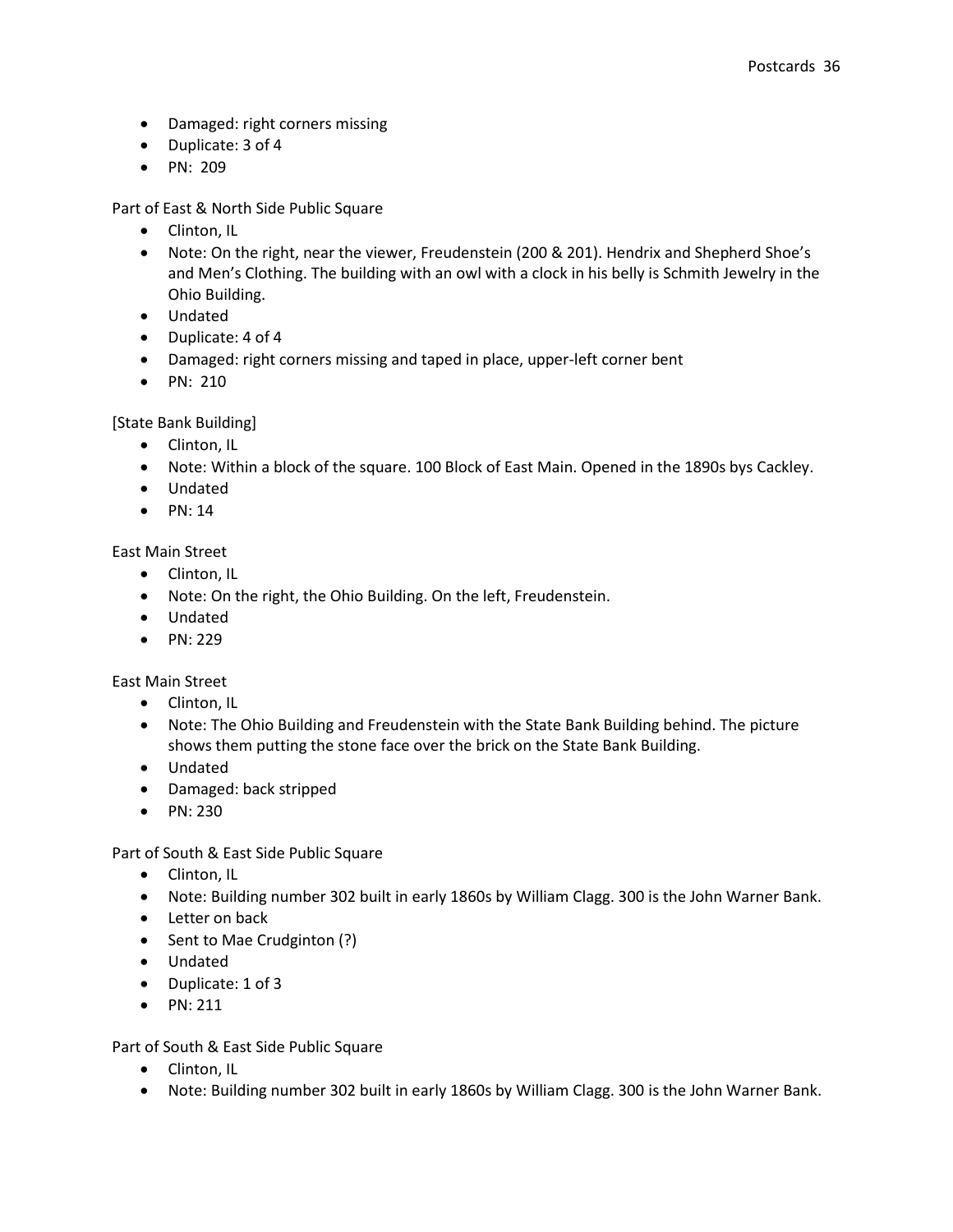- Damaged: right corners missing
- Duplicate: 3 of 4
- PN: 209

Part of East & North Side Public Square

- Clinton, IL
- Note: On the right, near the viewer, Freudenstein (200 & 201). Hendrix and Shepherd Shoe's and Men's Clothing. The building with an owl with a clock in his belly is Schmith Jewelry in the Ohio Building.
- Undated
- Duplicate: 4 of 4
- Damaged: right corners missing and taped in place, upper-left corner bent
- PN: 210

[State Bank Building]

- Clinton, IL
- Note: Within a block of the square. 100 Block of East Main. Opened in the 1890s bys Cackley.
- Undated
- $\bullet$  PN: 14

East Main Street

- Clinton, IL
- Note: On the right, the Ohio Building. On the left, Freudenstein.
- Undated
- $\bullet$  PN: 229

East Main Street

- Clinton, IL
- Note: The Ohio Building and Freudenstein with the State Bank Building behind. The picture shows them putting the stone face over the brick on the State Bank Building.
- Undated
- Damaged: back stripped
- PN: 230

Part of South & East Side Public Square

- Clinton, IL
- Note: Building number 302 built in early 1860s by William Clagg. 300 is the John Warner Bank.
- Letter on back
- Sent to Mae Crudginton (?)
- Undated
- Duplicate: 1 of 3
- $\bullet$  PN: 211

Part of South & East Side Public Square

- Clinton, IL
- Note: Building number 302 built in early 1860s by William Clagg. 300 is the John Warner Bank.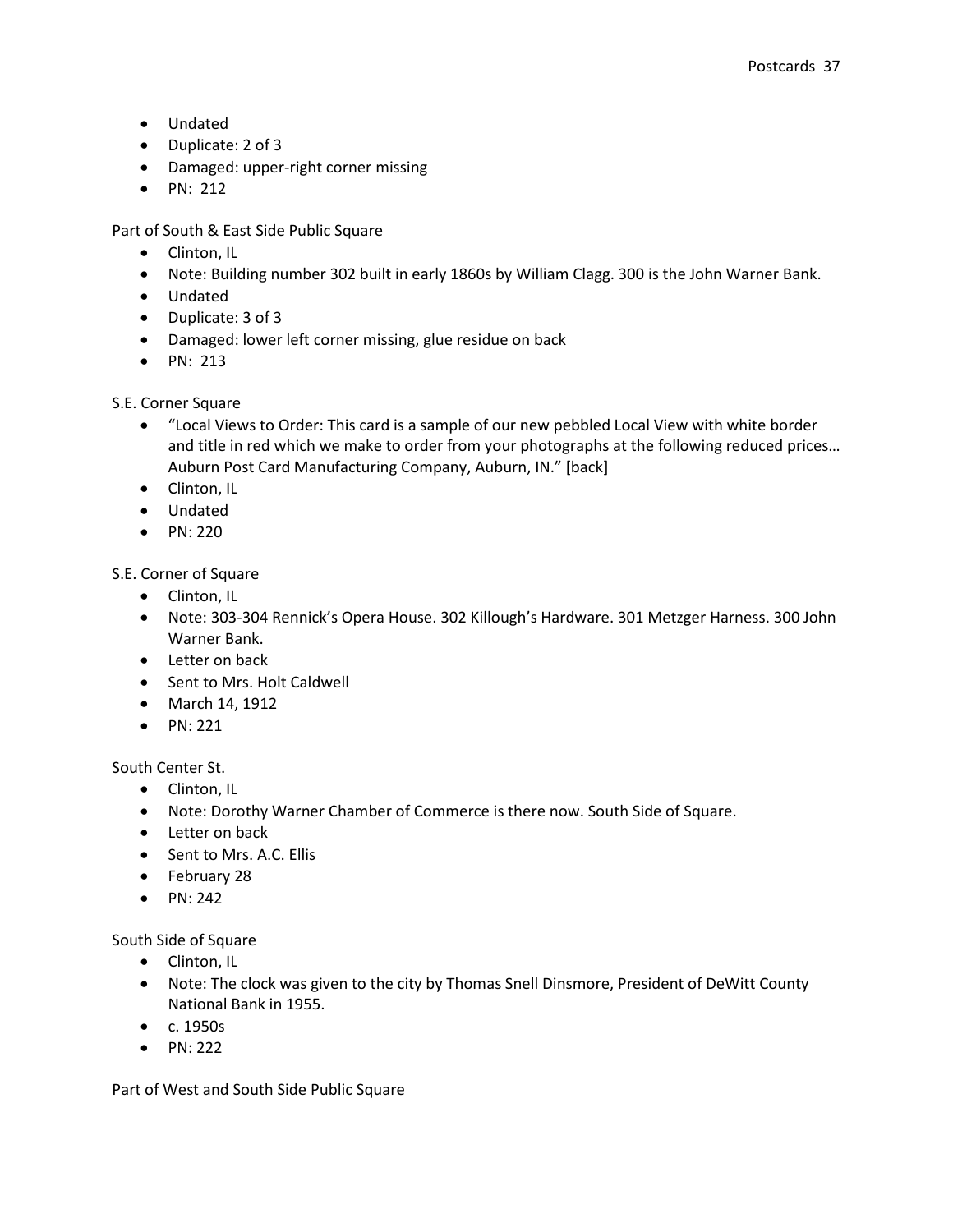- Undated
- Duplicate: 2 of 3
- Damaged: upper-right corner missing
- $\bullet$  PN: 212

Part of South & East Side Public Square

- Clinton, IL
- Note: Building number 302 built in early 1860s by William Clagg. 300 is the John Warner Bank.
- Undated
- Duplicate: 3 of 3
- Damaged: lower left corner missing, glue residue on back
- PN: 213

## S.E. Corner Square

- "Local Views to Order: This card is a sample of our new pebbled Local View with white border and title in red which we make to order from your photographs at the following reduced prices… Auburn Post Card Manufacturing Company, Auburn, IN." [back]
- Clinton, IL
- Undated
- PN: 220

S.E. Corner of Square

- Clinton, IL
- Note: 303-304 Rennick's Opera House. 302 Killough's Hardware. 301 Metzger Harness. 300 John Warner Bank.
- Letter on back
- Sent to Mrs. Holt Caldwell
- March 14, 1912
- $\bullet$  PN: 221

## South Center St.

- Clinton, IL
- Note: Dorothy Warner Chamber of Commerce is there now. South Side of Square.
- Letter on back
- Sent to Mrs. A.C. Ellis
- February 28
- $\bullet$  PN: 242

South Side of Square

- Clinton, IL
- Note: The clock was given to the city by Thomas Snell Dinsmore, President of DeWitt County National Bank in 1955.
- $\bullet$  c. 1950s
- $\bullet$  PN: 222

Part of West and South Side Public Square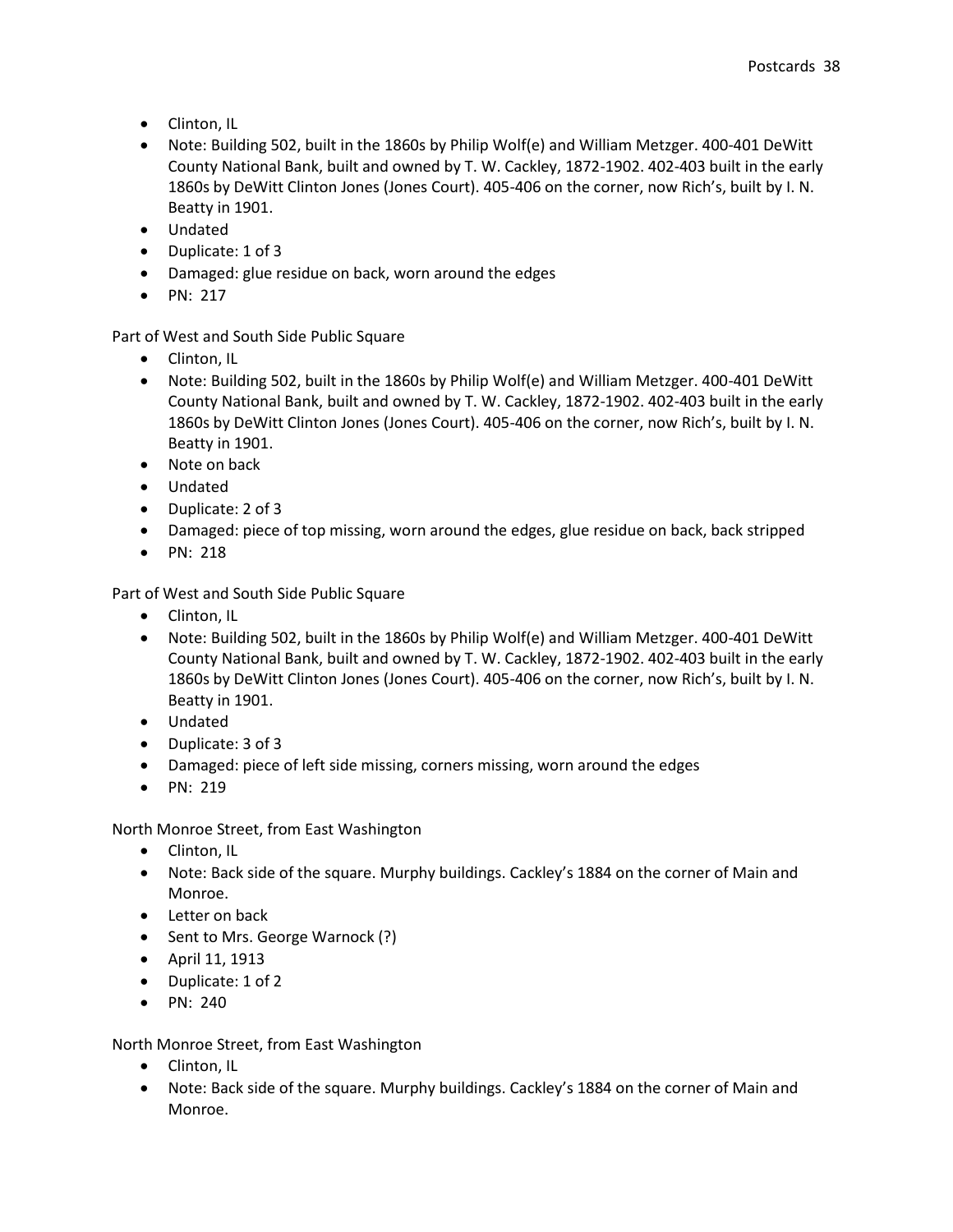- Clinton, IL
- Note: Building 502, built in the 1860s by Philip Wolf(e) and William Metzger. 400-401 DeWitt County National Bank, built and owned by T. W. Cackley, 1872-1902. 402-403 built in the early 1860s by DeWitt Clinton Jones (Jones Court). 405-406 on the corner, now Rich's, built by I. N. Beatty in 1901.
- Undated
- Duplicate: 1 of 3
- Damaged: glue residue on back, worn around the edges
- $\bullet$  PN: 217

Part of West and South Side Public Square

- Clinton, IL
- Note: Building 502, built in the 1860s by Philip Wolf(e) and William Metzger. 400-401 DeWitt County National Bank, built and owned by T. W. Cackley, 1872-1902. 402-403 built in the early 1860s by DeWitt Clinton Jones (Jones Court). 405-406 on the corner, now Rich's, built by I. N. Beatty in 1901.
- Note on back
- Undated
- Duplicate: 2 of 3
- Damaged: piece of top missing, worn around the edges, glue residue on back, back stripped
- $\bullet$  PN: 218

Part of West and South Side Public Square

- Clinton, IL
- Note: Building 502, built in the 1860s by Philip Wolf(e) and William Metzger. 400-401 DeWitt County National Bank, built and owned by T. W. Cackley, 1872-1902. 402-403 built in the early 1860s by DeWitt Clinton Jones (Jones Court). 405-406 on the corner, now Rich's, built by I. N. Beatty in 1901.
- Undated
- Duplicate: 3 of 3
- Damaged: piece of left side missing, corners missing, worn around the edges
- $\bullet$  PN: 219

North Monroe Street, from East Washington

- Clinton, IL
- Note: Back side of the square. Murphy buildings. Cackley's 1884 on the corner of Main and Monroe.
- Letter on back
- Sent to Mrs. George Warnock (?)
- April 11, 1913
- Duplicate: 1 of 2
- $\bullet$  PN: 240

North Monroe Street, from East Washington

- Clinton, IL
- Note: Back side of the square. Murphy buildings. Cackley's 1884 on the corner of Main and Monroe.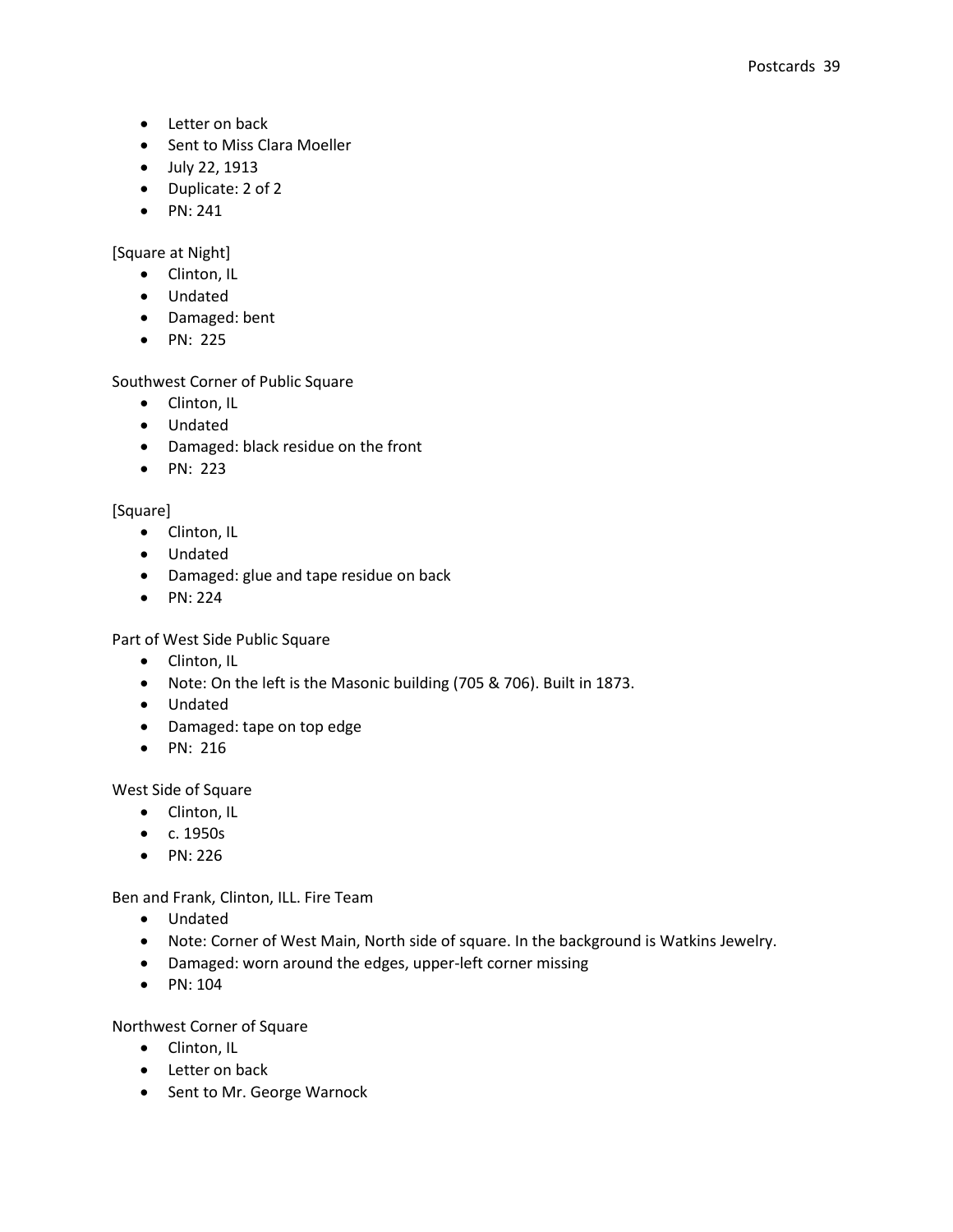- Letter on back
- Sent to Miss Clara Moeller
- July 22, 1913
- Duplicate: 2 of 2
- $\bullet$  PN: 241

[Square at Night]

- Clinton, IL
- Undated
- Damaged: bent
- PN: 225

Southwest Corner of Public Square

- Clinton, IL
- Undated
- Damaged: black residue on the front
- PN: 223

[Square]

- Clinton, IL
- Undated
- Damaged: glue and tape residue on back
- PN: 224

Part of West Side Public Square

- Clinton, IL
- Note: On the left is the Masonic building (705 & 706). Built in 1873.
- Undated
- Damaged: tape on top edge
- PN: 216

West Side of Square

- Clinton, IL
- c. 1950s
- $\bullet$  PN: 226

Ben and Frank, Clinton, ILL. Fire Team

- Undated
- Note: Corner of West Main, North side of square. In the background is Watkins Jewelry.
- Damaged: worn around the edges, upper-left corner missing
- PN: 104

Northwest Corner of Square

- Clinton, IL
- Letter on back
- Sent to Mr. George Warnock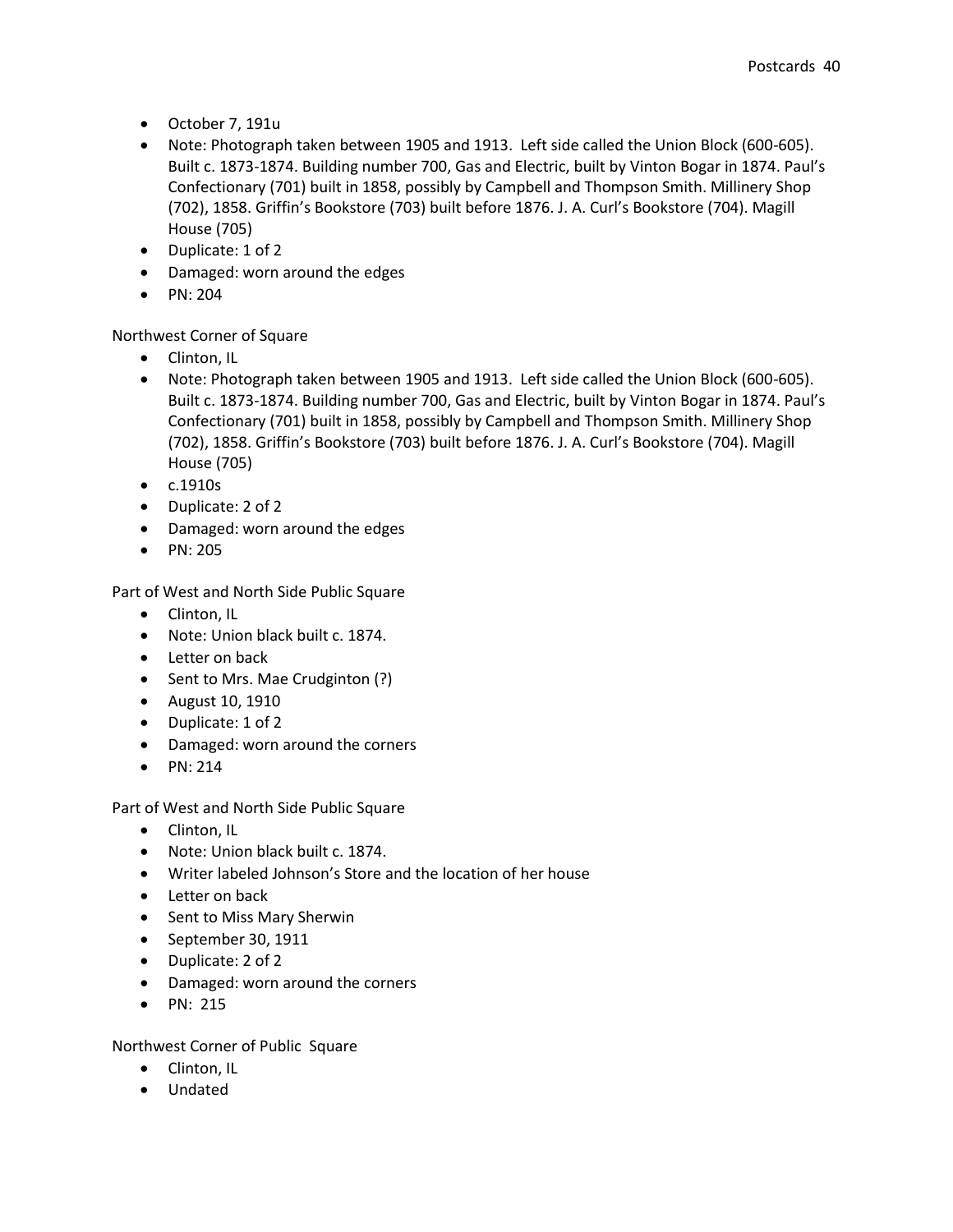- October 7, 191u
- Note: Photograph taken between 1905 and 1913. Left side called the Union Block (600-605). Built c. 1873-1874. Building number 700, Gas and Electric, built by Vinton Bogar in 1874. Paul's Confectionary (701) built in 1858, possibly by Campbell and Thompson Smith. Millinery Shop (702), 1858. Griffin's Bookstore (703) built before 1876. J. A. Curl's Bookstore (704). Magill House (705)
- Duplicate: 1 of 2
- Damaged: worn around the edges
- PN: 204

## Northwest Corner of Square

- Clinton, IL
- Note: Photograph taken between 1905 and 1913. Left side called the Union Block (600-605). Built c. 1873-1874. Building number 700, Gas and Electric, built by Vinton Bogar in 1874. Paul's Confectionary (701) built in 1858, possibly by Campbell and Thompson Smith. Millinery Shop (702), 1858. Griffin's Bookstore (703) built before 1876. J. A. Curl's Bookstore (704). Magill House (705)
- $\bullet$  c.1910s
- Duplicate: 2 of 2
- Damaged: worn around the edges
- PN: 205

Part of West and North Side Public Square

- Clinton, IL
- Note: Union black built c. 1874.
- Letter on back
- Sent to Mrs. Mae Crudginton (?)
- August 10, 1910
- Duplicate: 1 of 2
- Damaged: worn around the corners
- $\bullet$  PN: 214

Part of West and North Side Public Square

- Clinton, IL
- Note: Union black built c. 1874.
- Writer labeled Johnson's Store and the location of her house
- Letter on back
- Sent to Miss Mary Sherwin
- September 30, 1911
- Duplicate: 2 of 2
- Damaged: worn around the corners
- $\bullet$  PN: 215

Northwest Corner of Public Square

- Clinton, IL
- Undated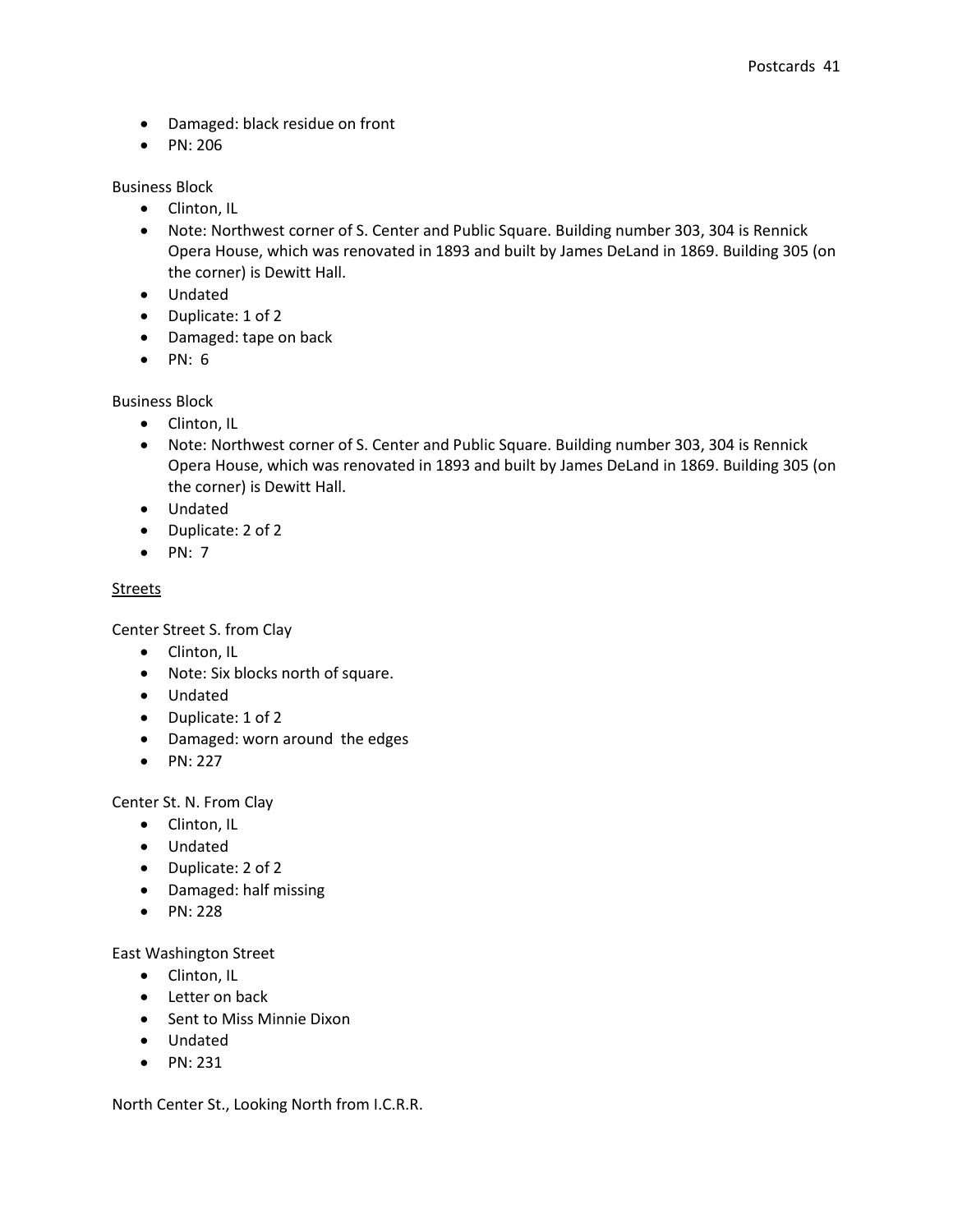- Damaged: black residue on front
- PN: 206

Business Block

- Clinton, IL
- Note: Northwest corner of S. Center and Public Square. Building number 303, 304 is Rennick Opera House, which was renovated in 1893 and built by James DeLand in 1869. Building 305 (on the corner) is Dewitt Hall.
- Undated
- Duplicate: 1 of 2
- Damaged: tape on back
- $\bullet$  PN: 6

Business Block

- Clinton, IL
- Note: Northwest corner of S. Center and Public Square. Building number 303, 304 is Rennick Opera House, which was renovated in 1893 and built by James DeLand in 1869. Building 305 (on the corner) is Dewitt Hall.
- Undated
- Duplicate: 2 of 2
- $\bullet$  PN: 7

## **Streets**

Center Street S. from Clay

- Clinton, IL
- Note: Six blocks north of square.
- Undated
- Duplicate: 1 of 2
- Damaged: worn around the edges
- $\bullet$  PN: 227

Center St. N. From Clay

- Clinton, IL
- Undated
- Duplicate: 2 of 2
- Damaged: half missing
- $\bullet$  PN: 228

East Washington Street

- Clinton, IL
- Letter on back
- Sent to Miss Minnie Dixon
- Undated
- $\bullet$  PN: 231

North Center St., Looking North from I.C.R.R.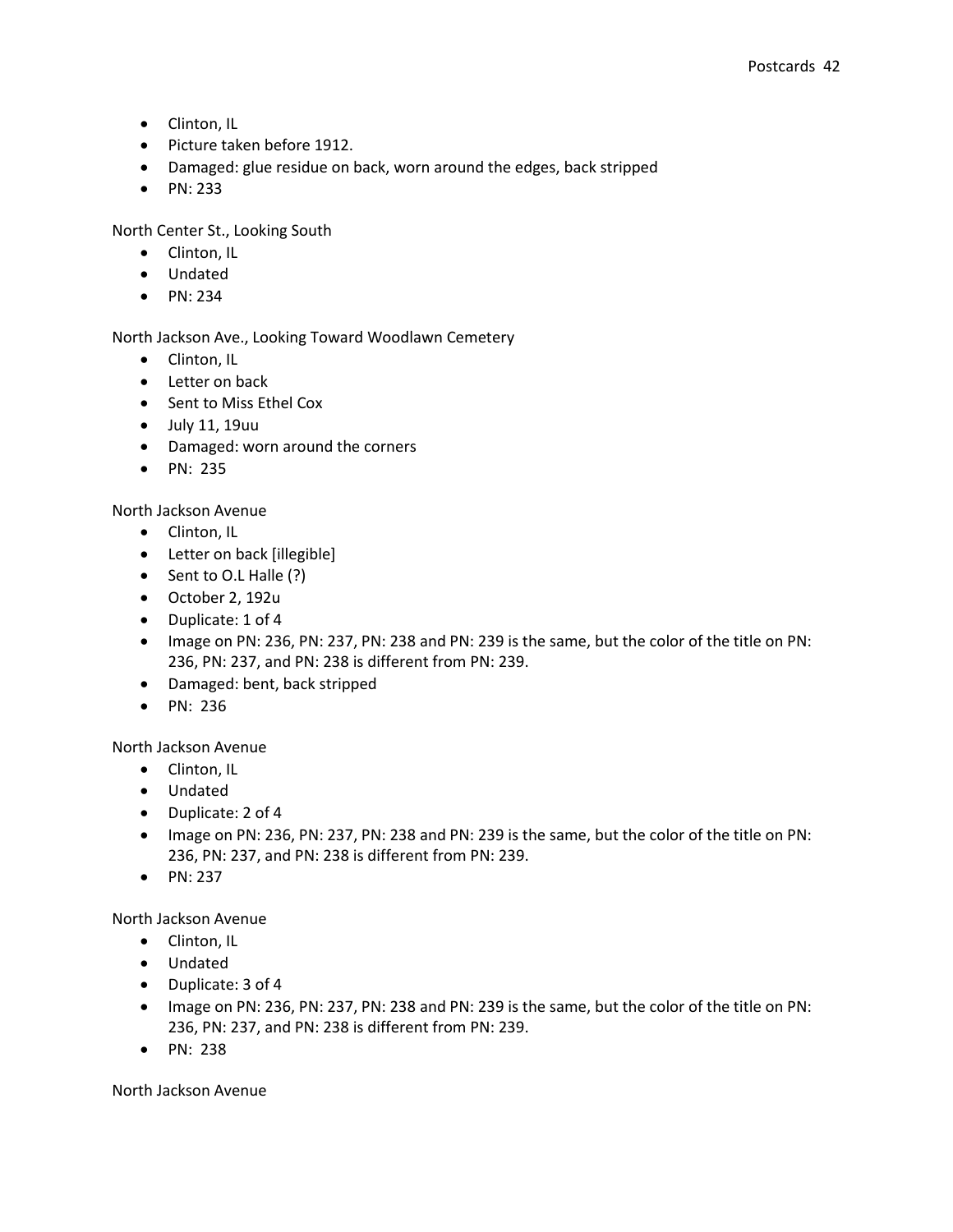- Clinton, IL
- Picture taken before 1912.
- Damaged: glue residue on back, worn around the edges, back stripped
- PN: 233

North Center St., Looking South

- Clinton, IL
- Undated
- $\bullet$  PN: 234

North Jackson Ave., Looking Toward Woodlawn Cemetery

- Clinton, IL
- Letter on back
- Sent to Miss Ethel Cox
- July 11, 19uu
- Damaged: worn around the corners
- $\bullet$  PN: 235

## North Jackson Avenue

- Clinton, IL
- Letter on back [illegible]
- Sent to O.L Halle (?)
- October 2, 192u
- Duplicate: 1 of 4
- Image on PN: 236, PN: 237, PN: 238 and PN: 239 is the same, but the color of the title on PN: 236, PN: 237, and PN: 238 is different from PN: 239.
- Damaged: bent, back stripped
- PN: 236

North Jackson Avenue

- Clinton, IL
- Undated
- Duplicate: 2 of 4
- Image on PN: 236, PN: 237, PN: 238 and PN: 239 is the same, but the color of the title on PN: 236, PN: 237, and PN: 238 is different from PN: 239.
- $\bullet$  PN: 237

North Jackson Avenue

- Clinton, IL
- Undated
- Duplicate: 3 of 4
- Image on PN: 236, PN: 237, PN: 238 and PN: 239 is the same, but the color of the title on PN: 236, PN: 237, and PN: 238 is different from PN: 239.
- PN: 238

North Jackson Avenue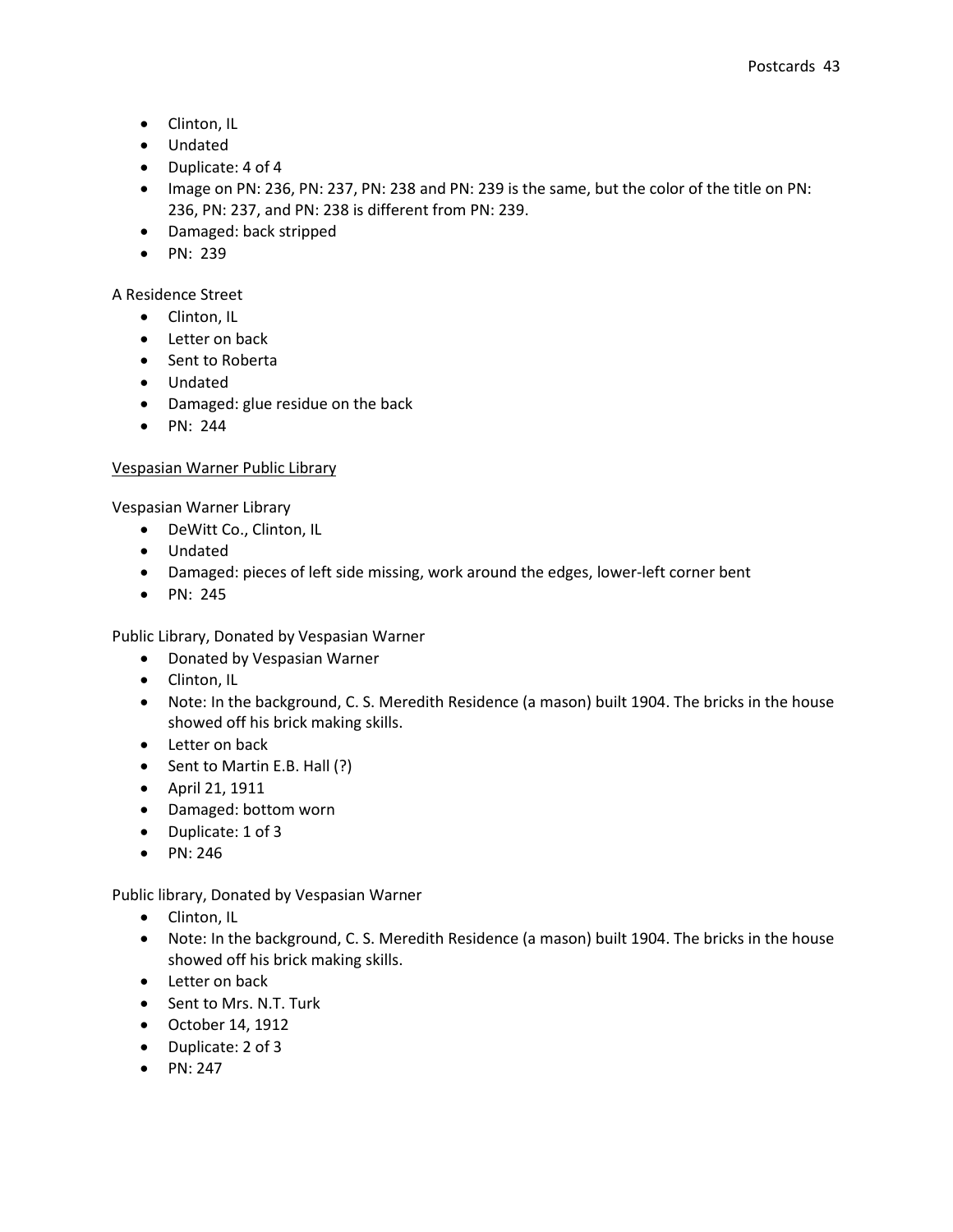- Clinton, IL
- Undated
- Duplicate: 4 of 4
- Image on PN: 236, PN: 237, PN: 238 and PN: 239 is the same, but the color of the title on PN: 236, PN: 237, and PN: 238 is different from PN: 239.
- Damaged: back stripped
- $\bullet$  PN: 239

A Residence Street

- Clinton, IL
- Letter on back
- Sent to Roberta
- Undated
- Damaged: glue residue on the back
- PN: 244

## Vespasian Warner Public Library

Vespasian Warner Library

- DeWitt Co., Clinton, IL
- Undated
- Damaged: pieces of left side missing, work around the edges, lower-left corner bent
- $\bullet$  PN: 245

Public Library, Donated by Vespasian Warner

- Donated by Vespasian Warner
- Clinton, IL
- Note: In the background, C. S. Meredith Residence (a mason) built 1904. The bricks in the house showed off his brick making skills.
- Letter on back
- Sent to Martin E.B. Hall (?)
- April 21, 1911
- Damaged: bottom worn
- Duplicate: 1 of 3
- $\bullet$  PN: 246

Public library, Donated by Vespasian Warner

- Clinton, IL
- Note: In the background, C. S. Meredith Residence (a mason) built 1904. The bricks in the house showed off his brick making skills.
- Letter on back
- Sent to Mrs. N.T. Turk
- October 14, 1912
- Duplicate: 2 of 3
- $\bullet$  PN: 247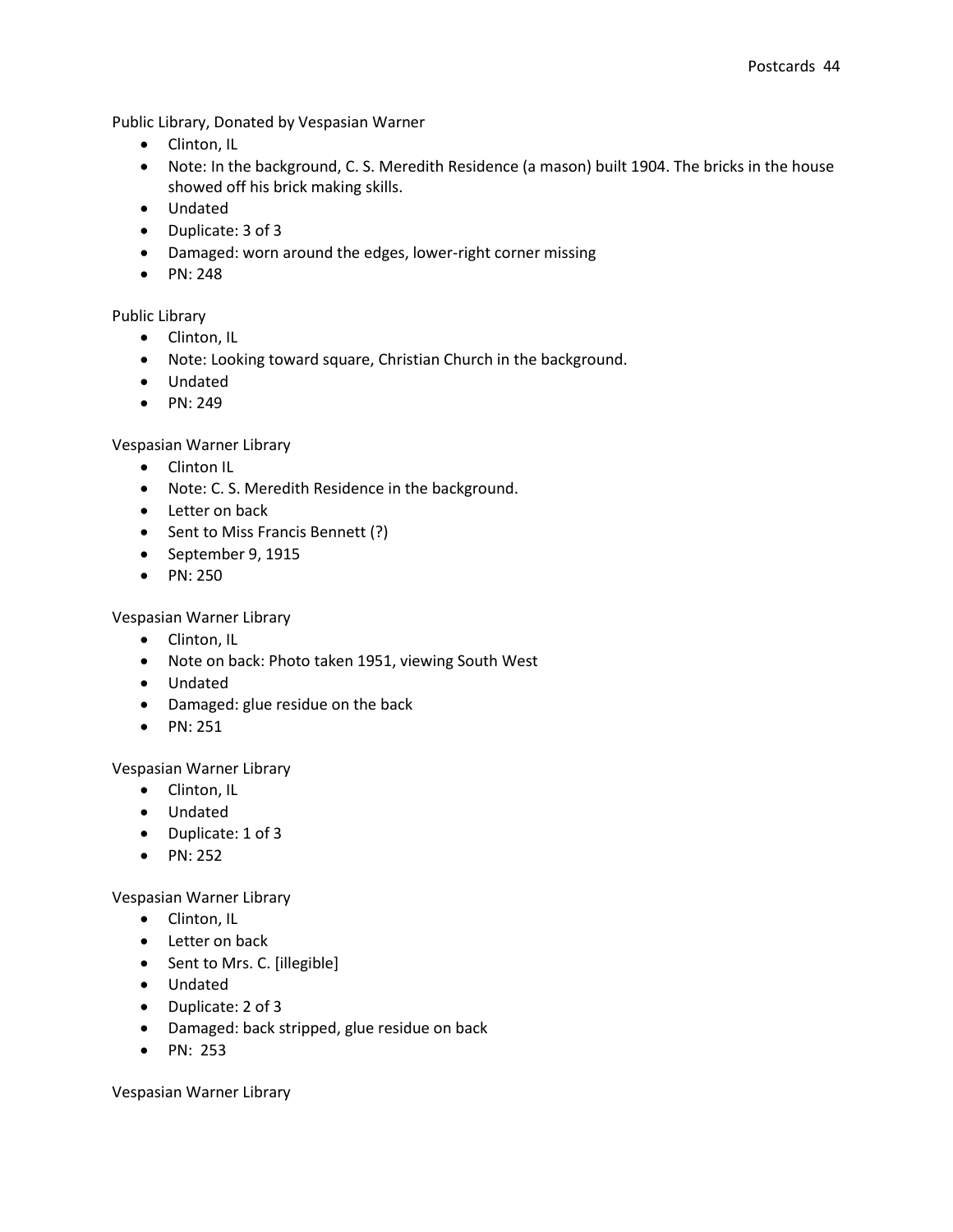Public Library, Donated by Vespasian Warner

- Clinton, IL
- Note: In the background, C. S. Meredith Residence (a mason) built 1904. The bricks in the house showed off his brick making skills.
- Undated
- Duplicate: 3 of 3
- Damaged: worn around the edges, lower-right corner missing
- PN: 248

## Public Library

- Clinton, IL
- Note: Looking toward square, Christian Church in the background.
- Undated
- $\bullet$  PN: 249

Vespasian Warner Library

- Clinton IL
- Note: C. S. Meredith Residence in the background.
- Letter on back
- Sent to Miss Francis Bennett (?)
- September 9, 1915
- $\bullet$  PN: 250

Vespasian Warner Library

- Clinton, IL
- Note on back: Photo taken 1951, viewing South West
- Undated
- Damaged: glue residue on the back
- $\bullet$  PN: 251

Vespasian Warner Library

- Clinton, IL
- Undated
- Duplicate: 1 of 3
- $\bullet$  PN: 252

Vespasian Warner Library

- Clinton, IL
- Letter on back
- Sent to Mrs. C. [illegible]
- Undated
- Duplicate: 2 of 3
- Damaged: back stripped, glue residue on back
- PN: 253

Vespasian Warner Library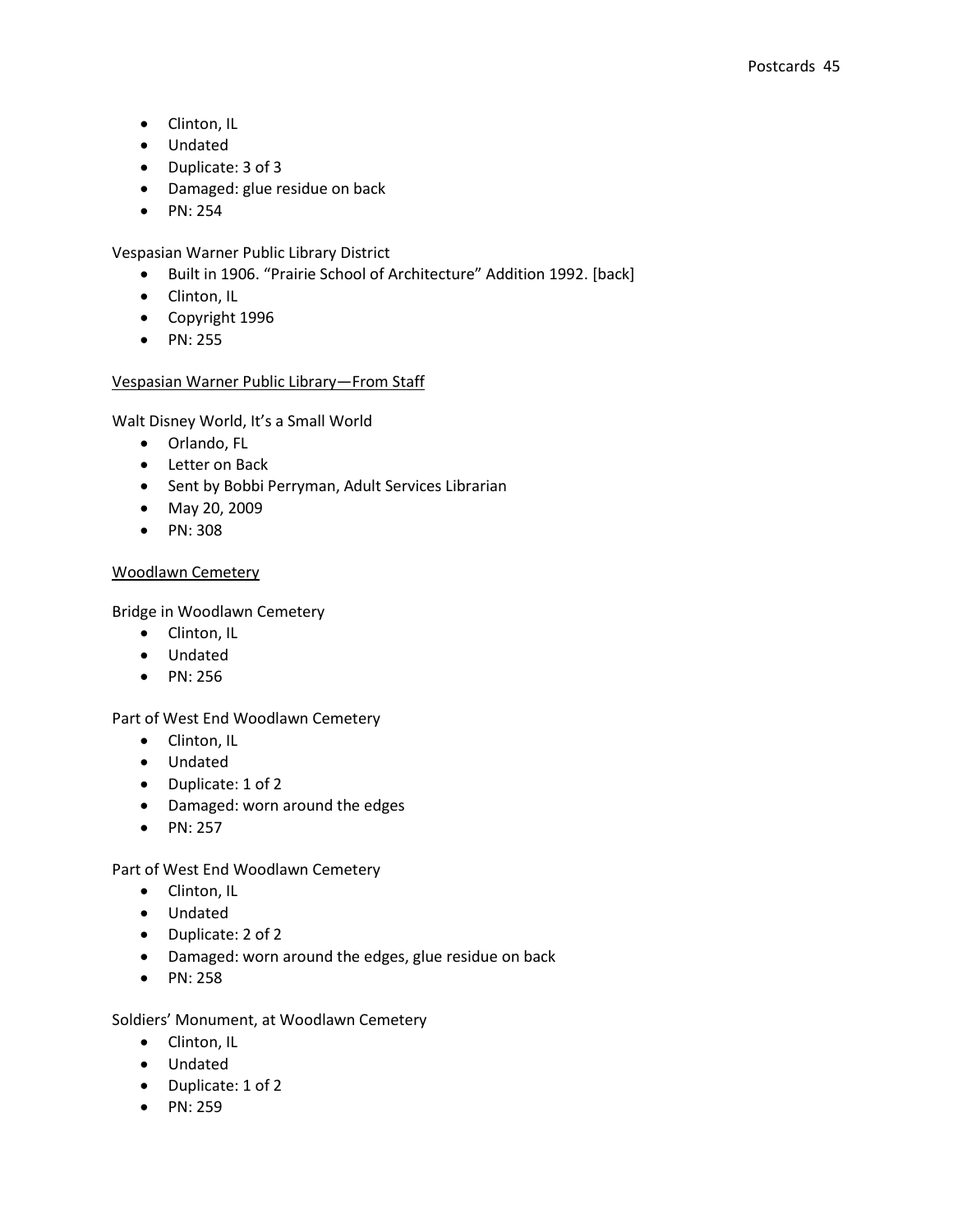- Clinton, IL
- Undated
- Duplicate: 3 of 3
- Damaged: glue residue on back
- $\bullet$  PN: 254

Vespasian Warner Public Library District

- Built in 1906. "Prairie School of Architecture" Addition 1992. [back]
- Clinton, IL
- Copyright 1996
- PN: 255

## Vespasian Warner Public Library—From Staff

Walt Disney World, It's a Small World

- Orlando, FL
- Letter on Back
- Sent by Bobbi Perryman, Adult Services Librarian
- May 20, 2009
- PN: 308

## Woodlawn Cemetery

Bridge in Woodlawn Cemetery

- Clinton, IL
- Undated
- PN: 256

## Part of West End Woodlawn Cemetery

- Clinton, IL
- Undated
- Duplicate: 1 of 2
- Damaged: worn around the edges
- $\bullet$  PN: 257

## Part of West End Woodlawn Cemetery

- Clinton, IL
- Undated
- Duplicate: 2 of 2
- Damaged: worn around the edges, glue residue on back
- $\bullet$  PN: 258

Soldiers' Monument, at Woodlawn Cemetery

- Clinton, IL
- Undated
- Duplicate: 1 of 2
- $\bullet$  PN: 259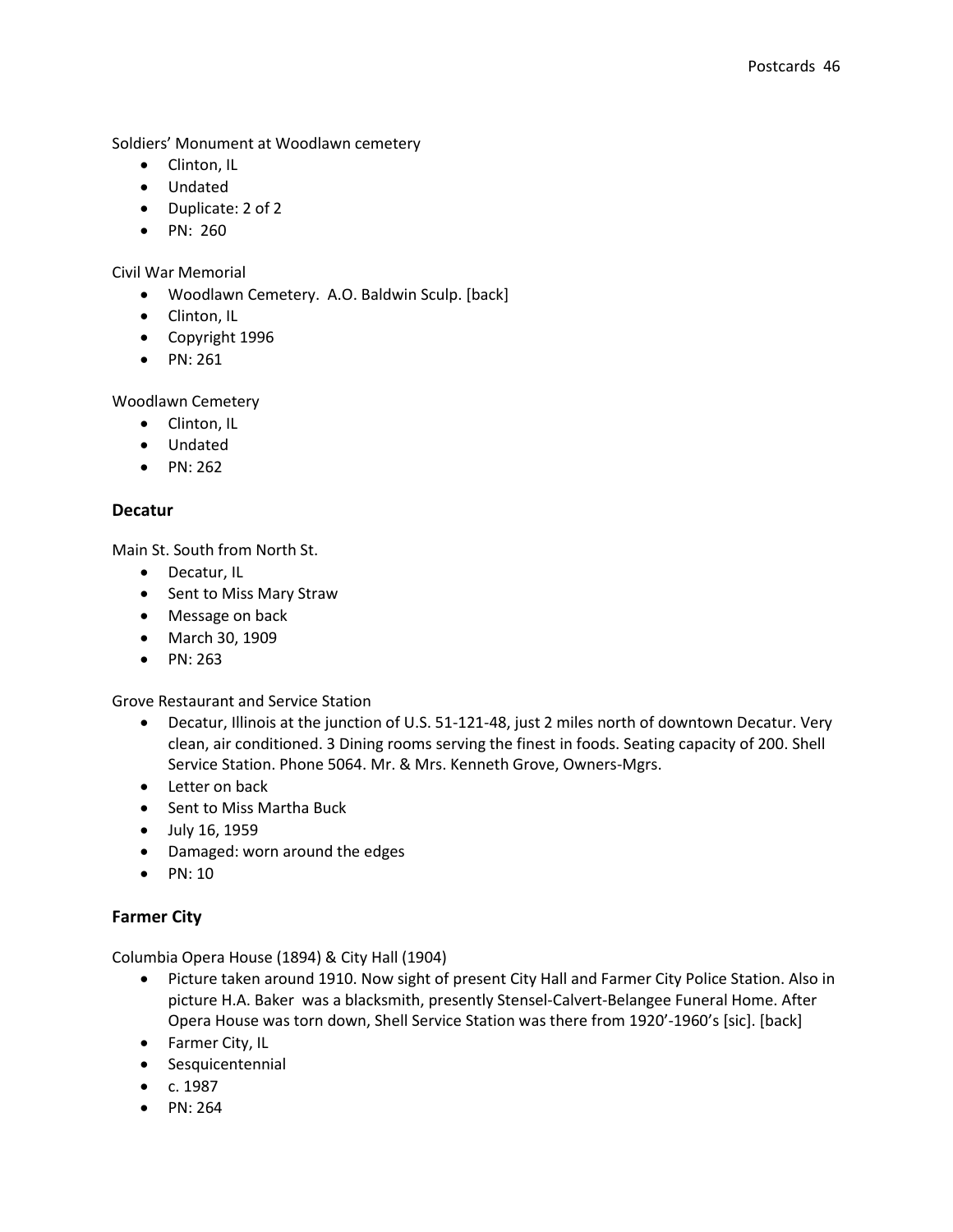Soldiers' Monument at Woodlawn cemetery

- Clinton, IL
- Undated
- Duplicate: 2 of 2
- $\bullet$  PN: 260

Civil War Memorial

- Woodlawn Cemetery. A.O. Baldwin Sculp. [back]
- Clinton, IL
- Copyright 1996
- $\bullet$  PN: 261

Woodlawn Cemetery

- Clinton, IL
- Undated
- $\bullet$  PN: 262

## **Decatur**

Main St. South from North St.

- Decatur, IL
- Sent to Miss Mary Straw
- Message on back
- March 30, 1909
- $\bullet$  PN: 263

Grove Restaurant and Service Station

- Decatur, Illinois at the junction of U.S. 51-121-48, just 2 miles north of downtown Decatur. Very clean, air conditioned. 3 Dining rooms serving the finest in foods. Seating capacity of 200. Shell Service Station. Phone 5064. Mr. & Mrs. Kenneth Grove, Owners-Mgrs.
- Letter on back
- Sent to Miss Martha Buck
- July 16, 1959
- Damaged: worn around the edges
- $\bullet$  PN: 10

## **Farmer City**

Columbia Opera House (1894) & City Hall (1904)

- Picture taken around 1910. Now sight of present City Hall and Farmer City Police Station. Also in picture H.A. Baker was a blacksmith, presently Stensel-Calvert-Belangee Funeral Home. After Opera House was torn down, Shell Service Station was there from 1920'-1960's [sic]. [back]
- Farmer City, IL
- **•** Sesquicentennial
- $\bullet$  c. 1987
- $\bullet$  PN: 264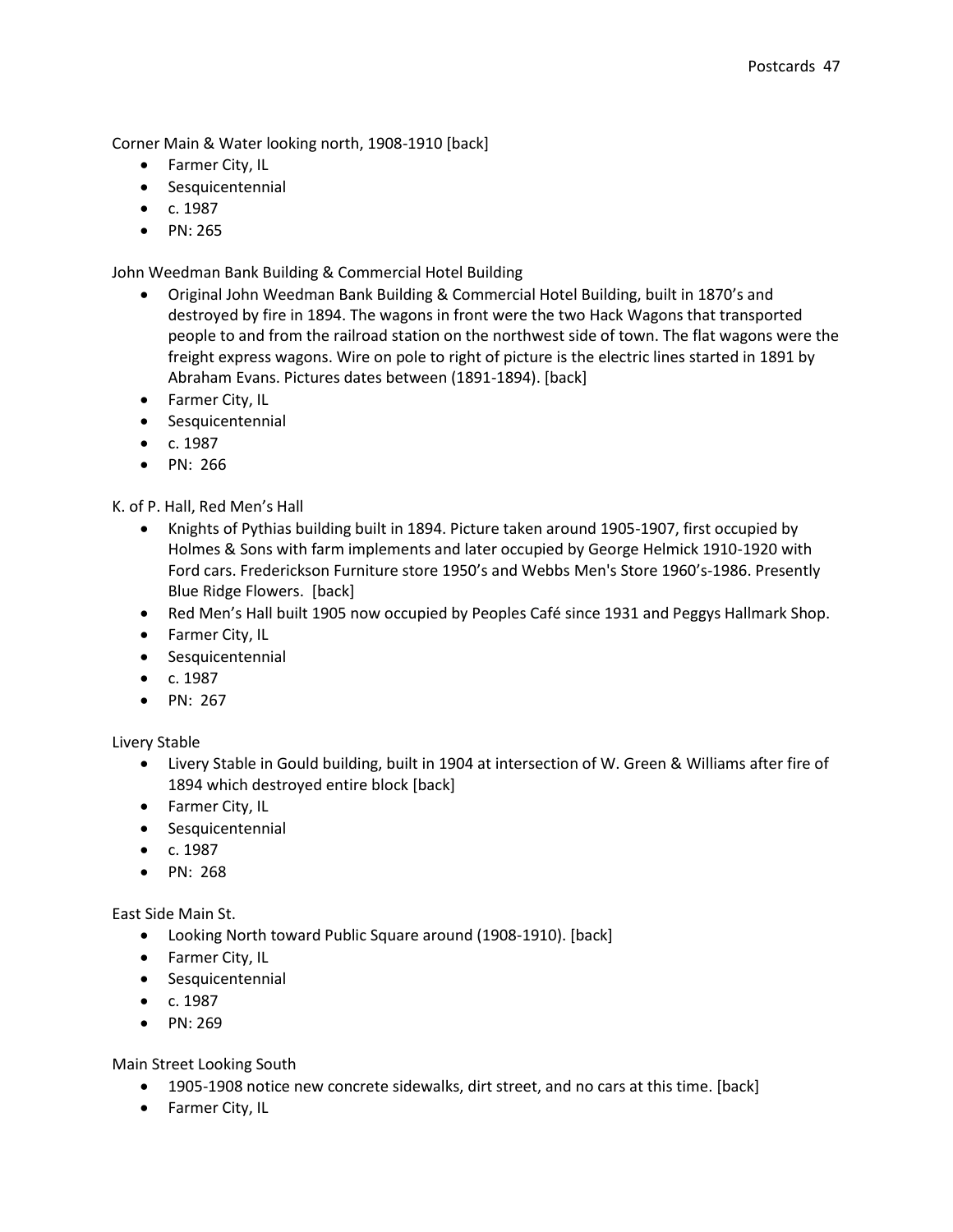Corner Main & Water looking north, 1908-1910 [back]

- Farmer City, IL
- **•** Sesquicentennial
- $\bullet$  c. 1987
- PN: 265

John Weedman Bank Building & Commercial Hotel Building

- Original John Weedman Bank Building & Commercial Hotel Building, built in 1870's and destroyed by fire in 1894. The wagons in front were the two Hack Wagons that transported people to and from the railroad station on the northwest side of town. The flat wagons were the freight express wagons. Wire on pole to right of picture is the electric lines started in 1891 by Abraham Evans. Pictures dates between (1891-1894). [back]
- **•** Farmer City, IL
- Sesquicentennial
- $\bullet$  c. 1987
- PN: 266

K. of P. Hall, Red Men's Hall

- Knights of Pythias building built in 1894. Picture taken around 1905-1907, first occupied by Holmes & Sons with farm implements and later occupied by George Helmick 1910-1920 with Ford cars. Frederickson Furniture store 1950's and Webbs Men's Store 1960's-1986. Presently Blue Ridge Flowers. [back]
- Red Men's Hall built 1905 now occupied by Peoples Café since 1931 and Peggys Hallmark Shop.
- Farmer City, IL
- **•** Sesquicentennial
- $\bullet$  c. 1987
- $\bullet$  PN: 267

Livery Stable

- Livery Stable in Gould building, built in 1904 at intersection of W. Green & Williams after fire of 1894 which destroyed entire block [back]
- Farmer City, IL
- **•** Sesquicentennial
- $\bullet$  c. 1987
- $\bullet$  PN: 268

East Side Main St.

- Looking North toward Public Square around (1908-1910). [back]
- **•** Farmer City, IL
- **•** Sesquicentennial
- $\bullet$  c. 1987
- $\bullet$  PN: 269

Main Street Looking South

- 1905-1908 notice new concrete sidewalks, dirt street, and no cars at this time. [back]
- Farmer City, IL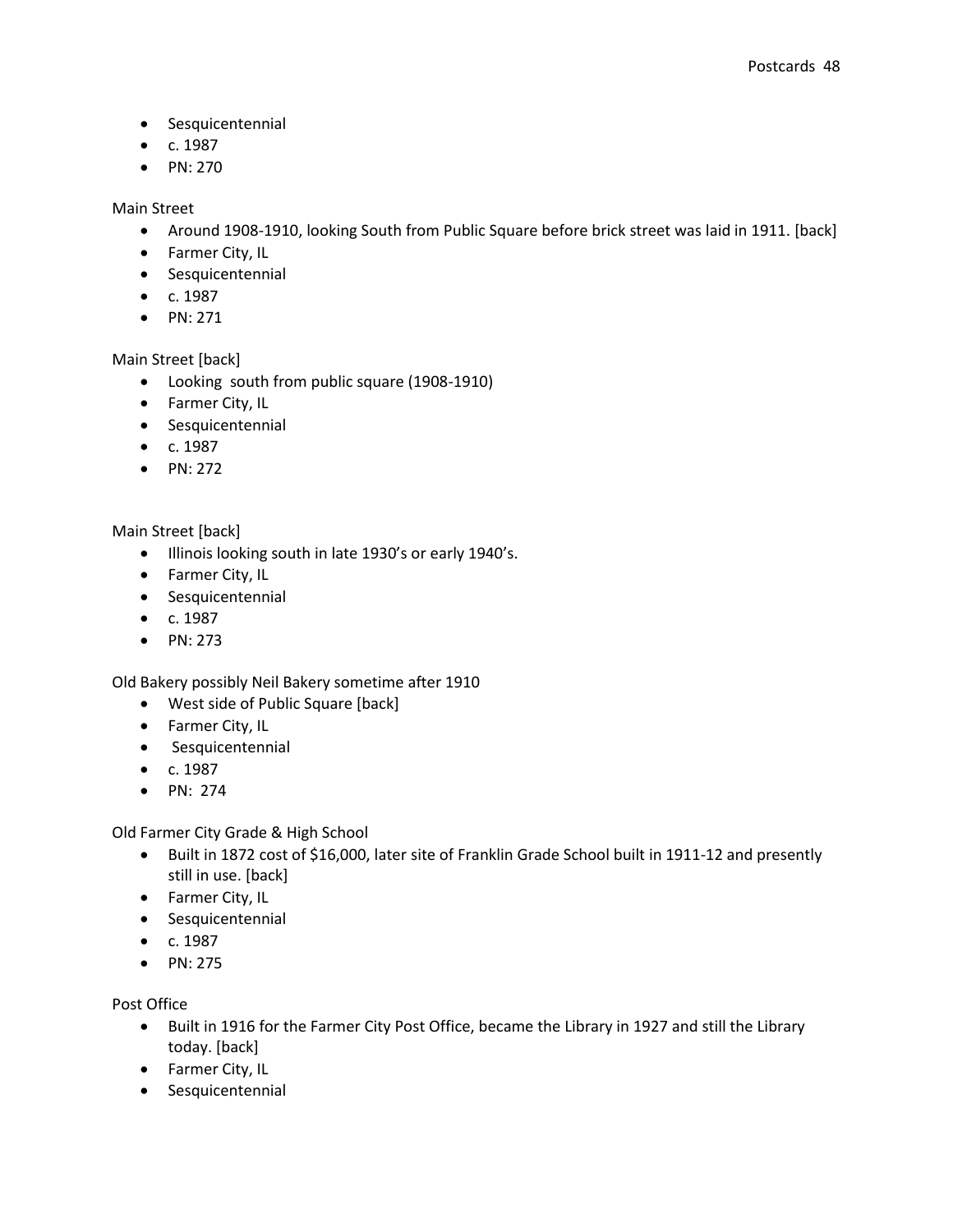- **•** Sesquicentennial
- $\bullet$  c. 1987
- $\bullet$  PN: 270

Main Street

- Around 1908-1910, looking South from Public Square before brick street was laid in 1911. [back]
- **•** Farmer City, IL
- **•** Sesquicentennial
- $c. 1987$
- $\bullet$  PN: 271

Main Street [back]

- Looking south from public square (1908-1910)
- Farmer City, IL
- **•** Sesquicentennial
- $\bullet$  c. 1987
- $\bullet$  PN: 272

## Main Street [back]

- Illinois looking south in late 1930's or early 1940's.
- Farmer City, IL
- **•** Sesquicentennial
- $\bullet$  c. 1987
- PN: 273

Old Bakery possibly Neil Bakery sometime after 1910

- West side of Public Square [back]
- **•** Farmer City, IL
- **•** Sesquicentennial
- $\bullet$  c. 1987
- $\bullet$  PN: 274

Old Farmer City Grade & High School

- Built in 1872 cost of \$16,000, later site of Franklin Grade School built in 1911-12 and presently still in use. [back]
- Farmer City, IL
- **•** Sesquicentennial
- $\bullet$  c. 1987
- $\bullet$  PN: 275

Post Office

- Built in 1916 for the Farmer City Post Office, became the Library in 1927 and still the Library today. [back]
- Farmer City, IL
- **•** Sesquicentennial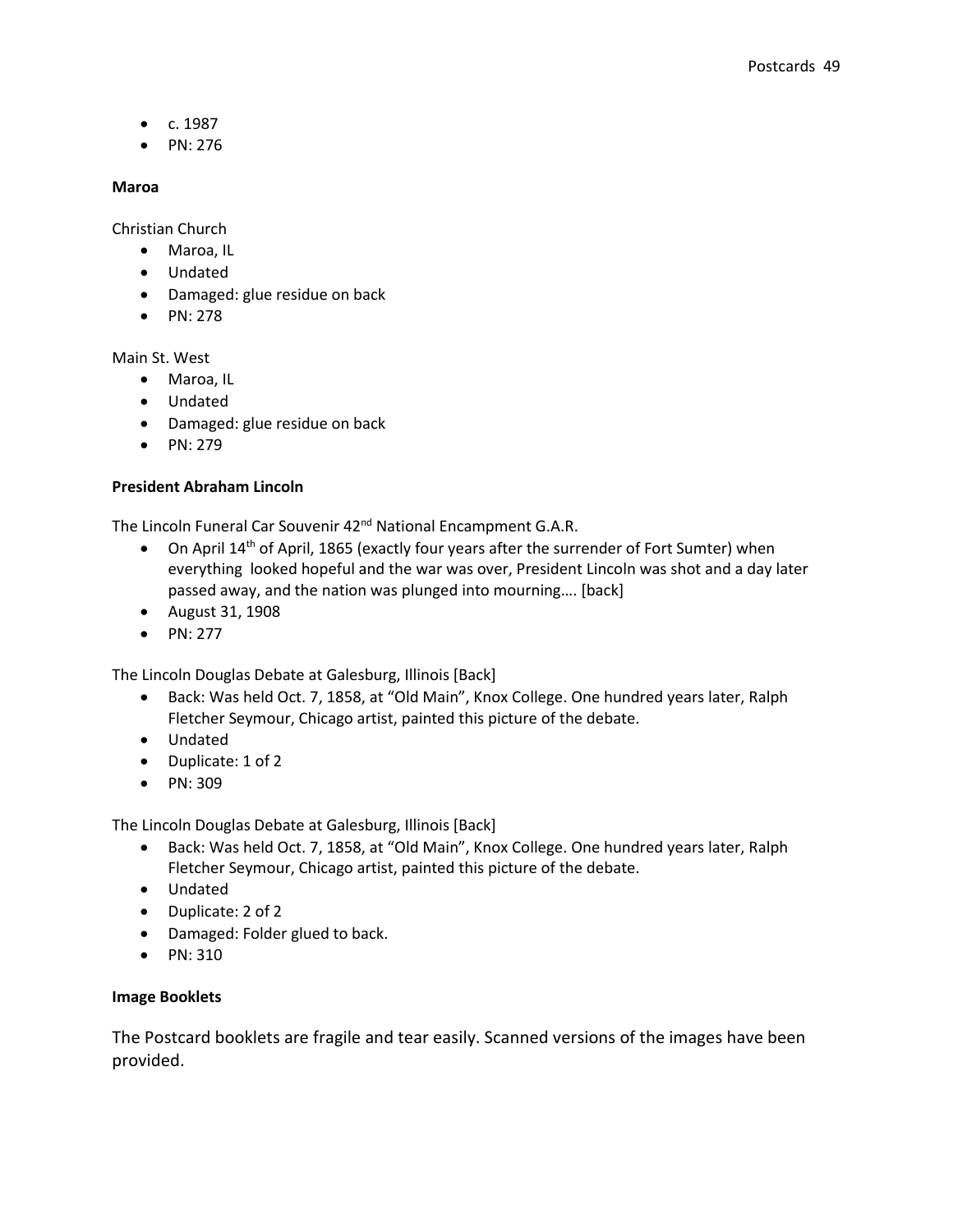- $c. 1987$
- $\bullet$  PN: 276

### **Maroa**

Christian Church

- Maroa, IL
- Undated
- Damaged: glue residue on back
- $\bullet$  PN: 278

Main St. West

- Maroa, IL
- Undated
- Damaged: glue residue on back
- $\bullet$  PN: 279

## **President Abraham Lincoln**

The Lincoln Funeral Car Souvenir 42<sup>nd</sup> National Encampment G.A.R.

- On April 14<sup>th</sup> of April, 1865 (exactly four years after the surrender of Fort Sumter) when everything looked hopeful and the war was over, President Lincoln was shot and a day later passed away, and the nation was plunged into mourning…. [back]
- August 31, 1908
- $\bullet$  PN: 277

The Lincoln Douglas Debate at Galesburg, Illinois [Back]

- Back: Was held Oct. 7, 1858, at "Old Main", Knox College. One hundred years later, Ralph Fletcher Seymour, Chicago artist, painted this picture of the debate.
- Undated
- Duplicate: 1 of 2
- PN: 309

The Lincoln Douglas Debate at Galesburg, Illinois [Back]

- Back: Was held Oct. 7, 1858, at "Old Main", Knox College. One hundred years later, Ralph Fletcher Seymour, Chicago artist, painted this picture of the debate.
- Undated
- Duplicate: 2 of 2
- Damaged: Folder glued to back.
- PN: 310

## **Image Booklets**

The Postcard booklets are fragile and tear easily. Scanned versions of the images have been provided.